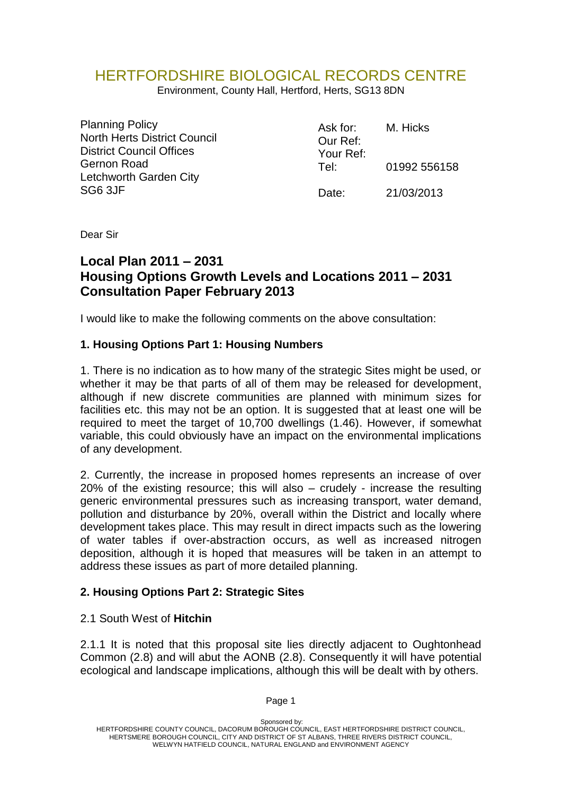# HERTFORDSHIRE BIOLOGICAL RECORDS CENTRE

Environment, County Hall, Hertford, Herts, SG13 8DN

| <b>Planning Policy</b><br><b>North Herts District Council</b><br><b>District Council Offices</b><br><b>Gernon Road</b><br>Letchworth Garden City<br>SG6 3JF | Ask for:<br>Our Ref:<br>Your Ref: | M. Hicks     |
|-------------------------------------------------------------------------------------------------------------------------------------------------------------|-----------------------------------|--------------|
|                                                                                                                                                             | Tel:                              | 01992 556158 |
|                                                                                                                                                             | Date:                             | 21/03/2013   |

Dear Sir

# **Local Plan 2011 – 2031 Housing Options Growth Levels and Locations 2011 – 2031 Consultation Paper February 2013**

I would like to make the following comments on the above consultation:

#### **1. Housing Options Part 1: Housing Numbers**

1. There is no indication as to how many of the strategic Sites might be used, or whether it may be that parts of all of them may be released for development, although if new discrete communities are planned with minimum sizes for facilities etc. this may not be an option. It is suggested that at least one will be required to meet the target of 10,700 dwellings (1.46). However, if somewhat variable, this could obviously have an impact on the environmental implications of any development.

2. Currently, the increase in proposed homes represents an increase of over 20% of the existing resource; this will also – crudely - increase the resulting generic environmental pressures such as increasing transport, water demand, pollution and disturbance by 20%, overall within the District and locally where development takes place. This may result in direct impacts such as the lowering of water tables if over-abstraction occurs, as well as increased nitrogen deposition, although it is hoped that measures will be taken in an attempt to address these issues as part of more detailed planning.

#### **2. Housing Options Part 2: Strategic Sites**

#### 2.1 South West of **Hitchin**

2.1.1 It is noted that this proposal site lies directly adjacent to Oughtonhead Common (2.8) and will abut the AONB (2.8). Consequently it will have potential ecological and landscape implications, although this will be dealt with by others.

Sponsored by: HERTFORDSHIRE COUNTY COUNCIL, DACORUM BOROUGH COUNCIL, EAST HERTFORDSHIRE DISTRICT COUNCIL, HERTSMERE BOROUGH COUNCIL, CITY AND DISTRICT OF ST ALBANS, THREE RIVERS DISTRICT COUNCIL, WELWYN HATFIELD COUNCIL, NATURAL ENGLAND and ENVIRONMENT AGENCY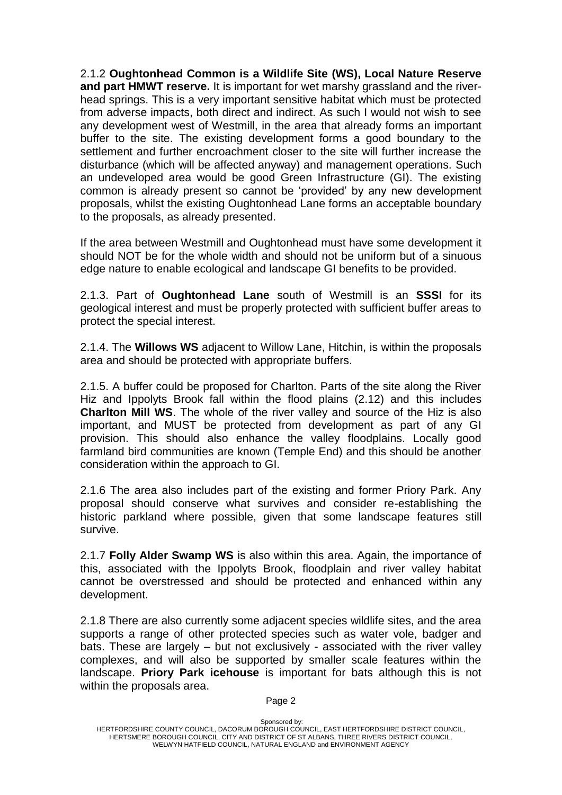2.1.2 **Oughtonhead Common is a Wildlife Site (WS), Local Nature Reserve and part HMWT reserve.** It is important for wet marshy grassland and the riverhead springs. This is a very important sensitive habitat which must be protected from adverse impacts, both direct and indirect. As such I would not wish to see any development west of Westmill, in the area that already forms an important buffer to the site. The existing development forms a good boundary to the settlement and further encroachment closer to the site will further increase the disturbance (which will be affected anyway) and management operations. Such an undeveloped area would be good Green Infrastructure (GI). The existing common is already present so cannot be 'provided' by any new development proposals, whilst the existing Oughtonhead Lane forms an acceptable boundary to the proposals, as already presented.

If the area between Westmill and Oughtonhead must have some development it should NOT be for the whole width and should not be uniform but of a sinuous edge nature to enable ecological and landscape GI benefits to be provided.

2.1.3. Part of **Oughtonhead Lane** south of Westmill is an **SSSI** for its geological interest and must be properly protected with sufficient buffer areas to protect the special interest.

2.1.4. The **Willows WS** adjacent to Willow Lane, Hitchin, is within the proposals area and should be protected with appropriate buffers.

2.1.5. A buffer could be proposed for Charlton. Parts of the site along the River Hiz and Ippolyts Brook fall within the flood plains (2.12) and this includes **Charlton Mill WS**. The whole of the river valley and source of the Hiz is also important, and MUST be protected from development as part of any GI provision. This should also enhance the valley floodplains. Locally good farmland bird communities are known (Temple End) and this should be another consideration within the approach to GI.

2.1.6 The area also includes part of the existing and former Priory Park. Any proposal should conserve what survives and consider re-establishing the historic parkland where possible, given that some landscape features still survive.

2.1.7 **Folly Alder Swamp WS** is also within this area. Again, the importance of this, associated with the Ippolyts Brook, floodplain and river valley habitat cannot be overstressed and should be protected and enhanced within any development.

2.1.8 There are also currently some adjacent species wildlife sites, and the area supports a range of other protected species such as water vole, badger and bats. These are largely – but not exclusively - associated with the river valley complexes, and will also be supported by smaller scale features within the landscape. **Priory Park icehouse** is important for bats although this is not within the proposals area.

Sponsored by: HERTFORDSHIRE COUNTY COUNCIL, DACORUM BOROUGH COUNCIL, EAST HERTFORDSHIRE DISTRICT COUNCIL, HERTSMERE BOROUGH COUNCIL, CITY AND DISTRICT OF ST ALBANS, THREE RIVERS DISTRICT COUNCIL, WELWYN HATFIELD COUNCIL, NATURAL ENGLAND and ENVIRONMENT AGENCY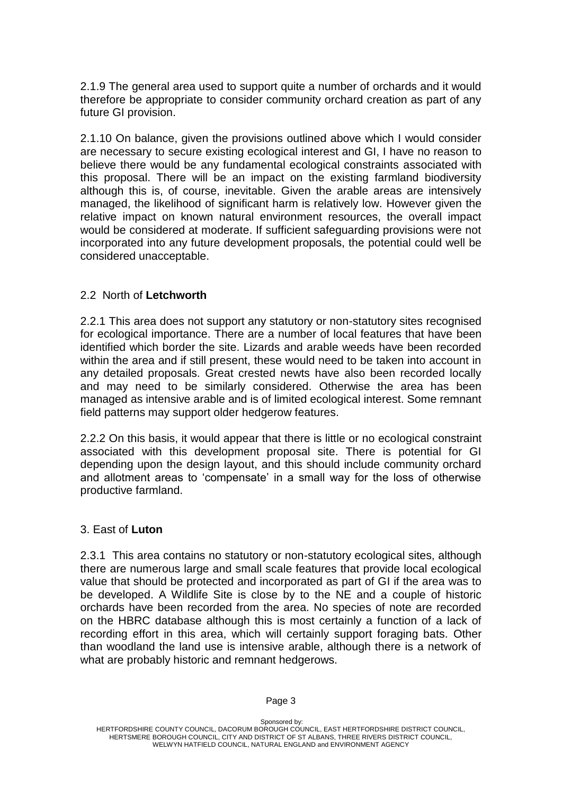2.1.9 The general area used to support quite a number of orchards and it would therefore be appropriate to consider community orchard creation as part of any future GI provision.

2.1.10 On balance, given the provisions outlined above which I would consider are necessary to secure existing ecological interest and GI, I have no reason to believe there would be any fundamental ecological constraints associated with this proposal. There will be an impact on the existing farmland biodiversity although this is, of course, inevitable. Given the arable areas are intensively managed, the likelihood of significant harm is relatively low. However given the relative impact on known natural environment resources, the overall impact would be considered at moderate. If sufficient safeguarding provisions were not incorporated into any future development proposals, the potential could well be considered unacceptable.

#### 2.2 North of **Letchworth**

2.2.1 This area does not support any statutory or non-statutory sites recognised for ecological importance. There are a number of local features that have been identified which border the site. Lizards and arable weeds have been recorded within the area and if still present, these would need to be taken into account in any detailed proposals. Great crested newts have also been recorded locally and may need to be similarly considered. Otherwise the area has been managed as intensive arable and is of limited ecological interest. Some remnant field patterns may support older hedgerow features.

2.2.2 On this basis, it would appear that there is little or no ecological constraint associated with this development proposal site. There is potential for GI depending upon the design layout, and this should include community orchard and allotment areas to 'compensate' in a small way for the loss of otherwise productive farmland.

#### 3. East of **Luton**

2.3.1 This area contains no statutory or non-statutory ecological sites, although there are numerous large and small scale features that provide local ecological value that should be protected and incorporated as part of GI if the area was to be developed. A Wildlife Site is close by to the NE and a couple of historic orchards have been recorded from the area. No species of note are recorded on the HBRC database although this is most certainly a function of a lack of recording effort in this area, which will certainly support foraging bats. Other than woodland the land use is intensive arable, although there is a network of what are probably historic and remnant hedgerows.

Sponsored by: HERTFORDSHIRE COUNTY COUNCIL, DACORUM BOROUGH COUNCIL, EAST HERTFORDSHIRE DISTRICT COUNCIL, HERTSMERE BOROUGH COUNCIL, CITY AND DISTRICT OF ST ALBANS, THREE RIVERS DISTRICT COUNCIL, WELWYN HATFIELD COUNCIL, NATURAL ENGLAND and ENVIRONMENT AGENCY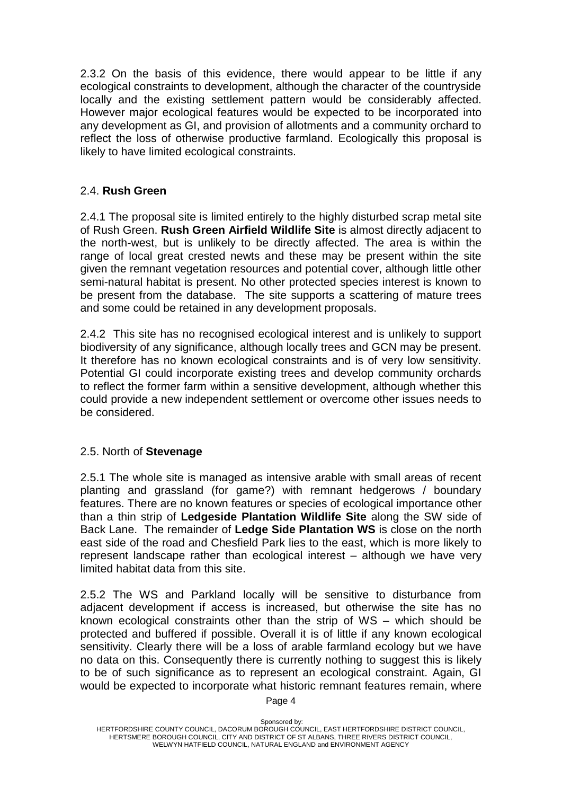2.3.2 On the basis of this evidence, there would appear to be little if any ecological constraints to development, although the character of the countryside locally and the existing settlement pattern would be considerably affected. However major ecological features would be expected to be incorporated into any development as GI, and provision of allotments and a community orchard to reflect the loss of otherwise productive farmland. Ecologically this proposal is likely to have limited ecological constraints.

## 2.4. **Rush Green**

2.4.1 The proposal site is limited entirely to the highly disturbed scrap metal site of Rush Green. **Rush Green Airfield Wildlife Site** is almost directly adjacent to the north-west, but is unlikely to be directly affected. The area is within the range of local great crested newts and these may be present within the site given the remnant vegetation resources and potential cover, although little other semi-natural habitat is present. No other protected species interest is known to be present from the database. The site supports a scattering of mature trees and some could be retained in any development proposals.

2.4.2 This site has no recognised ecological interest and is unlikely to support biodiversity of any significance, although locally trees and GCN may be present. It therefore has no known ecological constraints and is of very low sensitivity. Potential GI could incorporate existing trees and develop community orchards to reflect the former farm within a sensitive development, although whether this could provide a new independent settlement or overcome other issues needs to be considered.

## 2.5. North of **Stevenage**

2.5.1 The whole site is managed as intensive arable with small areas of recent planting and grassland (for game?) with remnant hedgerows / boundary features. There are no known features or species of ecological importance other than a thin strip of **Ledgeside Plantation Wildlife Site** along the SW side of Back Lane. The remainder of **Ledge Side Plantation WS** is close on the north east side of the road and Chesfield Park lies to the east, which is more likely to represent landscape rather than ecological interest – although we have very limited habitat data from this site.

2.5.2 The WS and Parkland locally will be sensitive to disturbance from adjacent development if access is increased, but otherwise the site has no known ecological constraints other than the strip of WS – which should be protected and buffered if possible. Overall it is of little if any known ecological sensitivity. Clearly there will be a loss of arable farmland ecology but we have no data on this. Consequently there is currently nothing to suggest this is likely to be of such significance as to represent an ecological constraint. Again, GI would be expected to incorporate what historic remnant features remain, where

Sponsored by: HERTFORDSHIRE COUNTY COUNCIL, DACORUM BOROUGH COUNCIL, EAST HERTFORDSHIRE DISTRICT COUNCIL, HERTSMERE BOROUGH COUNCIL, CITY AND DISTRICT OF ST ALBANS, THREE RIVERS DISTRICT COUNCIL, WELWYN HATFIELD COUNCIL, NATURAL ENGLAND and ENVIRONMENT AGENCY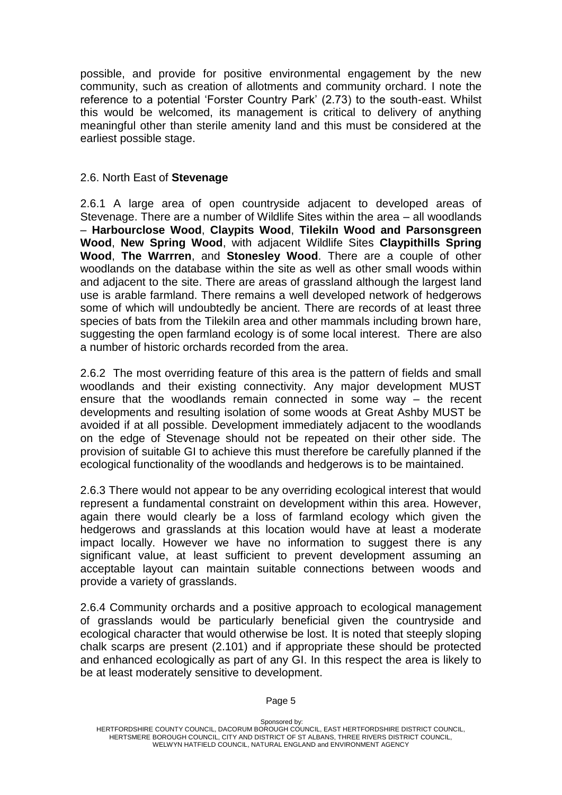possible, and provide for positive environmental engagement by the new community, such as creation of allotments and community orchard. I note the reference to a potential 'Forster Country Park' (2.73) to the south-east. Whilst this would be welcomed, its management is critical to delivery of anything meaningful other than sterile amenity land and this must be considered at the earliest possible stage.

#### 2.6. North East of **Stevenage**

2.6.1 A large area of open countryside adjacent to developed areas of Stevenage. There are a number of Wildlife Sites within the area – all woodlands – **Harbourclose Wood**, **Claypits Wood**, **Tilekiln Wood and Parsonsgreen Wood**, **New Spring Wood**, with adjacent Wildlife Sites **Claypithills Spring Wood**, **The Warrren**, and **Stonesley Wood**. There are a couple of other woodlands on the database within the site as well as other small woods within and adjacent to the site. There are areas of grassland although the largest land use is arable farmland. There remains a well developed network of hedgerows some of which will undoubtedly be ancient. There are records of at least three species of bats from the Tilekiln area and other mammals including brown hare, suggesting the open farmland ecology is of some local interest. There are also a number of historic orchards recorded from the area.

2.6.2 The most overriding feature of this area is the pattern of fields and small woodlands and their existing connectivity. Any major development MUST ensure that the woodlands remain connected in some way – the recent developments and resulting isolation of some woods at Great Ashby MUST be avoided if at all possible. Development immediately adjacent to the woodlands on the edge of Stevenage should not be repeated on their other side. The provision of suitable GI to achieve this must therefore be carefully planned if the ecological functionality of the woodlands and hedgerows is to be maintained.

2.6.3 There would not appear to be any overriding ecological interest that would represent a fundamental constraint on development within this area. However, again there would clearly be a loss of farmland ecology which given the hedgerows and grasslands at this location would have at least a moderate impact locally. However we have no information to suggest there is any significant value, at least sufficient to prevent development assuming an acceptable layout can maintain suitable connections between woods and provide a variety of grasslands.

2.6.4 Community orchards and a positive approach to ecological management of grasslands would be particularly beneficial given the countryside and ecological character that would otherwise be lost. It is noted that steeply sloping chalk scarps are present (2.101) and if appropriate these should be protected and enhanced ecologically as part of any GI. In this respect the area is likely to be at least moderately sensitive to development.

Sponsored by: HERTFORDSHIRE COUNTY COUNCIL, DACORUM BOROUGH COUNCIL, EAST HERTFORDSHIRE DISTRICT COUNCIL, HERTSMERE BOROUGH COUNCIL, CITY AND DISTRICT OF ST ALBANS, THREE RIVERS DISTRICT COUNCIL, WELWYN HATFIELD COUNCIL, NATURAL ENGLAND and ENVIRONMENT AGENCY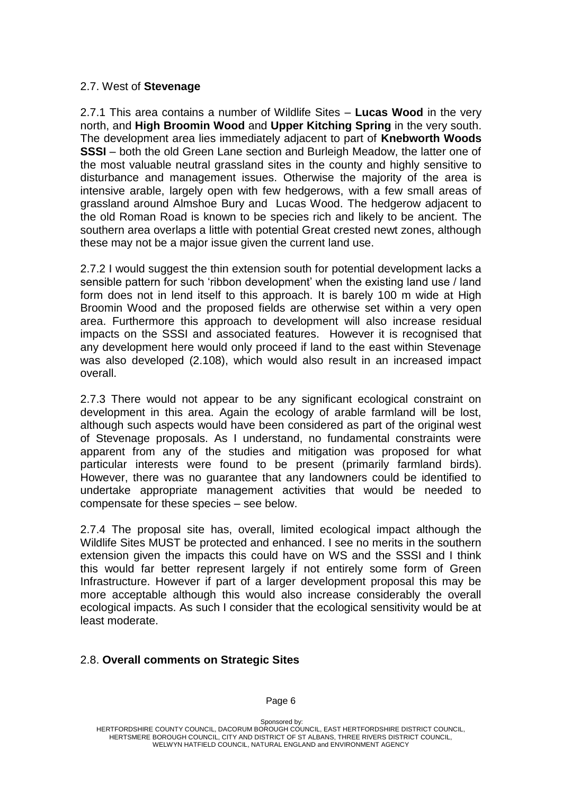#### 2.7. West of **Stevenage**

2.7.1 This area contains a number of Wildlife Sites – **Lucas Wood** in the very north, and **High Broomin Wood** and **Upper Kitching Spring** in the very south. The development area lies immediately adjacent to part of **Knebworth Woods SSSI** – both the old Green Lane section and Burleigh Meadow, the latter one of the most valuable neutral grassland sites in the county and highly sensitive to disturbance and management issues. Otherwise the majority of the area is intensive arable, largely open with few hedgerows, with a few small areas of grassland around Almshoe Bury and Lucas Wood. The hedgerow adjacent to the old Roman Road is known to be species rich and likely to be ancient. The southern area overlaps a little with potential Great crested newt zones, although these may not be a major issue given the current land use.

2.7.2 I would suggest the thin extension south for potential development lacks a sensible pattern for such 'ribbon development' when the existing land use / land form does not in lend itself to this approach. It is barely 100 m wide at High Broomin Wood and the proposed fields are otherwise set within a very open area. Furthermore this approach to development will also increase residual impacts on the SSSI and associated features. However it is recognised that any development here would only proceed if land to the east within Stevenage was also developed (2.108), which would also result in an increased impact overall.

2.7.3 There would not appear to be any significant ecological constraint on development in this area. Again the ecology of arable farmland will be lost, although such aspects would have been considered as part of the original west of Stevenage proposals. As I understand, no fundamental constraints were apparent from any of the studies and mitigation was proposed for what particular interests were found to be present (primarily farmland birds). However, there was no guarantee that any landowners could be identified to undertake appropriate management activities that would be needed to compensate for these species – see below.

2.7.4 The proposal site has, overall, limited ecological impact although the Wildlife Sites MUST be protected and enhanced. I see no merits in the southern extension given the impacts this could have on WS and the SSSI and I think this would far better represent largely if not entirely some form of Green Infrastructure. However if part of a larger development proposal this may be more acceptable although this would also increase considerably the overall ecological impacts. As such I consider that the ecological sensitivity would be at least moderate.

#### 2.8. **Overall comments on Strategic Sites**

Sponsored by: HERTFORDSHIRE COUNTY COUNCIL, DACORUM BOROUGH COUNCIL, EAST HERTFORDSHIRE DISTRICT COUNCIL, HERTSMERE BOROUGH COUNCIL, CITY AND DISTRICT OF ST ALBANS, THREE RIVERS DISTRICT COUNCIL, WELWYN HATFIELD COUNCIL, NATURAL ENGLAND and ENVIRONMENT AGENCY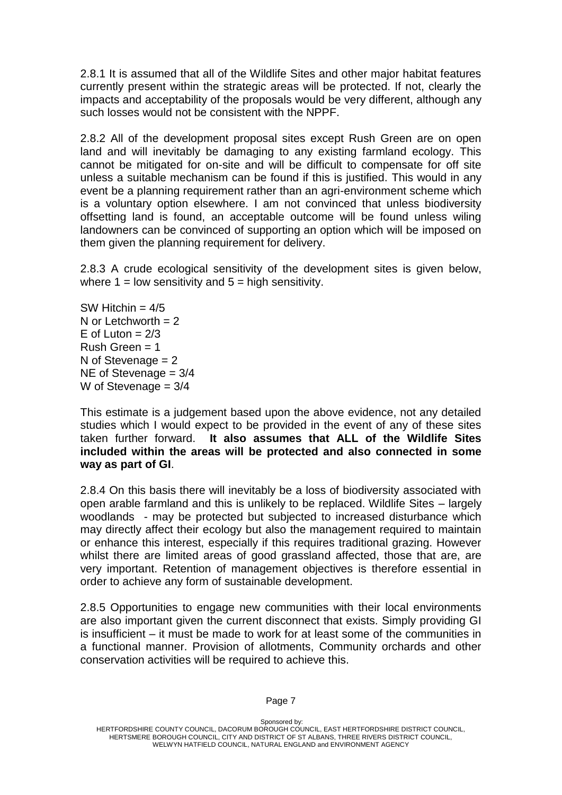2.8.1 It is assumed that all of the Wildlife Sites and other major habitat features currently present within the strategic areas will be protected. If not, clearly the impacts and acceptability of the proposals would be very different, although any such losses would not be consistent with the NPPF.

2.8.2 All of the development proposal sites except Rush Green are on open land and will inevitably be damaging to any existing farmland ecology. This cannot be mitigated for on-site and will be difficult to compensate for off site unless a suitable mechanism can be found if this is justified. This would in any event be a planning requirement rather than an agri-environment scheme which is a voluntary option elsewhere. I am not convinced that unless biodiversity offsetting land is found, an acceptable outcome will be found unless wiling landowners can be convinced of supporting an option which will be imposed on them given the planning requirement for delivery.

2.8.3 A crude ecological sensitivity of the development sites is given below, where  $1 =$  low sensitivity and  $5 =$  high sensitivity.

SW Hitchin  $= 4/5$ N or Letchworth  $= 2$ E of Luton  $= 2/3$  $Rush$  Green = 1 N of Stevenage  $= 2$ NE of Stevenage = 3/4 W of Stevenage  $= 3/4$ 

This estimate is a judgement based upon the above evidence, not any detailed studies which I would expect to be provided in the event of any of these sites taken further forward. **It also assumes that ALL of the Wildlife Sites included within the areas will be protected and also connected in some way as part of GI**.

2.8.4 On this basis there will inevitably be a loss of biodiversity associated with open arable farmland and this is unlikely to be replaced. Wildlife Sites – largely woodlands - may be protected but subjected to increased disturbance which may directly affect their ecology but also the management required to maintain or enhance this interest, especially if this requires traditional grazing. However whilst there are limited areas of good grassland affected, those that are, are very important. Retention of management objectives is therefore essential in order to achieve any form of sustainable development.

2.8.5 Opportunities to engage new communities with their local environments are also important given the current disconnect that exists. Simply providing GI is insufficient – it must be made to work for at least some of the communities in a functional manner. Provision of allotments, Community orchards and other conservation activities will be required to achieve this.

Sponsored by: HERTFORDSHIRE COUNTY COUNCIL, DACORUM BOROUGH COUNCIL, EAST HERTFORDSHIRE DISTRICT COUNCIL, HERTSMERE BOROUGH COUNCIL, CITY AND DISTRICT OF ST ALBANS, THREE RIVERS DISTRICT COUNCIL, WELWYN HATFIELD COUNCIL, NATURAL ENGLAND and ENVIRONMENT AGENCY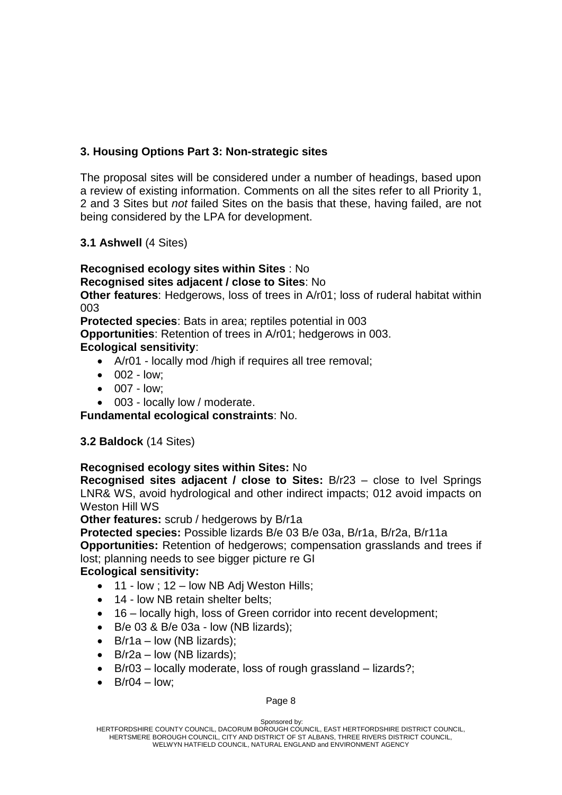# **3. Housing Options Part 3: Non-strategic sites**

The proposal sites will be considered under a number of headings, based upon a review of existing information. Comments on all the sites refer to all Priority 1, 2 and 3 Sites but *not* failed Sites on the basis that these, having failed, are not being considered by the LPA for development.

## **3.1 Ashwell** (4 Sites)

**Recognised ecology sites within Sites** : No **Recognised sites adjacent / close to Sites**: No **Other features**: Hedgerows, loss of trees in A/r01; loss of ruderal habitat within

003

**Protected species**: Bats in area; reptiles potential in 003

**Opportunities**: Retention of trees in A/r01; hedgerows in 003. **Ecological sensitivity**:

- A/r01 locally mod /high if requires all tree removal:
- $\bullet$  002 low:
- $\bullet$  007 low;
- 003 locally low / moderate.

**Fundamental ecological constraints**: No.

#### **3.2 Baldock** (14 Sites)

#### **Recognised ecology sites within Sites:** No

**Recognised sites adjacent / close to Sites:** B/r23 – close to Ivel Springs LNR& WS, avoid hydrological and other indirect impacts; 012 avoid impacts on Weston Hill WS

**Other features:** scrub / hedgerows by B/r1a

**Protected species:** Possible lizards B/e 03 B/e 03a, B/r1a, B/r2a, B/r11a **Opportunities:** Retention of hedgerows; compensation grasslands and trees if lost; planning needs to see bigger picture re GI

#### **Ecological sensitivity:**

- $\bullet$  11 low; 12 low NB Adj Weston Hills;
- 14 low NB retain shelter belts;
- 16 locally high, loss of Green corridor into recent development;
- $\bullet$  B/e 03 & B/e 03a low (NB lizards);
- $\bullet$  B/r1a low (NB lizards);
- $\bullet$  B/r2a low (NB lizards);
- B/r03 locally moderate, loss of rough grassland lizards?;
- $\bullet$  B/r04 low;

Sponsored by: HERTFORDSHIRE COUNTY COUNCIL, DACORUM BOROUGH COUNCIL, EAST HERTFORDSHIRE DISTRICT COUNCIL, HERTSMERE BOROUGH COUNCIL, CITY AND DISTRICT OF ST ALBANS, THREE RIVERS DISTRICT COUNCIL, WELWYN HATFIELD COUNCIL, NATURAL ENGLAND and ENVIRONMENT AGENCY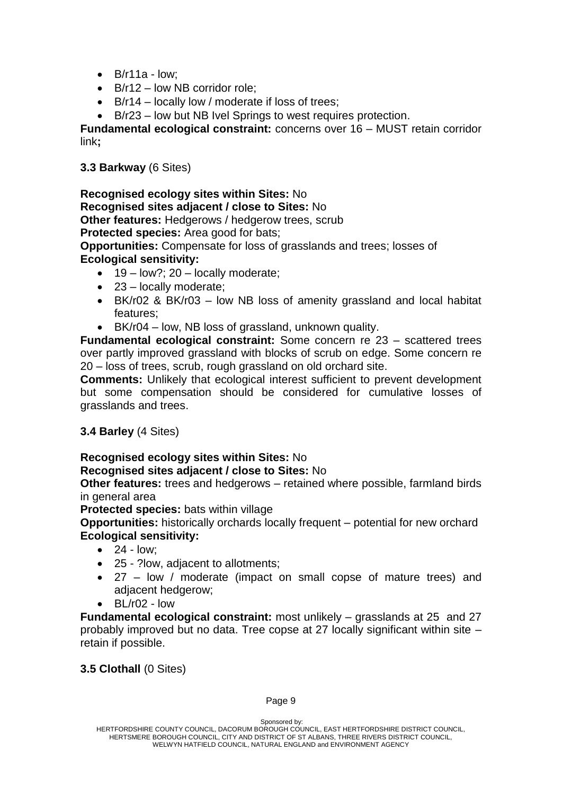- $\bullet$  B/r11a low:
- B/r12 low NB corridor role:
- B/r14 locally low / moderate if loss of trees:
- B/r23 low but NB Ivel Springs to west requires protection.

**Fundamental ecological constraint:** concerns over 16 – MUST retain corridor link**;** 

**3.3 Barkway** (6 Sites)

**Recognised ecology sites within Sites:** No **Recognised sites adjacent / close to Sites:** No **Other features:** Hedgerows / hedgerow trees, scrub **Protected species:** Area good for bats; **Opportunities:** Compensate for loss of grasslands and trees; losses of **Ecological sensitivity:**

- $\bullet$  19 low?; 20 locally moderate;
- 23 locally moderate;
- BK/r02 & BK/r03 low NB loss of amenity grassland and local habitat features;
- BK/r04 low, NB loss of grassland, unknown quality.

**Fundamental ecological constraint:** Some concern re 23 – scattered trees over partly improved grassland with blocks of scrub on edge. Some concern re 20 – loss of trees, scrub, rough grassland on old orchard site.

**Comments:** Unlikely that ecological interest sufficient to prevent development but some compensation should be considered for cumulative losses of grasslands and trees.

## **3.4 Barley** (4 Sites)

#### **Recognised ecology sites within Sites:** No **Recognised sites adjacent / close to Sites:** No

**Other features:** trees and hedgerows – retained where possible, farmland birds in general area

**Protected species:** bats within village

**Opportunities:** historically orchards locally frequent – potential for new orchard **Ecological sensitivity:**

- $\bullet$  24 low;
- 25 ?low, adjacent to allotments;
- 27 low / moderate (impact on small copse of mature trees) and adjacent hedgerow;
- BL/r02 low

**Fundamental ecological constraint:** most unlikely – grasslands at 25 and 27 probably improved but no data. Tree copse at 27 locally significant within site – retain if possible.

**3.5 Clothall** (0 Sites)

Sponsored by: HERTFORDSHIRE COUNTY COUNCIL, DACORUM BOROUGH COUNCIL, EAST HERTFORDSHIRE DISTRICT COUNCIL, HERTSMERE BOROUGH COUNCIL, CITY AND DISTRICT OF ST ALBANS, THREE RIVERS DISTRICT COUNCIL, WELWYN HATFIELD COUNCIL, NATURAL ENGLAND and ENVIRONMENT AGENCY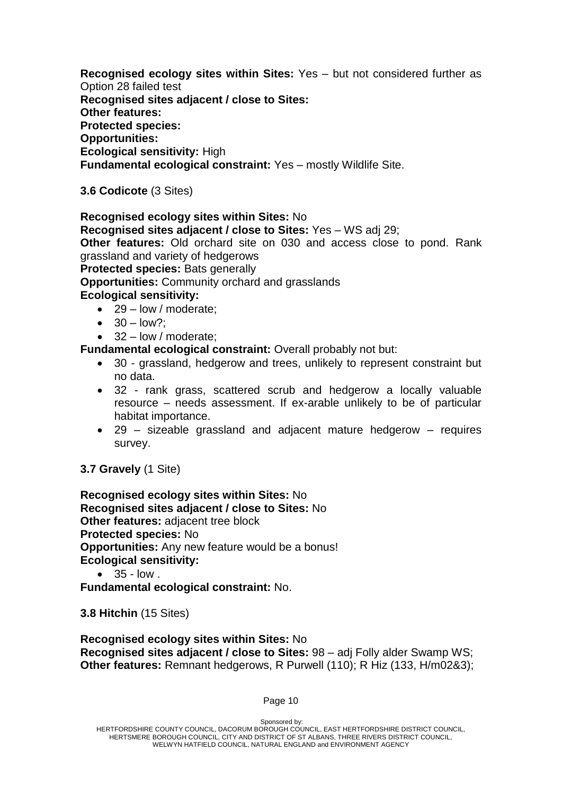**Recognised ecology sites within Sites:** Yes – but not considered further as Option 28 failed test **Recognised sites adjacent / close to Sites: Other features: Protected species: Opportunities: Ecological sensitivity:** High

**Fundamental ecological constraint:** Yes – mostly Wildlife Site.

**3.6 Codicote** (3 Sites)

**Recognised ecology sites within Sites:** No **Recognised sites adjacent / close to Sites:** Yes – WS adj 29; **Other features:** Old orchard site on 030 and access close to pond. Rank grassland and variety of hedgerows **Protected species:** Bats generally **Opportunities:** Community orchard and grasslands **Ecological sensitivity:** • 29 – low / moderate:

- $\bullet$  30 low?:
- 32 low / moderate;

**Fundamental ecological constraint:** Overall probably not but:

- 30 grassland, hedgerow and trees, unlikely to represent constraint but no data.
- 32 rank grass, scattered scrub and hedgerow a locally valuable resource – needs assessment. If ex-arable unlikely to be of particular habitat importance.
- 29 sizeable grassland and adjacent mature hedgerow requires survey.

**3.7 Gravely** (1 Site)

**Recognised ecology sites within Sites:** No **Recognised sites adjacent / close to Sites:** No **Other features:** adjacent tree block **Protected species:** No **Opportunities:** Any new feature would be a bonus! **Ecological sensitivity:**

 $\bullet$  35 - low.

**Fundamental ecological constraint:** No.

**3.8 Hitchin** (15 Sites)

**Recognised ecology sites within Sites:** No **Recognised sites adjacent / close to Sites:** 98 – adj Folly alder Swamp WS; **Other features:** Remnant hedgerows, R Purwell (110); R Hiz (133, H/m02&3);

Sponsored by: HERTFORDSHIRE COUNTY COUNCIL, DACORUM BOROUGH COUNCIL, EAST HERTFORDSHIRE DISTRICT COUNCIL, HERTSMERE BOROUGH COUNCIL, CITY AND DISTRICT OF ST ALBANS, THREE RIVERS DISTRICT COUNCIL, WELWYN HATFIELD COUNCIL, NATURAL ENGLAND and ENVIRONMENT AGENCY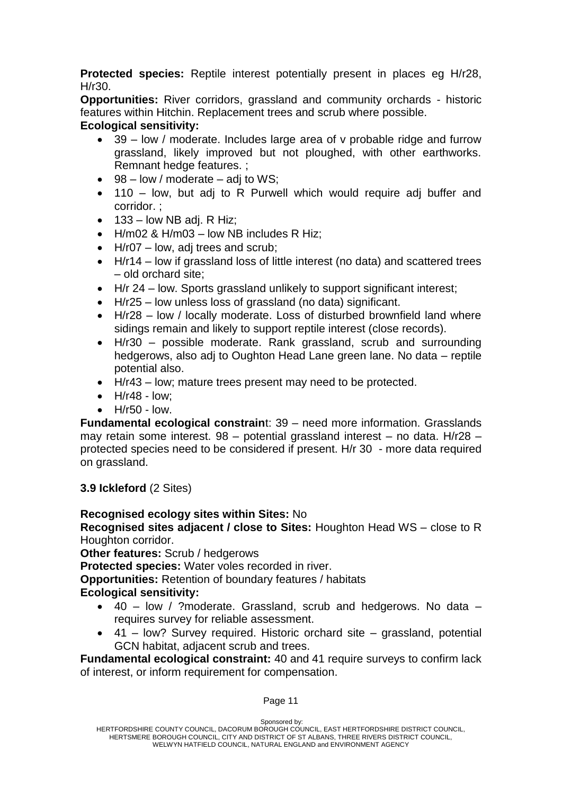**Protected species:** Reptile interest potentially present in places eg H/r28, H/r30.

**Opportunities:** River corridors, grassland and community orchards - historic features within Hitchin. Replacement trees and scrub where possible.

# **Ecological sensitivity:**

- 39 low / moderate. Includes large area of v probable ridge and furrow grassland, likely improved but not ploughed, with other earthworks. Remnant hedge features. ;
- $\bullet$  98 low / moderate adj to WS;
- 110 low, but adj to R Purwell which would require adj buffer and corridor. ;
- $\bullet$  133 low NB adj. R Hiz;
- H/m02 & H/m03 low NB includes R Hiz;
- $\bullet$  H/r07 low, adj trees and scrub;
- H/r14 low if grassland loss of little interest (no data) and scattered trees – old orchard site;
- H/r 24 low. Sports grassland unlikely to support significant interest;
- H/r25 low unless loss of grassland (no data) significant.
- H/r28 low / locally moderate. Loss of disturbed brownfield land where sidings remain and likely to support reptile interest (close records).
- H/r30 possible moderate. Rank grassland, scrub and surrounding hedgerows, also adj to Oughton Head Lane green lane. No data – reptile potential also.
- H/r43 low; mature trees present may need to be protected.
- $\bullet$  H/r48 low;
- $\bullet$  H/r50 low.

**Fundamental ecological constrain**t: 39 – need more information. Grasslands may retain some interest. 98 – potential grassland interest – no data. H/r28 – protected species need to be considered if present. H/r 30 - more data required on grassland.

## **3.9 Ickleford** (2 Sites)

# **Recognised ecology sites within Sites:** No

**Recognised sites adjacent / close to Sites:** Houghton Head WS – close to R Houghton corridor.

**Other features:** Scrub / hedgerows

**Protected species:** Water voles recorded in river.

**Opportunities:** Retention of boundary features / habitats

## **Ecological sensitivity:**

- 40 low / ?moderate. Grassland, scrub and hedgerows. No data requires survey for reliable assessment.
- 41 low? Survey required. Historic orchard site grassland, potential GCN habitat, adjacent scrub and trees.

**Fundamental ecological constraint:** 40 and 41 require surveys to confirm lack of interest, or inform requirement for compensation.

#### Page 11

Sponsored by:

HERTFORDSHIRE COUNTY COUNCIL, DACORUM BOROUGH COUNCIL, EAST HERTFORDSHIRE DISTRICT COUNCIL, HERTSMERE BOROUGH COUNCIL, CITY AND DISTRICT OF ST ALBANS, THREE RIVERS DISTRICT COUNCIL, WELWYN HATFIELD COUNCIL, NATURAL ENGLAND and ENVIRONMENT AGENCY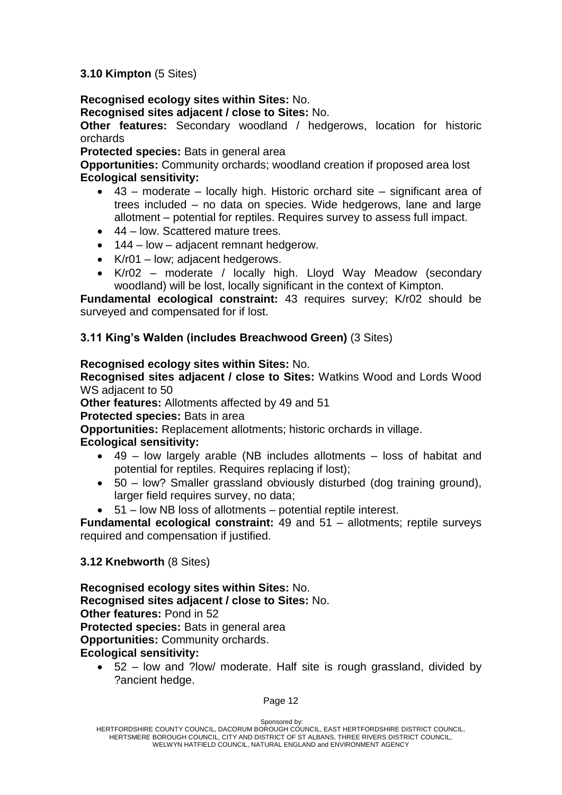#### **3.10 Kimpton** (5 Sites)

## **Recognised ecology sites within Sites:** No.

**Recognised sites adjacent / close to Sites:** No.

**Other features:** Secondary woodland / hedgerows, location for historic orchards

**Protected species:** Bats in general area

**Opportunities:** Community orchards; woodland creation if proposed area lost **Ecological sensitivity:**

- 43 moderate locally high. Historic orchard site significant area of trees included – no data on species. Wide hedgerows, lane and large allotment – potential for reptiles. Requires survey to assess full impact.
- 44 low. Scattered mature trees.
- 144 low adiacent remnant hedgerow.
- K/r01 low; adjacent hedgerows.
- K/r02 moderate / locally high. Lloyd Way Meadow (secondary woodland) will be lost, locally significant in the context of Kimpton.

**Fundamental ecological constraint:** 43 requires survey; K/r02 should be surveyed and compensated for if lost.

**3.11 King's Walden (includes Breachwood Green)** (3 Sites)

#### **Recognised ecology sites within Sites:** No.

**Recognised sites adjacent / close to Sites:** Watkins Wood and Lords Wood WS adjacent to 50

**Other features:** Allotments affected by 49 and 51

**Protected species:** Bats in area

**Opportunities:** Replacement allotments; historic orchards in village.

#### **Ecological sensitivity:**

- 49 low largely arable (NB includes allotments loss of habitat and potential for reptiles. Requires replacing if lost);
- 50 low? Smaller grassland obviously disturbed (dog training ground), larger field requires survey, no data;
- 51 low NB loss of allotments potential reptile interest.

**Fundamental ecological constraint:** 49 and 51 – allotments; reptile surveys required and compensation if justified.

#### **3.12 Knebworth** (8 Sites)

**Recognised ecology sites within Sites:** No. **Recognised sites adjacent / close to Sites:** No. **Other features:** Pond in 52 **Protected species:** Bats in general area **Opportunities:** Community orchards. **Ecological sensitivity:**

• 52 – low and ?low/ moderate. Half site is rough grassland, divided by ?ancient hedge.

Sponsored by: HERTFORDSHIRE COUNTY COUNCIL, DACORUM BOROUGH COUNCIL, EAST HERTFORDSHIRE DISTRICT COUNCIL, HERTSMERE BOROUGH COUNCIL, CITY AND DISTRICT OF ST ALBANS, THREE RIVERS DISTRICT COUNCIL, WELWYN HATFIELD COUNCIL, NATURAL ENGLAND and ENVIRONMENT AGENCY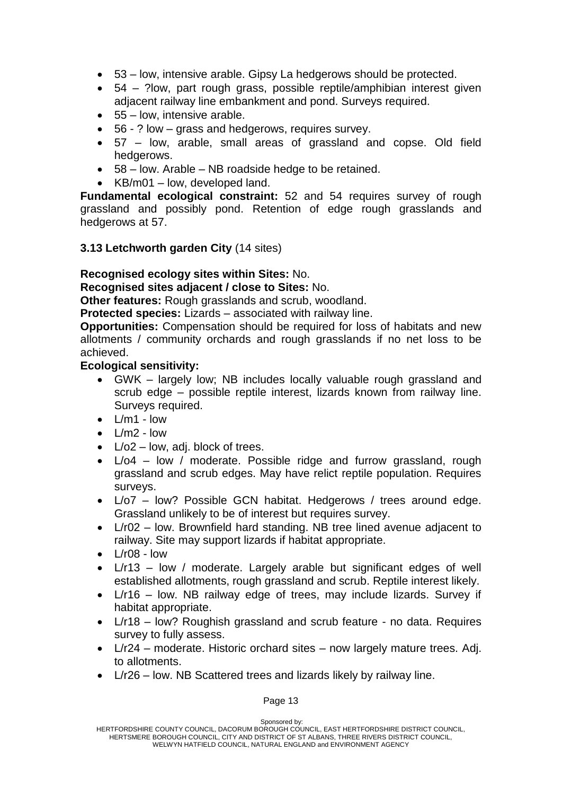- 53 low, intensive arable. Gipsy La hedgerows should be protected.
- 54 ?low, part rough grass, possible reptile/amphibian interest given adjacent railway line embankment and pond. Surveys required.
- 55 low, intensive arable.
- 56 ? low grass and hedgerows, requires survey.
- 57 low, arable, small areas of grassland and copse. Old field hedgerows.
- 58 low. Arable NB roadside hedge to be retained.
- $\bullet$  KB/m01 low, developed land.

**Fundamental ecological constraint:** 52 and 54 requires survey of rough grassland and possibly pond. Retention of edge rough grasslands and hedgerows at 57.

#### **3.13 Letchworth garden City** (14 sites)

#### **Recognised ecology sites within Sites:** No.

**Recognised sites adjacent / close to Sites:** No.

**Other features:** Rough grasslands and scrub, woodland.

**Protected species:** Lizards – associated with railway line.

**Opportunities:** Compensation should be required for loss of habitats and new allotments / community orchards and rough grasslands if no net loss to be achieved.

#### **Ecological sensitivity:**

- GWK largely low; NB includes locally valuable rough grassland and scrub edge – possible reptile interest, lizards known from railway line. Surveys required.
- $\bullet$  L/m1 low
- $\bullet$   $\frac{1}{m^2}$  low
- $L/O2 low$ , adj. block of trees.
- $\bullet$  L/o4 low / moderate. Possible ridge and furrow grassland, rough grassland and scrub edges. May have relict reptile population. Requires surveys.
- L/o7 low? Possible GCN habitat. Hedgerows / trees around edge. Grassland unlikely to be of interest but requires survey.
- L/r02 low. Brownfield hard standing. NB tree lined avenue adjacent to railway. Site may support lizards if habitat appropriate.
- $\bullet$  L/r08 low
- L/r13 low / moderate. Largely arable but significant edges of well established allotments, rough grassland and scrub. Reptile interest likely.
- L/r16 low. NB railway edge of trees, may include lizards. Survey if habitat appropriate.
- L/r18 low? Roughish grassland and scrub feature no data. Requires survey to fully assess.
- L/r24 moderate. Historic orchard sites now largely mature trees. Adj. to allotments.
- L/r26 low. NB Scattered trees and lizards likely by railway line.

Sponsored by: HERTFORDSHIRE COUNTY COUNCIL, DACORUM BOROUGH COUNCIL, EAST HERTFORDSHIRE DISTRICT COUNCIL, HERTSMERE BOROUGH COUNCIL, CITY AND DISTRICT OF ST ALBANS, THREE RIVERS DISTRICT COUNCIL, WELWYN HATFIELD COUNCIL, NATURAL ENGLAND and ENVIRONMENT AGENCY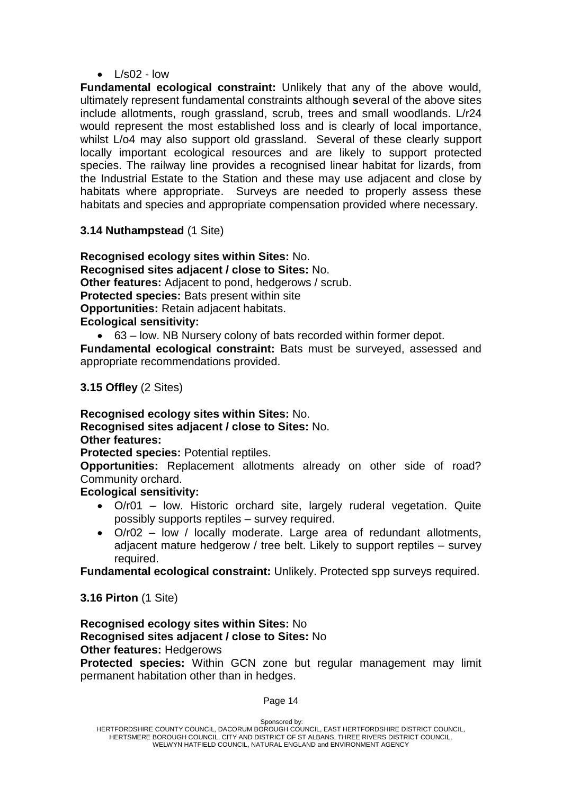$\cdot$   $\frac{|}{|S}$  - low

**Fundamental ecological constraint:** Unlikely that any of the above would, ultimately represent fundamental constraints although **s**everal of the above sites include allotments, rough grassland, scrub, trees and small woodlands. L/r24 would represent the most established loss and is clearly of local importance, whilst L/o4 may also support old grassland. Several of these clearly support locally important ecological resources and are likely to support protected species. The railway line provides a recognised linear habitat for lizards, from the Industrial Estate to the Station and these may use adjacent and close by habitats where appropriate. Surveys are needed to properly assess these habitats and species and appropriate compensation provided where necessary.

#### **3.14 Nuthampstead** (1 Site)

**Recognised ecology sites within Sites:** No. **Recognised sites adjacent / close to Sites:** No. **Other features:** Adjacent to pond, hedgerows / scrub. **Protected species:** Bats present within site **Opportunities:** Retain adjacent habitats. **Ecological sensitivity:**

63 – low. NB Nursery colony of bats recorded within former depot.

**Fundamental ecological constraint:** Bats must be surveyed, assessed and appropriate recommendations provided.

**3.15 Offley** (2 Sites)

**Recognised ecology sites within Sites:** No. **Recognised sites adjacent / close to Sites:** No. **Other features:**

**Protected species:** Potential reptiles.

**Opportunities:** Replacement allotments already on other side of road? Community orchard.

#### **Ecological sensitivity:**

- O/r01 low. Historic orchard site, largely ruderal vegetation. Quite possibly supports reptiles – survey required.
- O/r02 low / locally moderate. Large area of redundant allotments, adjacent mature hedgerow / tree belt. Likely to support reptiles – survey required.

**Fundamental ecological constraint:** Unlikely. Protected spp surveys required.

**3.16 Pirton** (1 Site)

# **Recognised ecology sites within Sites:** No **Recognised sites adjacent / close to Sites:** No

#### **Other features:** Hedgerows

**Protected species:** Within GCN zone but regular management may limit permanent habitation other than in hedges.

Sponsored by: HERTFORDSHIRE COUNTY COUNCIL, DACORUM BOROUGH COUNCIL, EAST HERTFORDSHIRE DISTRICT COUNCIL, HERTSMERE BOROUGH COUNCIL, CITY AND DISTRICT OF ST ALBANS, THREE RIVERS DISTRICT COUNCIL, WELWYN HATFIELD COUNCIL, NATURAL ENGLAND and ENVIRONMENT AGENCY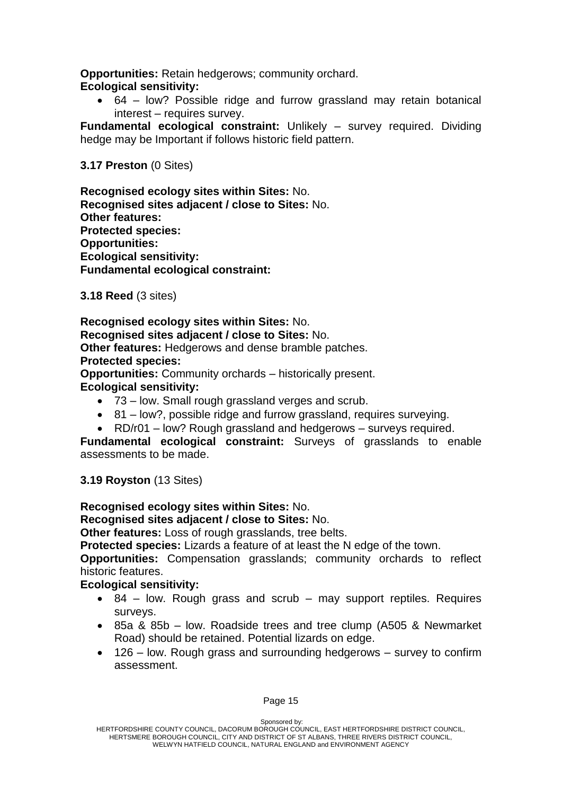**Opportunities:** Retain hedgerows; community orchard.

# **Ecological sensitivity:**

 64 – low? Possible ridge and furrow grassland may retain botanical interest – requires survey.

**Fundamental ecological constraint:** Unlikely – survey required. Dividing hedge may be Important if follows historic field pattern.

## **3.17 Preston** (0 Sites)

**Recognised ecology sites within Sites:** No. **Recognised sites adjacent / close to Sites:** No. **Other features: Protected species: Opportunities: Ecological sensitivity: Fundamental ecological constraint:**

**3.18 Reed** (3 sites)

#### **Recognised ecology sites within Sites:** No. **Recognised sites adjacent / close to Sites:** No.

**Other features:** Hedgerows and dense bramble patches.

**Protected species:**

**Opportunities:** Community orchards – historically present. **Ecological sensitivity:**

- 73 low. Small rough grassland verges and scrub.
- 81 low?, possible ridge and furrow grassland, requires surveying.
- RD/r01 low? Rough grassland and hedgerows surveys required.

**Fundamental ecological constraint:** Surveys of grasslands to enable assessments to be made.

**3.19 Royston** (13 Sites)

## **Recognised ecology sites within Sites:** No.

**Recognised sites adjacent / close to Sites:** No.

**Other features:** Loss of rough grasslands, tree belts.

**Protected species:** Lizards a feature of at least the N edge of the town.

**Opportunities:** Compensation grasslands; community orchards to reflect historic features.

## **Ecological sensitivity:**

- 84 low. Rough grass and scrub may support reptiles. Requires surveys.
- 85a & 85b low. Roadside trees and tree clump (A505 & Newmarket Road) should be retained. Potential lizards on edge.
- 126 low. Rough grass and surrounding hedgerows survey to confirm assessment.

Sponsored by: HERTFORDSHIRE COUNTY COUNCIL, DACORUM BOROUGH COUNCIL, EAST HERTFORDSHIRE DISTRICT COUNCIL, HERTSMERE BOROUGH COUNCIL, CITY AND DISTRICT OF ST ALBANS, THREE RIVERS DISTRICT COUNCIL, WELWYN HATFIELD COUNCIL, NATURAL ENGLAND and ENVIRONMENT AGENCY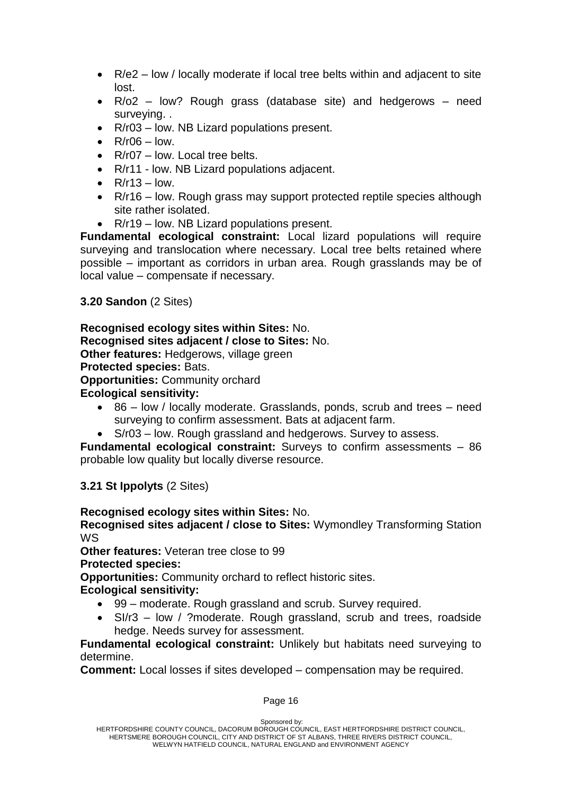- R/e2 low / locally moderate if local tree belts within and adjacent to site lost.
- R/o2 low? Rough grass (database site) and hedgerows need surveying. .
- R/r03 low. NB Lizard populations present.
- $\cdot$  R/r06 low.
- R/r07 low. Local tree belts.
- R/r11 low. NB Lizard populations adjacent.
- $\bullet$  R/r13 low.
- R/r16 low. Rough grass may support protected reptile species although site rather isolated.
- R/r19 low. NB Lizard populations present.

**Fundamental ecological constraint:** Local lizard populations will require surveying and translocation where necessary. Local tree belts retained where possible – important as corridors in urban area. Rough grasslands may be of local value – compensate if necessary.

**3.20 Sandon** (2 Sites)

# **Recognised ecology sites within Sites:** No.

#### **Recognised sites adjacent / close to Sites:** No.

**Other features:** Hedgerows, village green

#### **Protected species:** Bats.

**Opportunities:** Community orchard

#### **Ecological sensitivity:**

- 86 low / locally moderate. Grasslands, ponds, scrub and trees need surveying to confirm assessment. Bats at adjacent farm.
- S/r03 low. Rough grassland and hedgerows. Survey to assess.

**Fundamental ecological constraint:** Surveys to confirm assessments – 86 probable low quality but locally diverse resource.

**3.21 St Ippolyts** (2 Sites)

## **Recognised ecology sites within Sites:** No.

**Recognised sites adjacent / close to Sites:** Wymondley Transforming Station WS

**Other features:** Veteran tree close to 99

**Protected species:**

**Opportunities:** Community orchard to reflect historic sites.

## **Ecological sensitivity:**

- 99 moderate. Rough grassland and scrub. Survey required.
- SI/r3 low / ?moderate. Rough grassland, scrub and trees, roadside hedge. Needs survey for assessment.

**Fundamental ecological constraint:** Unlikely but habitats need surveying to determine.

**Comment:** Local losses if sites developed – compensation may be required.

#### Page 16

Sponsored by: HERTFORDSHIRE COUNTY COUNCIL, DACORUM BOROUGH COUNCIL, EAST HERTFORDSHIRE DISTRICT COUNCIL, HERTSMERE BOROUGH COUNCIL, CITY AND DISTRICT OF ST ALBANS, THREE RIVERS DISTRICT COUNCIL, WELWYN HATFIELD COUNCIL, NATURAL ENGLAND and ENVIRONMENT AGENCY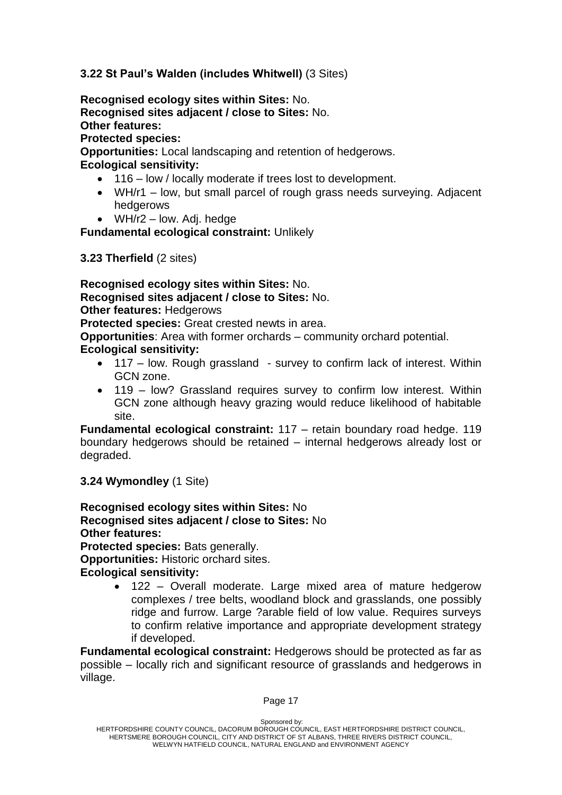#### **3.22 St Paul's Walden (includes Whitwell)** (3 Sites)

**Recognised ecology sites within Sites:** No. **Recognised sites adjacent / close to Sites:** No. **Other features:**

**Protected species:**

**Opportunities:** Local landscaping and retention of hedgerows.

**Ecological sensitivity:**

- 116 low / locally moderate if trees lost to development.
- WH/r1 low, but small parcel of rough grass needs surveying. Adjacent hedgerows
- $\bullet$  WH/r2 low. Adj. hedge

**Fundamental ecological constraint:** Unlikely

**3.23 Therfield** (2 sites)

**Recognised ecology sites within Sites:** No. **Recognised sites adjacent / close to Sites:** No. **Other features:** Hedgerows

**Protected species:** Great crested newts in area.

**Opportunities**: Area with former orchards – community orchard potential.

#### **Ecological sensitivity:**

- 117 low. Rough grassland survey to confirm lack of interest. Within GCN zone.
- 119 low? Grassland requires survey to confirm low interest. Within GCN zone although heavy grazing would reduce likelihood of habitable site.

**Fundamental ecological constraint:** 117 – retain boundary road hedge. 119 boundary hedgerows should be retained – internal hedgerows already lost or degraded.

**3.24 Wymondley** (1 Site)

**Recognised ecology sites within Sites:** No **Recognised sites adjacent / close to Sites:** No **Other features: Protected species:** Bats generally. **Opportunities:** Historic orchard sites. **Ecological sensitivity:**

> 122 – Overall moderate. Large mixed area of mature hedgerow complexes / tree belts, woodland block and grasslands, one possibly ridge and furrow. Large ?arable field of low value. Requires surveys to confirm relative importance and appropriate development strategy if developed.

**Fundamental ecological constraint:** Hedgerows should be protected as far as possible – locally rich and significant resource of grasslands and hedgerows in village.

Sponsored by: HERTFORDSHIRE COUNTY COUNCIL, DACORUM BOROUGH COUNCIL, EAST HERTFORDSHIRE DISTRICT COUNCIL, HERTSMERE BOROUGH COUNCIL, CITY AND DISTRICT OF ST ALBANS, THREE RIVERS DISTRICT COUNCIL, WELWYN HATFIELD COUNCIL, NATURAL ENGLAND and ENVIRONMENT AGENCY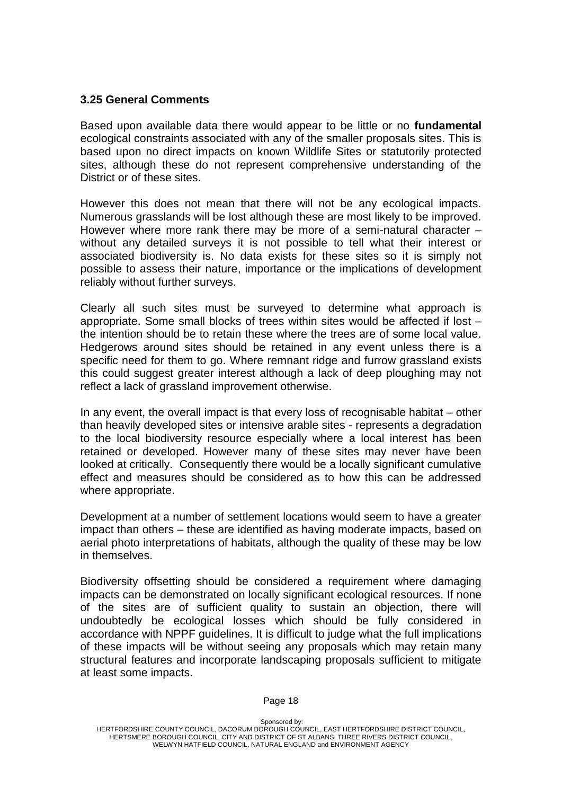#### **3.25 General Comments**

Based upon available data there would appear to be little or no **fundamental**  ecological constraints associated with any of the smaller proposals sites. This is based upon no direct impacts on known Wildlife Sites or statutorily protected sites, although these do not represent comprehensive understanding of the District or of these sites.

However this does not mean that there will not be any ecological impacts. Numerous grasslands will be lost although these are most likely to be improved. However where more rank there may be more of a semi-natural character – without any detailed surveys it is not possible to tell what their interest or associated biodiversity is. No data exists for these sites so it is simply not possible to assess their nature, importance or the implications of development reliably without further surveys.

Clearly all such sites must be surveyed to determine what approach is appropriate. Some small blocks of trees within sites would be affected if lost – the intention should be to retain these where the trees are of some local value. Hedgerows around sites should be retained in any event unless there is a specific need for them to go. Where remnant ridge and furrow grassland exists this could suggest greater interest although a lack of deep ploughing may not reflect a lack of grassland improvement otherwise.

In any event, the overall impact is that every loss of recognisable habitat – other than heavily developed sites or intensive arable sites - represents a degradation to the local biodiversity resource especially where a local interest has been retained or developed. However many of these sites may never have been looked at critically. Consequently there would be a locally significant cumulative effect and measures should be considered as to how this can be addressed where appropriate.

Development at a number of settlement locations would seem to have a greater impact than others – these are identified as having moderate impacts, based on aerial photo interpretations of habitats, although the quality of these may be low in themselves.

Biodiversity offsetting should be considered a requirement where damaging impacts can be demonstrated on locally significant ecological resources. If none of the sites are of sufficient quality to sustain an objection, there will undoubtedly be ecological losses which should be fully considered in accordance with NPPF guidelines. It is difficult to judge what the full implications of these impacts will be without seeing any proposals which may retain many structural features and incorporate landscaping proposals sufficient to mitigate at least some impacts.

Sponsored by: HERTFORDSHIRE COUNTY COUNCIL, DACORUM BOROUGH COUNCIL, EAST HERTFORDSHIRE DISTRICT COUNCIL, HERTSMERE BOROUGH COUNCIL, CITY AND DISTRICT OF ST ALBANS, THREE RIVERS DISTRICT COUNCIL, WELWYN HATFIELD COUNCIL, NATURAL ENGLAND and ENVIRONMENT AGENCY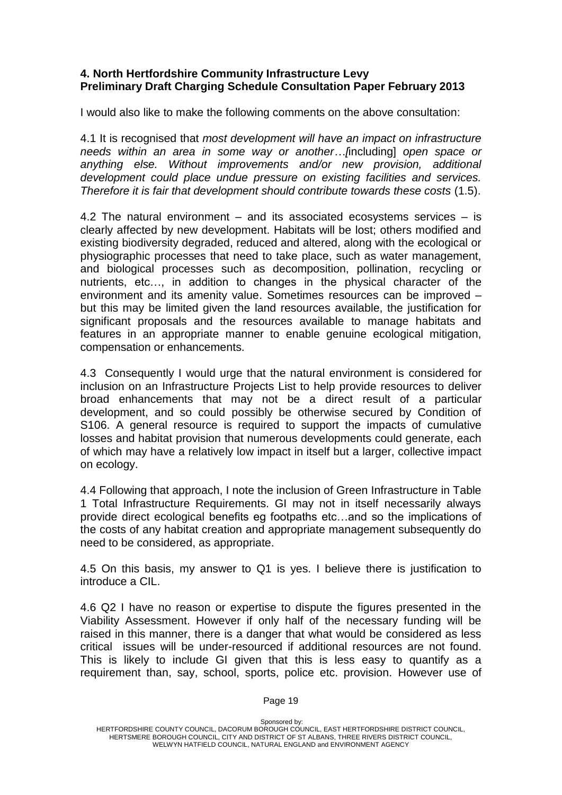#### **4. North Hertfordshire Community Infrastructure Levy Preliminary Draft Charging Schedule Consultation Paper February 2013**

I would also like to make the following comments on the above consultation:

4.1 It is recognised that *most development will have an impact on infrastructure needs within an area in some way or another…[*including] *open space or anything else. Without improvements and/or new provision, additional development could place undue pressure on existing facilities and services. Therefore it is fair that development should contribute towards these costs* (1.5).

4.2 The natural environment – and its associated ecosystems services – is clearly affected by new development. Habitats will be lost; others modified and existing biodiversity degraded, reduced and altered, along with the ecological or physiographic processes that need to take place, such as water management, and biological processes such as decomposition, pollination, recycling or nutrients, etc…, in addition to changes in the physical character of the environment and its amenity value. Sometimes resources can be improved – but this may be limited given the land resources available, the justification for significant proposals and the resources available to manage habitats and features in an appropriate manner to enable genuine ecological mitigation, compensation or enhancements.

4.3 Consequently I would urge that the natural environment is considered for inclusion on an Infrastructure Projects List to help provide resources to deliver broad enhancements that may not be a direct result of a particular development, and so could possibly be otherwise secured by Condition of S106. A general resource is required to support the impacts of cumulative losses and habitat provision that numerous developments could generate, each of which may have a relatively low impact in itself but a larger, collective impact on ecology.

4.4 Following that approach, I note the inclusion of Green Infrastructure in Table 1 Total Infrastructure Requirements. GI may not in itself necessarily always provide direct ecological benefits eg footpaths etc…and so the implications of the costs of any habitat creation and appropriate management subsequently do need to be considered, as appropriate.

4.5 On this basis, my answer to Q1 is yes. I believe there is justification to introduce a CIL.

4.6 Q2 I have no reason or expertise to dispute the figures presented in the Viability Assessment. However if only half of the necessary funding will be raised in this manner, there is a danger that what would be considered as less critical issues will be under-resourced if additional resources are not found. This is likely to include GI given that this is less easy to quantify as a requirement than, say, school, sports, police etc. provision. However use of

Sponsored by: HERTFORDSHIRE COUNTY COUNCIL, DACORUM BOROUGH COUNCIL, EAST HERTFORDSHIRE DISTRICT COUNCIL, HERTSMERE BOROUGH COUNCIL, CITY AND DISTRICT OF ST ALBANS, THREE RIVERS DISTRICT COUNCIL, WELWYN HATFIELD COUNCIL, NATURAL ENGLAND and ENVIRONMENT AGENCY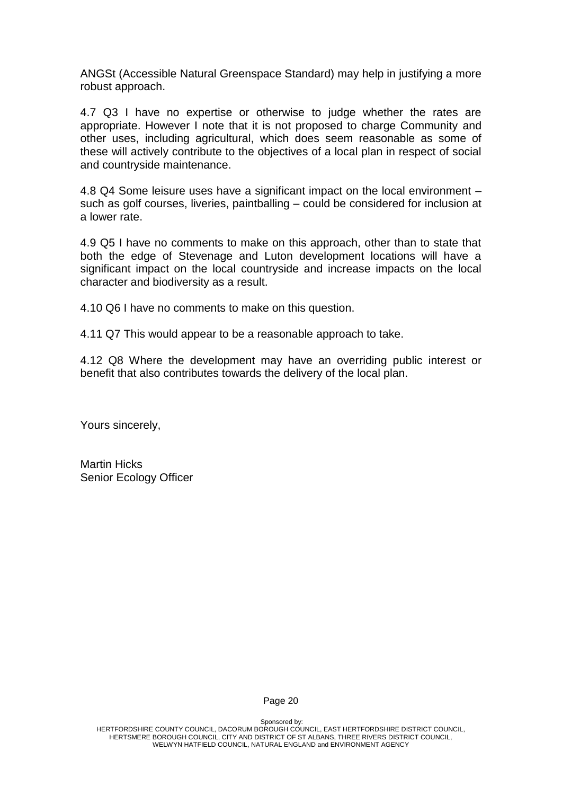ANGSt (Accessible Natural Greenspace Standard) may help in justifying a more robust approach.

4.7 Q3 I have no expertise or otherwise to judge whether the rates are appropriate. However I note that it is not proposed to charge Community and other uses, including agricultural, which does seem reasonable as some of these will actively contribute to the objectives of a local plan in respect of social and countryside maintenance.

4.8 Q4 Some leisure uses have a significant impact on the local environment – such as golf courses, liveries, paintballing – could be considered for inclusion at a lower rate.

4.9 Q5 I have no comments to make on this approach, other than to state that both the edge of Stevenage and Luton development locations will have a significant impact on the local countryside and increase impacts on the local character and biodiversity as a result.

4.10 Q6 I have no comments to make on this question.

4.11 Q7 This would appear to be a reasonable approach to take.

4.12 Q8 Where the development may have an overriding public interest or benefit that also contributes towards the delivery of the local plan.

Yours sincerely,

Martin Hicks Senior Ecology Officer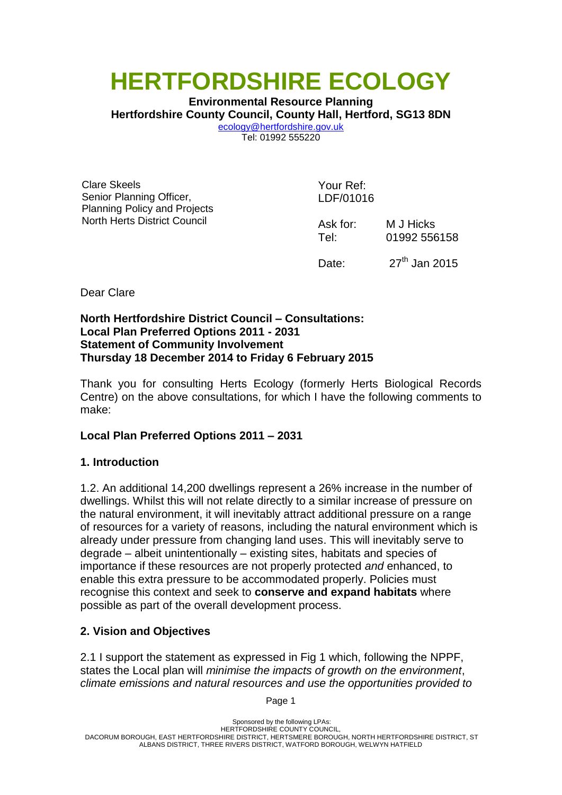# **HERTFORDSHIRE ECOLOGY**

**Environmental Resource Planning Hertfordshire County Council, County Hall, Hertford, SG13 8DN** [ecology@hertfordshire.gov.uk](mailto:ecology@hertfordshire.gov.uk) Tel: 01992 555220

Clare Skeels Senior Planning Officer, Planning Policy and Projects North Herts District Council

Your Ref: LDF/01016

Ask for: M J Hicks Tel: 01992 556158

Date:  $27<sup>th</sup>$  Jan 2015

Dear Clare

#### **North Hertfordshire District Council – Consultations: Local Plan Preferred Options 2011 - 2031 Statement of Community Involvement Thursday 18 December 2014 to Friday 6 February 2015**

Thank you for consulting Herts Ecology (formerly Herts Biological Records Centre) on the above consultations, for which I have the following comments to make:

## **Local Plan Preferred Options 2011 – 2031**

## **1. Introduction**

1.2. An additional 14,200 dwellings represent a 26% increase in the number of dwellings. Whilst this will not relate directly to a similar increase of pressure on the natural environment, it will inevitably attract additional pressure on a range of resources for a variety of reasons, including the natural environment which is already under pressure from changing land uses. This will inevitably serve to degrade – albeit unintentionally – existing sites, habitats and species of importance if these resources are not properly protected *and* enhanced, to enable this extra pressure to be accommodated properly. Policies must recognise this context and seek to **conserve and expand habitats** where possible as part of the overall development process.

## **2. Vision and Objectives**

2.1 I support the statement as expressed in Fig 1 which, following the NPPF, states the Local plan will *minimise the impacts of growth on the environment*, *climate emissions and natural resources and use the opportunities provided to*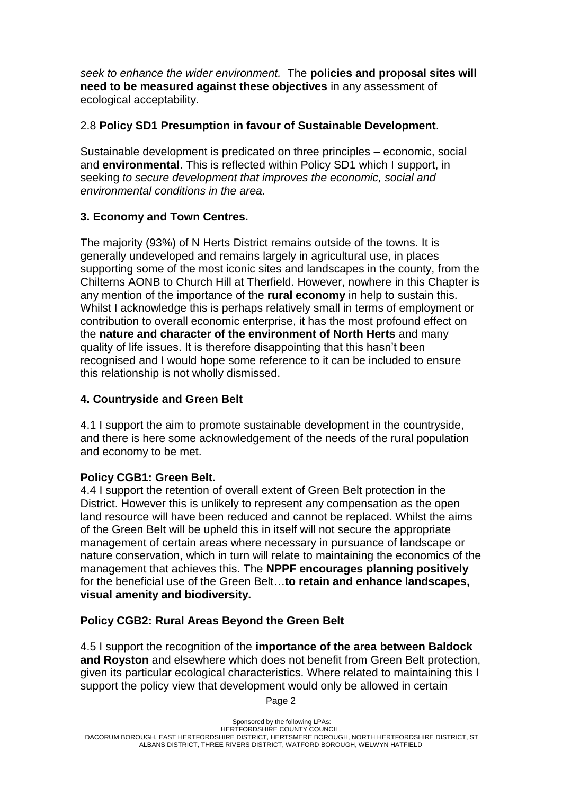*seek to enhance the wider environment.* The **policies and proposal sites will need to be measured against these objectives** in any assessment of ecological acceptability.

#### 2.8 **Policy SD1 Presumption in favour of Sustainable Development**.

Sustainable development is predicated on three principles – economic, social and **environmental**. This is reflected within Policy SD1 which I support, in seeking *to secure development that improves the economic, social and environmental conditions in the area.*

#### **3. Economy and Town Centres.**

The majority (93%) of N Herts District remains outside of the towns. It is generally undeveloped and remains largely in agricultural use, in places supporting some of the most iconic sites and landscapes in the county, from the Chilterns AONB to Church Hill at Therfield. However, nowhere in this Chapter is any mention of the importance of the **rural economy** in help to sustain this. Whilst I acknowledge this is perhaps relatively small in terms of employment or contribution to overall economic enterprise, it has the most profound effect on the **nature and character of the environment of North Herts** and many quality of life issues. It is therefore disappointing that this hasn't been recognised and I would hope some reference to it can be included to ensure this relationship is not wholly dismissed.

#### **4. Countryside and Green Belt**

4.1 I support the aim to promote sustainable development in the countryside, and there is here some acknowledgement of the needs of the rural population and economy to be met.

#### **Policy CGB1: Green Belt.**

4.4 I support the retention of overall extent of Green Belt protection in the District. However this is unlikely to represent any compensation as the open land resource will have been reduced and cannot be replaced. Whilst the aims of the Green Belt will be upheld this in itself will not secure the appropriate management of certain areas where necessary in pursuance of landscape or nature conservation, which in turn will relate to maintaining the economics of the management that achieves this. The **NPPF encourages planning positively** for the beneficial use of the Green Belt…**to retain and enhance landscapes, visual amenity and biodiversity.**

#### **Policy CGB2: Rural Areas Beyond the Green Belt**

4.5 I support the recognition of the **importance of the area between Baldock and Royston** and elsewhere which does not benefit from Green Belt protection, given its particular ecological characteristics. Where related to maintaining this I support the policy view that development would only be allowed in certain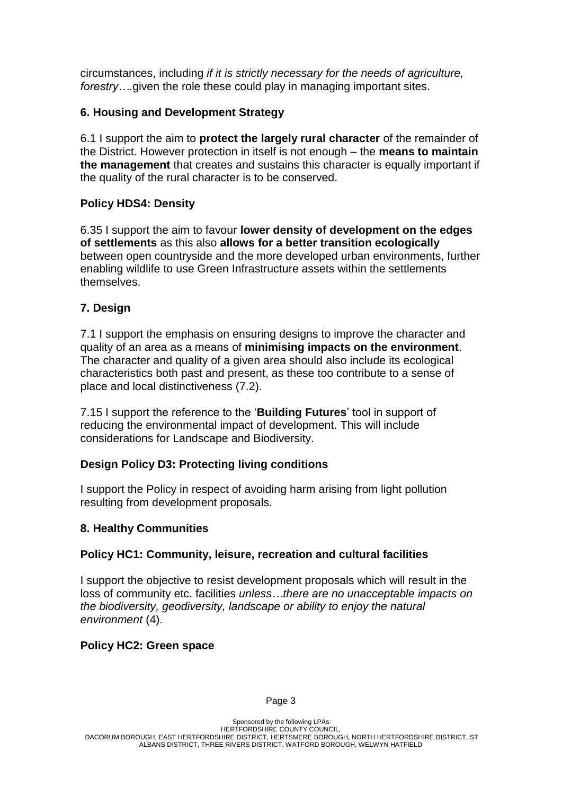circumstances, including *if it is strictly necessary for the needs of agriculture, forestry….*given the role these could play in managing important sites.

## **6. Housing and Development Strategy**

6.1 I support the aim to **protect the largely rural character** of the remainder of the District. However protection in itself is not enough – the **means to maintain the management** that creates and sustains this character is equally important if the quality of the rural character is to be conserved.

## **Policy HDS4: Density**

6.35 I support the aim to favour **lower density of development on the edges of settlements** as this also **allows for a better transition ecologically** between open countryside and the more developed urban environments, further enabling wildlife to use Green Infrastructure assets within the settlements themselves.

# **7. Design**

7.1 I support the emphasis on ensuring designs to improve the character and quality of an area as a means of **minimising impacts on the environment**. The character and quality of a given area should also include its ecological characteristics both past and present, as these too contribute to a sense of place and local distinctiveness (7.2).

7.15 I support the reference to the '**Building Futures**' tool in support of reducing the environmental impact of development. This will include considerations for Landscape and Biodiversity.

## **Design Policy D3: Protecting living conditions**

I support the Policy in respect of avoiding harm arising from light pollution resulting from development proposals.

## **8. Healthy Communities**

## **Policy HC1: Community, leisure, recreation and cultural facilities**

I support the objective to resist development proposals which will result in the loss of community etc. facilities *unless…there are no unacceptable impacts on the biodiversity, geodiversity, landscape or ability to enjoy the natural environment* (4).

## **Policy HC2: Green space**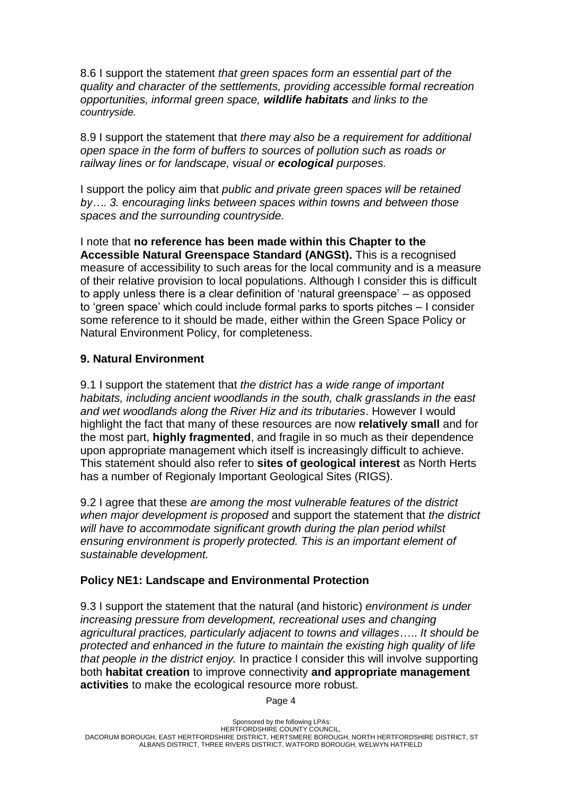8.6 I support the statement *that green spaces form an essential part of the quality and character of the settlements, providing accessible formal recreation opportunities, informal green space, wildlife habitats and links to the countryside.* 

8.9 I support the statement that *there may also be a requirement for additional open space in the form of buffers to sources of pollution such as roads or railway lines or for landscape, visual or ecological purposes.*

I support the policy aim that *public and private green spaces will be retained by…. 3. encouraging links between spaces within towns and between those spaces and the surrounding countryside.* 

I note that **no reference has been made within this Chapter to the Accessible Natural Greenspace Standard (ANGSt).** This is a recognised measure of accessibility to such areas for the local community and is a measure of their relative provision to local populations. Although I consider this is difficult to apply unless there is a clear definition of 'natural greenspace' – as opposed to 'green space' which could include formal parks to sports pitches – I consider some reference to it should be made, either within the Green Space Policy or Natural Environment Policy, for completeness.

# **9. Natural Environment**

9.1 I support the statement that *the district has a wide range of important habitats, including ancient woodlands in the south, chalk grasslands in the east and wet woodlands along the River Hiz and its tributaries*. However I would highlight the fact that many of these resources are now **relatively small** and for the most part, **highly fragmented**, and fragile in so much as their dependence upon appropriate management which itself is increasingly difficult to achieve. This statement should also refer to **sites of geological interest** as North Herts has a number of Regionaly Important Geological Sites (RIGS).

9.2 I agree that these *are among the most vulnerable features of the district when major development is proposed* and support the statement that *the district will have to accommodate significant growth during the plan period whilst ensuring environment is properly protected. This is an important element of sustainable development.*

## **Policy NE1: Landscape and Environmental Protection**

9.3 I support the statement that the natural (and historic) *environment is under increasing pressure from development, recreational uses and changing agricultural practices, particularly adjacent to towns and villages*….. *It should be protected and enhanced in the future to maintain the existing high quality of life that people in the district enjoy.* In practice I consider this will involve supporting both **habitat creation** to improve connectivity **and appropriate management activities** to make the ecological resource more robust.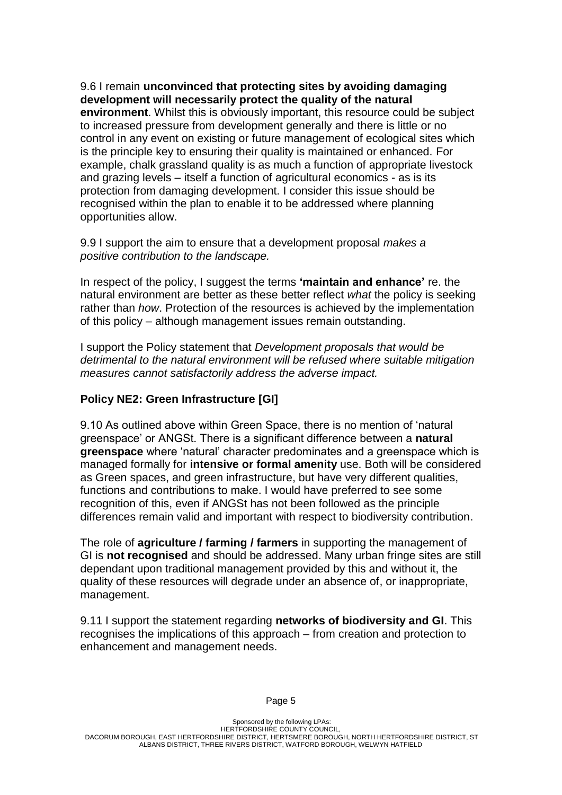9.6 I remain **unconvinced that protecting sites by avoiding damaging development will necessarily protect the quality of the natural** 

**environment**. Whilst this is obviously important, this resource could be subject to increased pressure from development generally and there is little or no control in any event on existing or future management of ecological sites which is the principle key to ensuring their quality is maintained or enhanced. For example, chalk grassland quality is as much a function of appropriate livestock and grazing levels – itself a function of agricultural economics - as is its protection from damaging development. I consider this issue should be recognised within the plan to enable it to be addressed where planning opportunities allow.

9.9 I support the aim to ensure that a development proposal *makes a positive contribution to the landscape.*

In respect of the policy, I suggest the terms **'maintain and enhance'** re. the natural environment are better as these better reflect *what* the policy is seeking rather than *how*. Protection of the resources is achieved by the implementation of this policy – although management issues remain outstanding.

I support the Policy statement that *Development proposals that would be detrimental to the natural environment will be refused where suitable mitigation measures cannot satisfactorily address the adverse impact.*

#### **Policy NE2: Green Infrastructure [GI]**

9.10 As outlined above within Green Space, there is no mention of 'natural greenspace' or ANGSt. There is a significant difference between a **natural greenspace** where 'natural' character predominates and a greenspace which is managed formally for **intensive or formal amenity** use. Both will be considered as Green spaces, and green infrastructure, but have very different qualities, functions and contributions to make. I would have preferred to see some recognition of this, even if ANGSt has not been followed as the principle differences remain valid and important with respect to biodiversity contribution.

The role of **agriculture / farming / farmers** in supporting the management of GI is **not recognised** and should be addressed. Many urban fringe sites are still dependant upon traditional management provided by this and without it, the quality of these resources will degrade under an absence of, or inappropriate, management.

9.11 I support the statement regarding **networks of biodiversity and GI**. This recognises the implications of this approach – from creation and protection to enhancement and management needs.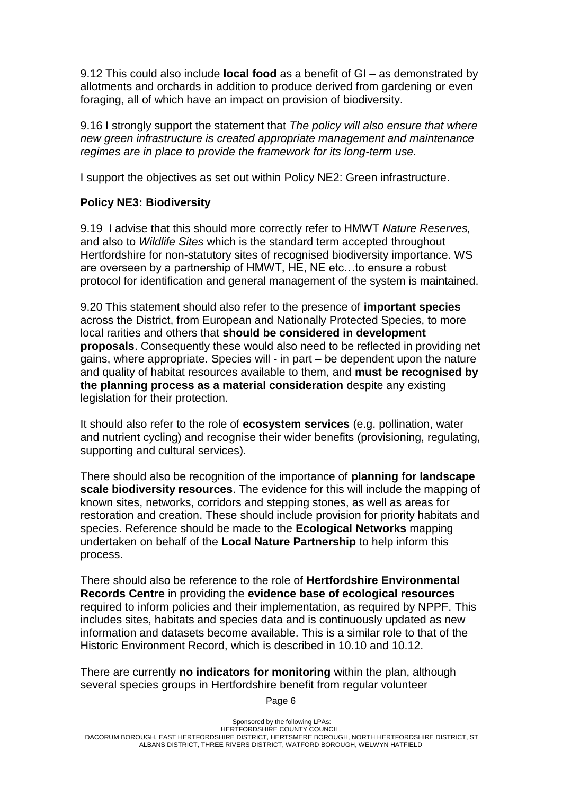9.12 This could also include **local food** as a benefit of GI – as demonstrated by allotments and orchards in addition to produce derived from gardening or even foraging, all of which have an impact on provision of biodiversity.

9.16 I strongly support the statement that *The policy will also ensure that where new green infrastructure is created appropriate management and maintenance regimes are in place to provide the framework for its long-term use.* 

I support the objectives as set out within Policy NE2: Green infrastructure.

# **Policy NE3: Biodiversity**

9.19 I advise that this should more correctly refer to HMWT *Nature Reserves,*  and also to *Wildlife Sites* which is the standard term accepted throughout Hertfordshire for non-statutory sites of recognised biodiversity importance. WS are overseen by a partnership of HMWT, HE, NE etc…to ensure a robust protocol for identification and general management of the system is maintained.

9.20 This statement should also refer to the presence of **important species** across the District, from European and Nationally Protected Species, to more local rarities and others that **should be considered in development proposals**. Consequently these would also need to be reflected in providing net gains, where appropriate. Species will - in part – be dependent upon the nature and quality of habitat resources available to them, and **must be recognised by the planning process as a material consideration** despite any existing legislation for their protection.

It should also refer to the role of **ecosystem services** (e.g. pollination, water and nutrient cycling) and recognise their wider benefits (provisioning, regulating, supporting and cultural services).

There should also be recognition of the importance of **planning for landscape scale biodiversity resources**. The evidence for this will include the mapping of known sites, networks, corridors and stepping stones, as well as areas for restoration and creation. These should include provision for priority habitats and species. Reference should be made to the **Ecological Networks** mapping undertaken on behalf of the **Local Nature Partnership** to help inform this process.

There should also be reference to the role of **Hertfordshire Environmental Records Centre** in providing the **evidence base of ecological resources** required to inform policies and their implementation, as required by NPPF. This includes sites, habitats and species data and is continuously updated as new information and datasets become available. This is a similar role to that of the Historic Environment Record, which is described in 10.10 and 10.12.

There are currently **no indicators for monitoring** within the plan, although several species groups in Hertfordshire benefit from regular volunteer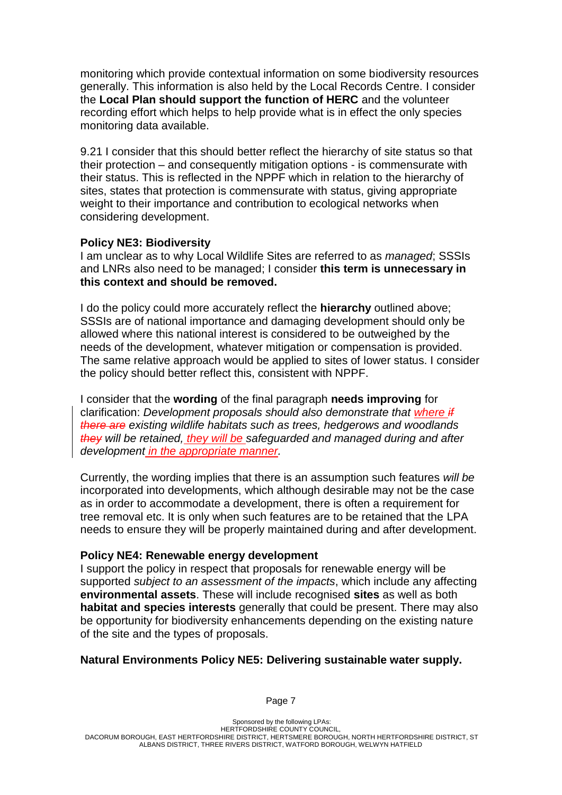monitoring which provide contextual information on some biodiversity resources generally. This information is also held by the Local Records Centre. I consider the **Local Plan should support the function of HERC** and the volunteer recording effort which helps to help provide what is in effect the only species monitoring data available.

9.21 I consider that this should better reflect the hierarchy of site status so that their protection – and consequently mitigation options - is commensurate with their status. This is reflected in the NPPF which in relation to the hierarchy of sites, states that protection is commensurate with status, giving appropriate weight to their importance and contribution to ecological networks when considering development.

#### **Policy NE3: Biodiversity**

I am unclear as to why Local Wildlife Sites are referred to as *managed*; SSSIs and LNRs also need to be managed; I consider **this term is unnecessary in this context and should be removed.**

I do the policy could more accurately reflect the **hierarchy** outlined above; SSSIs are of national importance and damaging development should only be allowed where this national interest is considered to be outweighed by the needs of the development, whatever mitigation or compensation is provided. The same relative approach would be applied to sites of lower status. I consider the policy should better reflect this, consistent with NPPF.

I consider that the **wording** of the final paragraph **needs improving** for clarification: *Development proposals should also demonstrate that where if there are existing wildlife habitats such as trees, hedgerows and woodlands they will be retained, they will be safeguarded and managed during and after development in the appropriate manner.* 

Currently, the wording implies that there is an assumption such features *will be* incorporated into developments, which although desirable may not be the case as in order to accommodate a development, there is often a requirement for tree removal etc. It is only when such features are to be retained that the LPA needs to ensure they will be properly maintained during and after development.

#### **Policy NE4: Renewable energy development**

I support the policy in respect that proposals for renewable energy will be supported *subject to an assessment of the impacts*, which include any affecting **environmental assets**. These will include recognised **sites** as well as both **habitat and species interests** generally that could be present. There may also be opportunity for biodiversity enhancements depending on the existing nature of the site and the types of proposals.

#### **Natural Environments Policy NE5: Delivering sustainable water supply.**

Sponsored by the following LPAs: HERTFORDSHIRE COUNTY COUNCIL, DACORUM BOROUGH, EAST HERTFORDSHIRE DISTRICT, HERTSMERE BOROUGH, NORTH HERTFORDSHIRE DISTRICT, ST ALBANS DISTRICT, THREE RIVERS DISTRICT, WATFORD BOROUGH, WELWYN HATFIELD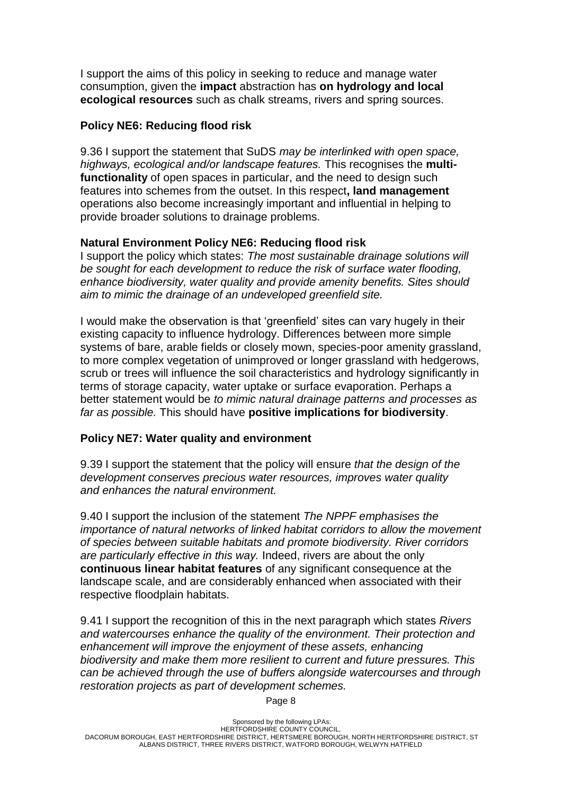I support the aims of this policy in seeking to reduce and manage water consumption, given the **impact** abstraction has **on hydrology and local ecological resources** such as chalk streams, rivers and spring sources.

#### **Policy NE6: Reducing flood risk**

9.36 I support the statement that SuDS *may be interlinked with open space, highways, ecological and/or landscape features.* This recognises the **multifunctionality** of open spaces in particular, and the need to design such features into schemes from the outset. In this respect**, land management** operations also become increasingly important and influential in helping to provide broader solutions to drainage problems.

## **Natural Environment Policy NE6: Reducing flood risk**

I support the policy which states: *The most sustainable drainage solutions will be sought for each development to reduce the risk of surface water flooding, enhance biodiversity, water quality and provide amenity benefits. Sites should aim to mimic the drainage of an undeveloped greenfield site.*

I would make the observation is that 'greenfield' sites can vary hugely in their existing capacity to influence hydrology. Differences between more simple systems of bare, arable fields or closely mown, species-poor amenity grassland, to more complex vegetation of unimproved or longer grassland with hedgerows, scrub or trees will influence the soil characteristics and hydrology significantly in terms of storage capacity, water uptake or surface evaporation. Perhaps a better statement would be *to mimic natural drainage patterns and processes as far as possible.* This should have **positive implications for biodiversity**.

## **Policy NE7: Water quality and environment**

9.39 I support the statement that the policy will ensure *that the design of the development conserves precious water resources, improves water quality and enhances the natural environment.*

9.40 I support the inclusion of the statement *The NPPF emphasises the importance of natural networks of linked habitat corridors to allow the movement of species between suitable habitats and promote biodiversity. River corridors are particularly effective in this way.* Indeed, rivers are about the only **continuous linear habitat features** of any significant consequence at the landscape scale, and are considerably enhanced when associated with their respective floodplain habitats.

9.41 I support the recognition of this in the next paragraph which states *Rivers and watercourses enhance the quality of the environment. Their protection and enhancement will improve the enjoyment of these assets, enhancing biodiversity and make them more resilient to current and future pressures. This can be achieved through the use of buffers alongside watercourses and through restoration projects as part of development schemes.*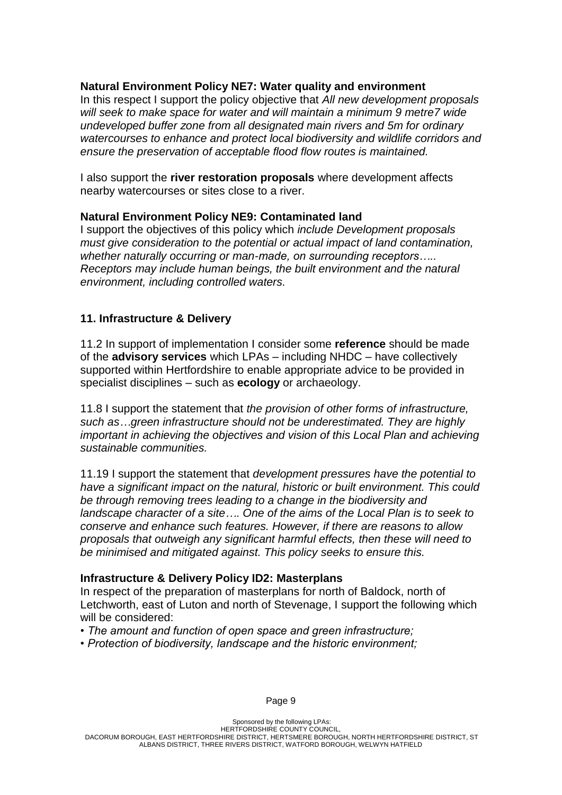#### **Natural Environment Policy NE7: Water quality and environment**

In this respect I support the policy objective that *All new development proposals will seek to make space for water and will maintain a minimum 9 metre7 wide undeveloped buffer zone from all designated main rivers and 5m for ordinary watercourses to enhance and protect local biodiversity and wildlife corridors and ensure the preservation of acceptable flood flow routes is maintained.*

I also support the **river restoration proposals** where development affects nearby watercourses or sites close to a river.

#### **Natural Environment Policy NE9: Contaminated land**

I support the objectives of this policy which *include Development proposals must give consideration to the potential or actual impact of land contamination, whether naturally occurring or man-made, on surrounding receptors….. Receptors may include human beings, the built environment and the natural environment, including controlled waters.*

## **11. Infrastructure & Delivery**

11.2 In support of implementation I consider some **reference** should be made of the **advisory services** which LPAs – including NHDC – have collectively supported within Hertfordshire to enable appropriate advice to be provided in specialist disciplines – such as **ecology** or archaeology.

11.8 I support the statement that *the provision of other forms of infrastructure, such as…green infrastructure should not be underestimated. They are highly important in achieving the objectives and vision of this Local Plan and achieving sustainable communities.* 

11.19 I support the statement that *development pressures have the potential to have a significant impact on the natural, historic or built environment. This could be through removing trees leading to a change in the biodiversity and landscape character of a site…. One of the aims of the Local Plan is to seek to conserve and enhance such features. However, if there are reasons to allow proposals that outweigh any significant harmful effects, then these will need to be minimised and mitigated against. This policy seeks to ensure this.*

#### **Infrastructure & Delivery Policy ID2: Masterplans**

In respect of the preparation of masterplans for north of Baldock, north of Letchworth, east of Luton and north of Stevenage, I support the following which will be considered:

- *The amount and function of open space and green infrastructure;*
- *Protection of biodiversity, landscape and the historic environment;*

Sponsored by the following LPAs: HERTFORDSHIRE COUNTY COUNCIL, DACORUM BOROUGH, EAST HERTFORDSHIRE DISTRICT, HERTSMERE BOROUGH, NORTH HERTFORDSHIRE DISTRICT, ST ALBANS DISTRICT, THREE RIVERS DISTRICT, WATFORD BOROUGH, WELWYN HATFIELD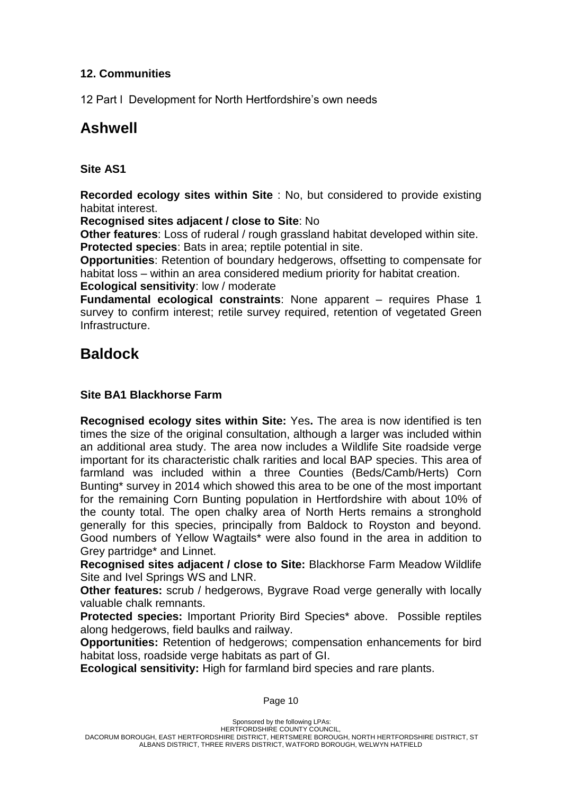## **12. Communities**

12 Part l Development for North Hertfordshire's own needs

# **Ashwell**

# **Site AS1**

**Recorded ecology sites within Site** : No, but considered to provide existing habitat interest.

**Recognised sites adjacent / close to Site**: No

**Other features**: Loss of ruderal / rough grassland habitat developed within site. **Protected species**: Bats in area; reptile potential in site.

**Opportunities**: Retention of boundary hedgerows, offsetting to compensate for habitat loss – within an area considered medium priority for habitat creation.

**Ecological sensitivity**: low / moderate

**Fundamental ecological constraints**: None apparent – requires Phase 1 survey to confirm interest; retile survey required, retention of vegetated Green Infrastructure.

# **Baldock**

# **Site BA1 Blackhorse Farm**

**Recognised ecology sites within Site:** Yes**.** The area is now identified is ten times the size of the original consultation, although a larger was included within an additional area study. The area now includes a Wildlife Site roadside verge important for its characteristic chalk rarities and local BAP species. This area of farmland was included within a three Counties (Beds/Camb/Herts) Corn Bunting\* survey in 2014 which showed this area to be one of the most important for the remaining Corn Bunting population in Hertfordshire with about 10% of the county total. The open chalky area of North Herts remains a stronghold generally for this species, principally from Baldock to Royston and beyond. Good numbers of Yellow Wagtails\* were also found in the area in addition to Grey partridge\* and Linnet.

**Recognised sites adjacent / close to Site:** Blackhorse Farm Meadow Wildlife Site and Ivel Springs WS and LNR.

**Other features:** scrub / hedgerows, Bygrave Road verge generally with locally valuable chalk remnants.

**Protected species:** Important Priority Bird Species\* above. Possible reptiles along hedgerows, field baulks and railway.

**Opportunities:** Retention of hedgerows; compensation enhancements for bird habitat loss, roadside verge habitats as part of GI.

**Ecological sensitivity:** High for farmland bird species and rare plants.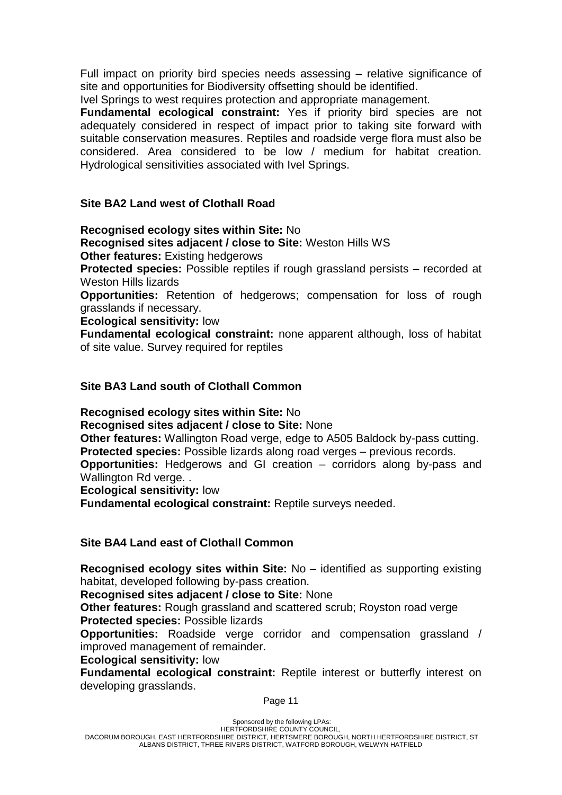Full impact on priority bird species needs assessing – relative significance of site and opportunities for Biodiversity offsetting should be identified.

Ivel Springs to west requires protection and appropriate management.

**Fundamental ecological constraint:** Yes if priority bird species are not adequately considered in respect of impact prior to taking site forward with suitable conservation measures. Reptiles and roadside verge flora must also be considered. Area considered to be low / medium for habitat creation. Hydrological sensitivities associated with Ivel Springs.

#### **Site BA2 Land west of Clothall Road**

**Recognised ecology sites within Site:** No

**Recognised sites adjacent / close to Site:** Weston Hills WS

**Other features:** Existing hedgerows

**Protected species:** Possible reptiles if rough grassland persists – recorded at Weston Hills lizards

**Opportunities:** Retention of hedgerows; compensation for loss of rough grasslands if necessary.

**Ecological sensitivity:** low

**Fundamental ecological constraint:** none apparent although, loss of habitat of site value. Survey required for reptiles

#### **Site BA3 Land south of Clothall Common**

**Recognised ecology sites within Site:** No

**Recognised sites adjacent / close to Site:** None

**Other features:** Wallington Road verge, edge to A505 Baldock by-pass cutting. **Protected species:** Possible lizards along road verges – previous records.

**Opportunities:** Hedgerows and GI creation – corridors along by-pass and

Wallington Rd verge...

**Ecological sensitivity:** low

**Fundamental ecological constraint:** Reptile surveys needed.

#### **Site BA4 Land east of Clothall Common**

**Recognised ecology sites within Site:** No – identified as supporting existing habitat, developed following by-pass creation.

**Recognised sites adjacent / close to Site:** None

**Other features:** Rough grassland and scattered scrub; Royston road verge **Protected species:** Possible lizards

**Opportunities:** Roadside verge corridor and compensation grassland / improved management of remainder.

**Ecological sensitivity:** low

**Fundamental ecological constraint:** Reptile interest or butterfly interest on developing grasslands.

Page 11

Sponsored by the following LPAs: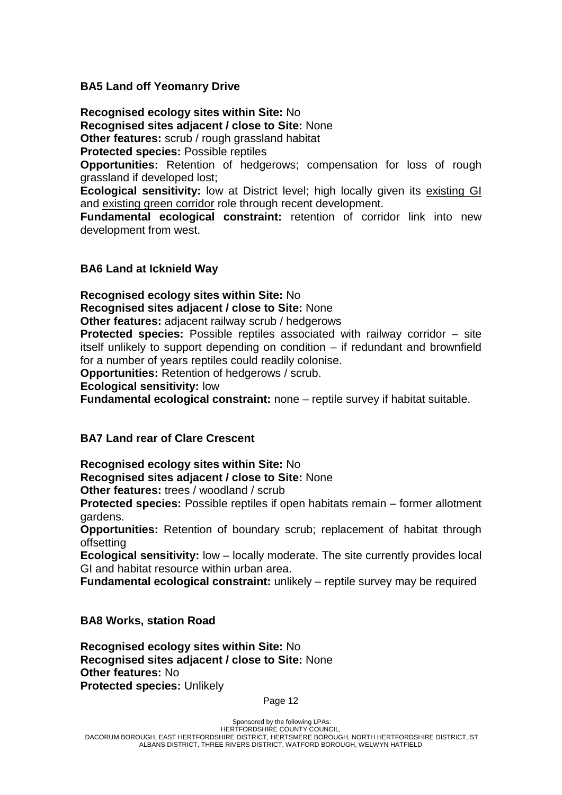#### **BA5 Land off Yeomanry Drive**

**Recognised ecology sites within Site:** No **Recognised sites adjacent / close to Site:** None **Other features:** scrub / rough grassland habitat

**Protected species:** Possible reptiles

**Opportunities:** Retention of hedgerows; compensation for loss of rough grassland if developed lost;

**Ecological sensitivity:** low at District level; high locally given its existing GI and existing green corridor role through recent development.

**Fundamental ecological constraint:** retention of corridor link into new development from west.

#### **BA6 Land at Icknield Way**

**Recognised ecology sites within Site:** No

**Recognised sites adjacent / close to Site:** None

**Other features:** adjacent railway scrub / hedgerows

**Protected species:** Possible reptiles associated with railway corridor – site itself unlikely to support depending on condition – if redundant and brownfield for a number of years reptiles could readily colonise.

**Opportunities:** Retention of hedgerows / scrub.

**Ecological sensitivity:** low

**Fundamental ecological constraint:** none – reptile survey if habitat suitable.

#### **BA7 Land rear of Clare Crescent**

**Recognised ecology sites within Site:** No

**Recognised sites adjacent / close to Site:** None

**Other features:** trees / woodland / scrub

**Protected species:** Possible reptiles if open habitats remain – former allotment gardens.

**Opportunities:** Retention of boundary scrub; replacement of habitat through offsetting

**Ecological sensitivity:** low – locally moderate. The site currently provides local GI and habitat resource within urban area.

**Fundamental ecological constraint:** unlikely – reptile survey may be required

#### **BA8 Works, station Road**

**Recognised ecology sites within Site:** No **Recognised sites adjacent / close to Site:** None **Other features:** No **Protected species:** Unlikely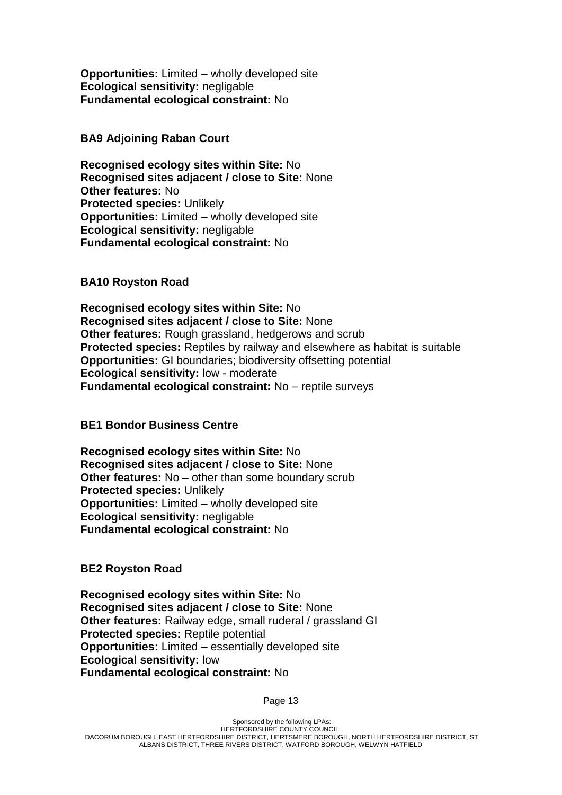**Opportunities:** Limited – wholly developed site **Ecological sensitivity:** negligable **Fundamental ecological constraint:** No

#### **BA9 Adjoining Raban Court**

**Recognised ecology sites within Site:** No **Recognised sites adjacent / close to Site:** None **Other features:** No **Protected species:** Unlikely **Opportunities:** Limited – wholly developed site **Ecological sensitivity:** negligable **Fundamental ecological constraint:** No

#### **BA10 Royston Road**

**Recognised ecology sites within Site:** No **Recognised sites adjacent / close to Site:** None **Other features:** Rough grassland, hedgerows and scrub **Protected species:** Reptiles by railway and elsewhere as habitat is suitable **Opportunities:** GI boundaries; biodiversity offsetting potential **Ecological sensitivity:** low - moderate **Fundamental ecological constraint:** No – reptile surveys

## **BE1 Bondor Business Centre**

**Recognised ecology sites within Site:** No **Recognised sites adjacent / close to Site:** None **Other features:** No – other than some boundary scrub **Protected species:** Unlikely **Opportunities:** Limited – wholly developed site **Ecological sensitivity:** negligable **Fundamental ecological constraint:** No

**BE2 Royston Road**

**Recognised ecology sites within Site:** No **Recognised sites adjacent / close to Site:** None **Other features:** Railway edge, small ruderal / grassland GI **Protected species:** Reptile potential **Opportunities:** Limited – essentially developed site **Ecological sensitivity:** low **Fundamental ecological constraint:** No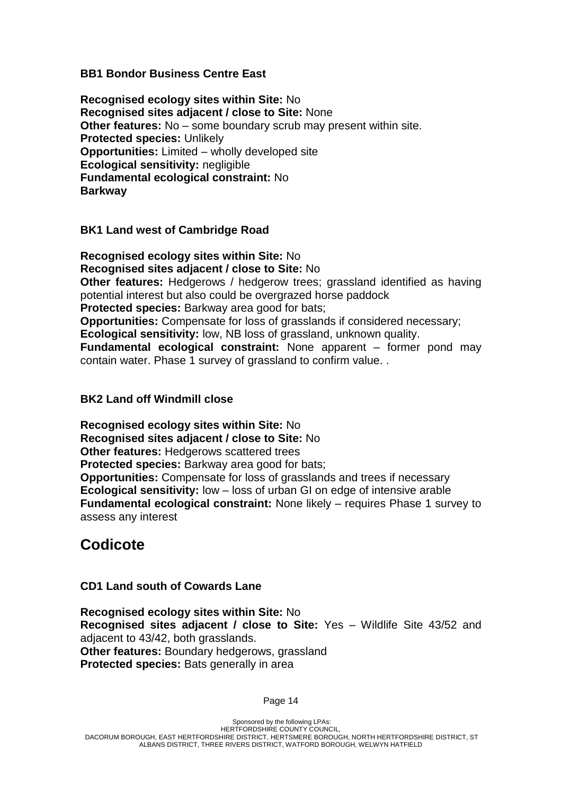#### **BB1 Bondor Business Centre East**

**Recognised ecology sites within Site:** No **Recognised sites adjacent / close to Site:** None **Other features:** No – some boundary scrub may present within site. **Protected species:** Unlikely **Opportunities:** Limited – wholly developed site **Ecological sensitivity:** negligible **Fundamental ecological constraint:** No **Barkway**

#### **BK1 Land west of Cambridge Road**

**Recognised ecology sites within Site:** No **Recognised sites adjacent / close to Site:** No **Other features:** Hedgerows / hedgerow trees; grassland identified as having potential interest but also could be overgrazed horse paddock **Protected species:** Barkway area good for bats; **Opportunities:** Compensate for loss of grasslands if considered necessary; **Ecological sensitivity:** low, NB loss of grassland, unknown quality. **Fundamental ecological constraint:** None apparent – former pond may contain water. Phase 1 survey of grassland to confirm value. .

#### **BK2 Land off Windmill close**

**Recognised ecology sites within Site:** No **Recognised sites adjacent / close to Site:** No **Other features:** Hedgerows scattered trees **Protected species:** Barkway area good for bats; **Opportunities:** Compensate for loss of grasslands and trees if necessary **Ecological sensitivity:** low – loss of urban GI on edge of intensive arable **Fundamental ecological constraint:** None likely – requires Phase 1 survey to assess any interest

# **Codicote**

## **CD1 Land south of Cowards Lane**

**Recognised ecology sites within Site:** No **Recognised sites adjacent / close to Site:** Yes – Wildlife Site 43/52 and adjacent to 43/42, both grasslands. **Other features:** Boundary hedgerows, grassland **Protected species:** Bats generally in area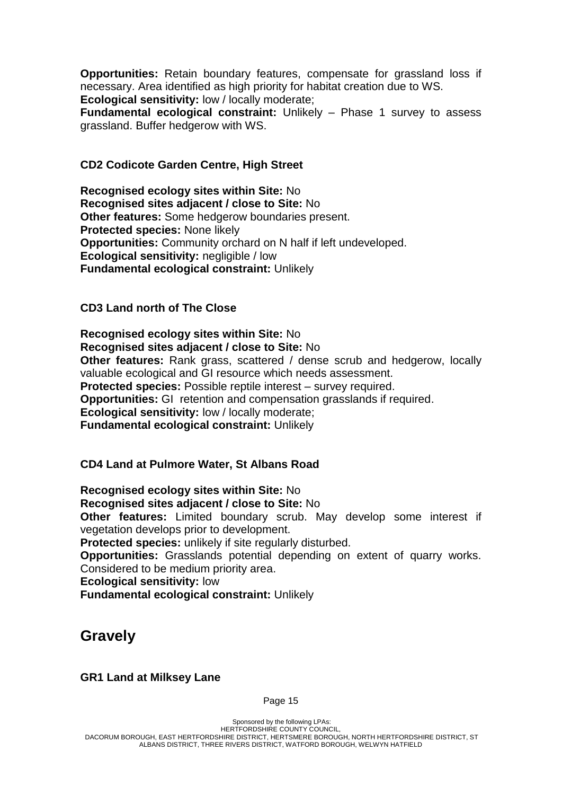**Opportunities:** Retain boundary features, compensate for grassland loss if necessary. Area identified as high priority for habitat creation due to WS. **Ecological sensitivity:** low / locally moderate;

**Fundamental ecological constraint:** Unlikely – Phase 1 survey to assess grassland. Buffer hedgerow with WS.

#### **CD2 Codicote Garden Centre, High Street**

**Recognised ecology sites within Site:** No **Recognised sites adjacent / close to Site:** No **Other features:** Some hedgerow boundaries present. **Protected species:** None likely **Opportunities:** Community orchard on N half if left undeveloped. **Ecological sensitivity:** negligible / low **Fundamental ecological constraint:** Unlikely

#### **CD3 Land north of The Close**

**Recognised ecology sites within Site:** No **Recognised sites adjacent / close to Site:** No **Other features:** Rank grass, scattered / dense scrub and hedgerow, locally valuable ecological and GI resource which needs assessment. **Protected species:** Possible reptile interest – survey required. **Opportunities:** GI retention and compensation grasslands if required. **Ecological sensitivity:** low / locally moderate; **Fundamental ecological constraint:** Unlikely

#### **CD4 Land at Pulmore Water, St Albans Road**

**Recognised ecology sites within Site:** No **Recognised sites adjacent / close to Site:** No **Other features:** Limited boundary scrub. May develop some interest if vegetation develops prior to development. **Protected species:** unlikely if site regularly disturbed. **Opportunities:** Grasslands potential depending on extent of quarry works. Considered to be medium priority area. **Ecological sensitivity:** low **Fundamental ecological constraint:** Unlikely

# **Gravely**

#### **GR1 Land at Milksey Lane**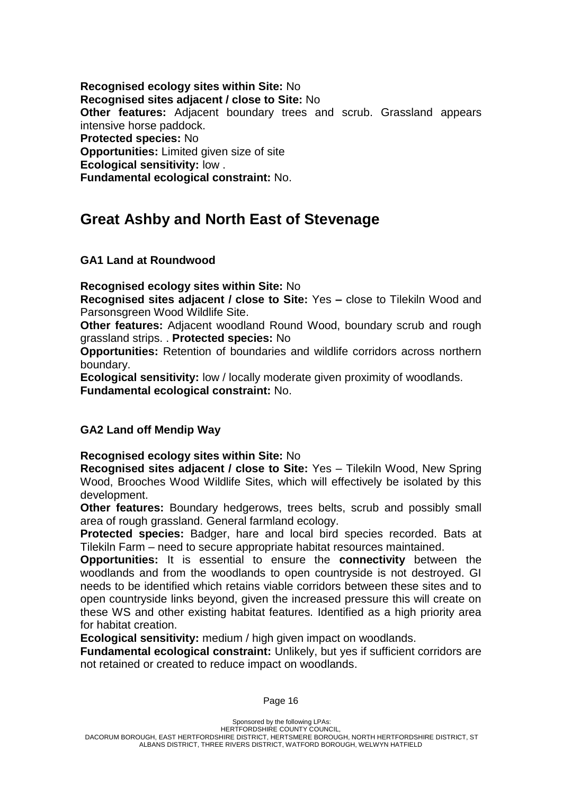**Recognised ecology sites within Site:** No **Recognised sites adjacent / close to Site:** No **Other features:** Adjacent boundary trees and scrub. Grassland appears intensive horse paddock. **Protected species:** No **Opportunities:** Limited given size of site **Ecological sensitivity:** low . **Fundamental ecological constraint:** No.

# **Great Ashby and North East of Stevenage**

## **GA1 Land at Roundwood**

**Recognised ecology sites within Site:** No

**Recognised sites adjacent / close to Site:** Yes **–** close to Tilekiln Wood and Parsonsgreen Wood Wildlife Site.

**Other features:** Adjacent woodland Round Wood, boundary scrub and rough grassland strips. . **Protected species:** No

**Opportunities:** Retention of boundaries and wildlife corridors across northern boundary.

**Ecological sensitivity:** low / locally moderate given proximity of woodlands. **Fundamental ecological constraint:** No.

#### **GA2 Land off Mendip Way**

**Recognised ecology sites within Site:** No

**Recognised sites adjacent / close to Site:** Yes – Tilekiln Wood, New Spring Wood, Brooches Wood Wildlife Sites, which will effectively be isolated by this development.

**Other features:** Boundary hedgerows, trees belts, scrub and possibly small area of rough grassland. General farmland ecology.

**Protected species:** Badger, hare and local bird species recorded. Bats at Tilekiln Farm – need to secure appropriate habitat resources maintained.

**Opportunities:** It is essential to ensure the **connectivity** between the woodlands and from the woodlands to open countryside is not destroyed. GI needs to be identified which retains viable corridors between these sites and to open countryside links beyond, given the increased pressure this will create on these WS and other existing habitat features. Identified as a high priority area for habitat creation.

**Ecological sensitivity:** medium / high given impact on woodlands.

**Fundamental ecological constraint:** Unlikely, but yes if sufficient corridors are not retained or created to reduce impact on woodlands.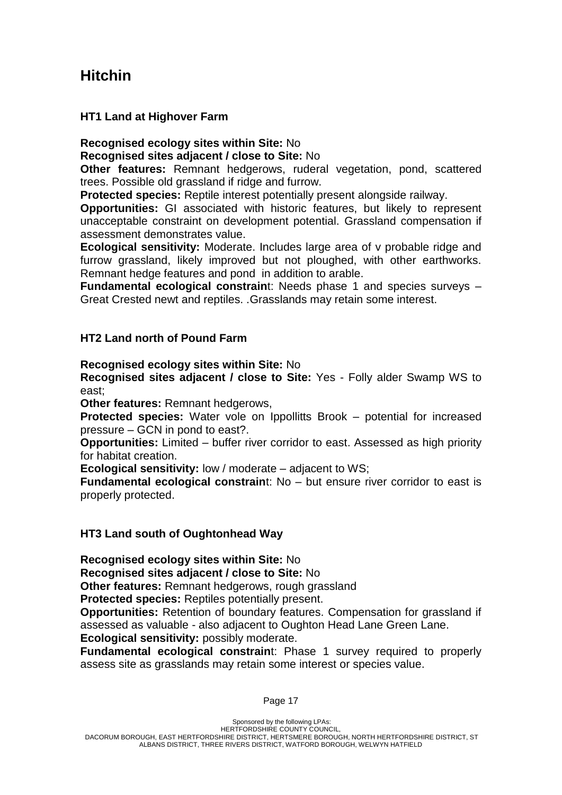# **Hitchin**

### **HT1 Land at Highover Farm**

## **Recognised ecology sites within Site:** No

**Recognised sites adjacent / close to Site:** No

**Other features:** Remnant hedgerows, ruderal vegetation, pond, scattered trees. Possible old grassland if ridge and furrow.

**Protected species:** Reptile interest potentially present alongside railway.

**Opportunities:** GI associated with historic features, but likely to represent unacceptable constraint on development potential. Grassland compensation if assessment demonstrates value.

**Ecological sensitivity:** Moderate. Includes large area of v probable ridge and furrow grassland, likely improved but not ploughed, with other earthworks. Remnant hedge features and pond in addition to arable.

**Fundamental ecological constrain**t: Needs phase 1 and species surveys – Great Crested newt and reptiles. .Grasslands may retain some interest.

## **HT2 Land north of Pound Farm**

#### **Recognised ecology sites within Site:** No

**Recognised sites adjacent / close to Site:** Yes - Folly alder Swamp WS to east;

**Other features:** Remnant hedgerows,

**Protected species:** Water vole on Ippollitts Brook – potential for increased pressure – GCN in pond to east?.

**Opportunities:** Limited – buffer river corridor to east. Assessed as high priority for habitat creation.

**Ecological sensitivity:** low / moderate – adjacent to WS;

**Fundamental ecological constrain**t: No – but ensure river corridor to east is properly protected.

## **HT3 Land south of Oughtonhead Way**

**Recognised ecology sites within Site:** No

**Recognised sites adjacent / close to Site:** No

**Other features:** Remnant hedgerows, rough grassland

**Protected species: Reptiles potentially present.** 

**Opportunities:** Retention of boundary features. Compensation for grassland if assessed as valuable - also adjacent to Oughton Head Lane Green Lane. **Ecological sensitivity:** possibly moderate.

**Fundamental ecological constrain**t: Phase 1 survey required to properly assess site as grasslands may retain some interest or species value.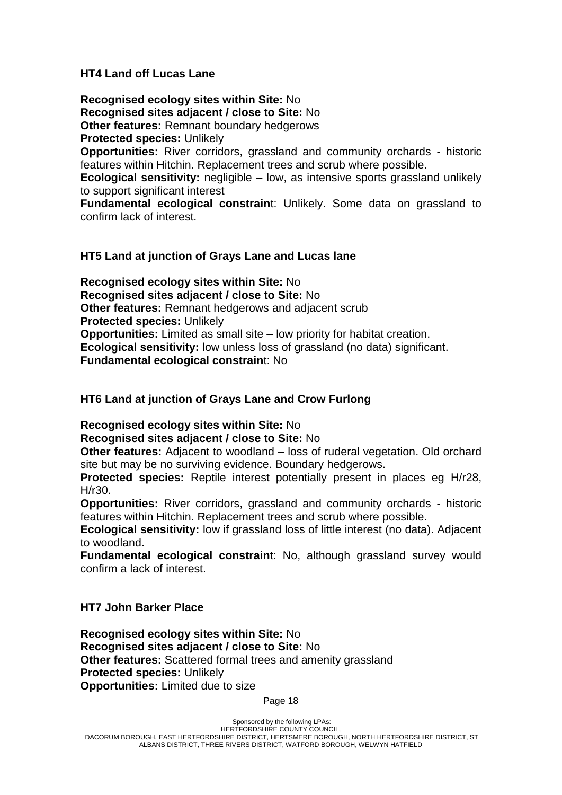### **HT4 Land off Lucas Lane**

**Recognised ecology sites within Site:** No **Recognised sites adjacent / close to Site:** No **Other features:** Remnant boundary hedgerows **Protected species:** Unlikely

**Opportunities:** River corridors, grassland and community orchards - historic features within Hitchin. Replacement trees and scrub where possible.

**Ecological sensitivity:** negligible **–** low, as intensive sports grassland unlikely to support significant interest

**Fundamental ecological constrain**t: Unlikely. Some data on grassland to confirm lack of interest.

### **HT5 Land at junction of Grays Lane and Lucas lane**

**Recognised ecology sites within Site:** No **Recognised sites adjacent / close to Site:** No **Other features:** Remnant hedgerows and adjacent scrub **Protected species:** Unlikely **Opportunities:** Limited as small site – low priority for habitat creation. **Ecological sensitivity:** low unless loss of grassland (no data) significant. **Fundamental ecological constrain**t: No

## **HT6 Land at junction of Grays Lane and Crow Furlong**

**Recognised ecology sites within Site:** No

**Recognised sites adjacent / close to Site:** No

**Other features:** Adjacent to woodland – loss of ruderal vegetation. Old orchard site but may be no surviving evidence. Boundary hedgerows.

**Protected species:** Reptile interest potentially present in places eg H/r28, H/r30.

**Opportunities:** River corridors, grassland and community orchards - historic features within Hitchin. Replacement trees and scrub where possible.

**Ecological sensitivity:** low if grassland loss of little interest (no data). Adjacent to woodland.

**Fundamental ecological constraint: No, although grassland survey would** confirm a lack of interest.

## **HT7 John Barker Place**

**Recognised ecology sites within Site:** No **Recognised sites adjacent / close to Site:** No **Other features:** Scattered formal trees and amenity grassland **Protected species:** Unlikely **Opportunities:** Limited due to size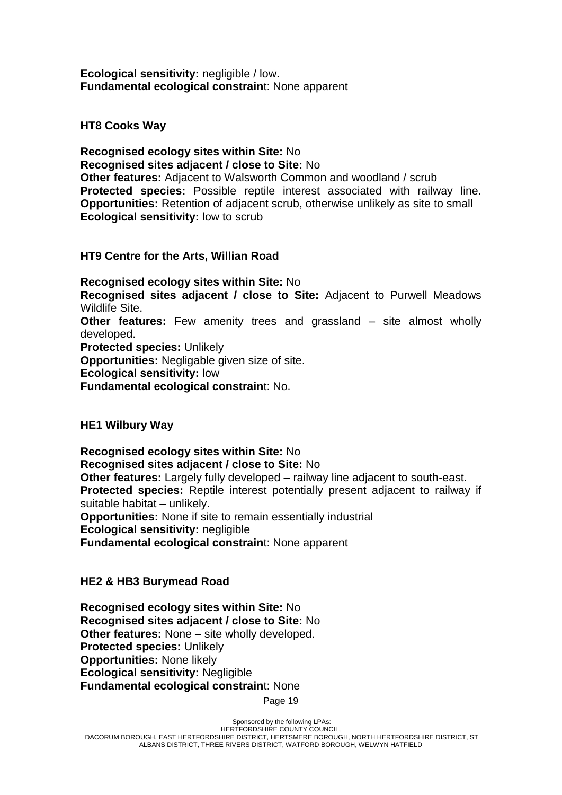**Ecological sensitivity:** negligible / low. **Fundamental ecological constrain**t: None apparent

**HT8 Cooks Way**

**Recognised ecology sites within Site:** No **Recognised sites adjacent / close to Site:** No **Other features:** Adjacent to Walsworth Common and woodland / scrub **Protected species:** Possible reptile interest associated with railway line. **Opportunities:** Retention of adjacent scrub, otherwise unlikely as site to small **Ecological sensitivity:** low to scrub

**HT9 Centre for the Arts, Willian Road**

**Recognised ecology sites within Site:** No **Recognised sites adjacent / close to Site:** Adjacent to Purwell Meadows Wildlife Site. **Other features:** Few amenity trees and grassland – site almost wholly

developed. **Protected species:** Unlikely

**Opportunities:** Negligable given size of site.

**Ecological sensitivity:** low

**Fundamental ecological constrain**t: No.

**HE1 Wilbury Way**

**Recognised ecology sites within Site:** No **Recognised sites adjacent / close to Site:** No **Other features:** Largely fully developed – railway line adjacent to south-east. **Protected species:** Reptile interest potentially present adjacent to railway if suitable habitat – unlikely.

**Opportunities:** None if site to remain essentially industrial

**Ecological sensitivity:** negligible

**Fundamental ecological constrain**t: None apparent

## **HE2 & HB3 Burymead Road**

**Recognised ecology sites within Site:** No **Recognised sites adjacent / close to Site:** No **Other features:** None – site wholly developed. **Protected species:** Unlikely **Opportunities:** None likely **Ecological sensitivity:** Negligible **Fundamental ecological constrain**t: None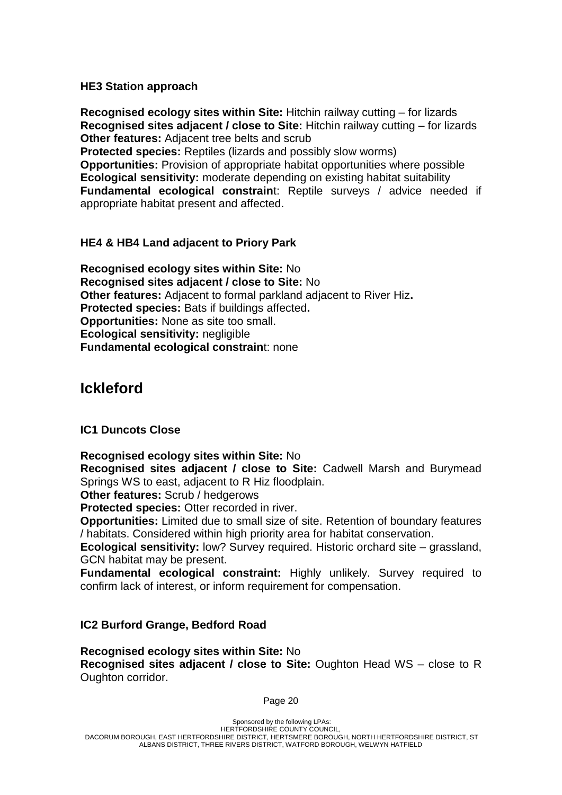#### **HE3 Station approach**

**Recognised ecology sites within Site:** Hitchin railway cutting – for lizards **Recognised sites adjacent / close to Site:** Hitchin railway cutting – for lizards **Other features:** Adjacent tree belts and scrub

**Protected species:** Reptiles (lizards and possibly slow worms) **Opportunities:** Provision of appropriate habitat opportunities where possible **Ecological sensitivity:** moderate depending on existing habitat suitability **Fundamental ecological constrain**t: Reptile surveys / advice needed if appropriate habitat present and affected.

## **HE4 & HB4 Land adjacent to Priory Park**

**Recognised ecology sites within Site:** No **Recognised sites adjacent / close to Site:** No **Other features:** Adjacent to formal parkland adjacent to River Hiz**. Protected species:** Bats if buildings affected**. Opportunities:** None as site too small. **Ecological sensitivity:** negligible **Fundamental ecological constrain**t: none

## **Ickleford**

#### **IC1 Duncots Close**

#### **Recognised ecology sites within Site:** No

**Recognised sites adjacent / close to Site:** Cadwell Marsh and Burymead Springs WS to east, adjacent to R Hiz floodplain.

**Other features:** Scrub / hedgerows

**Protected species:** Otter recorded in river.

**Opportunities:** Limited due to small size of site. Retention of boundary features / habitats. Considered within high priority area for habitat conservation.

**Ecological sensitivity:** low? Survey required. Historic orchard site – grassland, GCN habitat may be present.

**Fundamental ecological constraint:** Highly unlikely. Survey required to confirm lack of interest, or inform requirement for compensation.

#### **IC2 Burford Grange, Bedford Road**

**Recognised ecology sites within Site:** No **Recognised sites adjacent / close to Site:** Oughton Head WS – close to R Oughton corridor.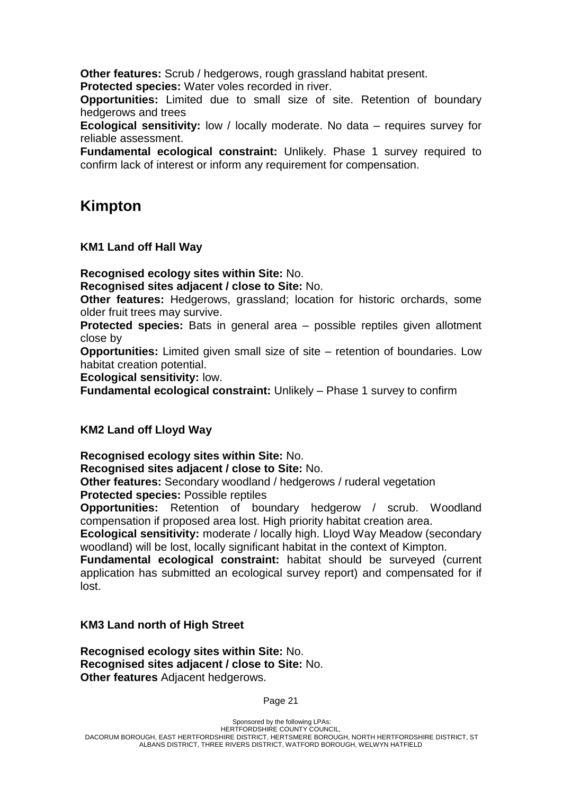**Other features:** Scrub / hedgerows, rough grassland habitat present.

**Protected species:** Water voles recorded in river.

**Opportunities:** Limited due to small size of site. Retention of boundary hedgerows and trees

**Ecological sensitivity:** low / locally moderate. No data – requires survey for reliable assessment.

**Fundamental ecological constraint:** Unlikely. Phase 1 survey required to confirm lack of interest or inform any requirement for compensation.

## **Kimpton**

**KM1 Land off Hall Way**

**Recognised ecology sites within Site:** No.

**Recognised sites adjacent / close to Site:** No.

**Other features:** Hedgerows, grassland; location for historic orchards, some older fruit trees may survive.

**Protected species:** Bats in general area – possible reptiles given allotment close by

**Opportunities:** Limited given small size of site – retention of boundaries. Low habitat creation potential.

**Ecological sensitivity:** low.

**Fundamental ecological constraint:** Unlikely – Phase 1 survey to confirm

## **KM2 Land off Lloyd Way**

**Recognised ecology sites within Site:** No.

**Recognised sites adjacent / close to Site:** No.

**Other features:** Secondary woodland / hedgerows / ruderal vegetation **Protected species:** Possible reptiles

**Opportunities:** Retention of boundary hedgerow / scrub. Woodland compensation if proposed area lost. High priority habitat creation area.

**Ecological sensitivity:** moderate / locally high. Lloyd Way Meadow (secondary woodland) will be lost, locally significant habitat in the context of Kimpton.

**Fundamental ecological constraint:** habitat should be surveyed (current application has submitted an ecological survey report) and compensated for if lost.

## **KM3 Land north of High Street**

**Recognised ecology sites within Site:** No. **Recognised sites adjacent / close to Site:** No. **Other features** Adjacent hedgerows.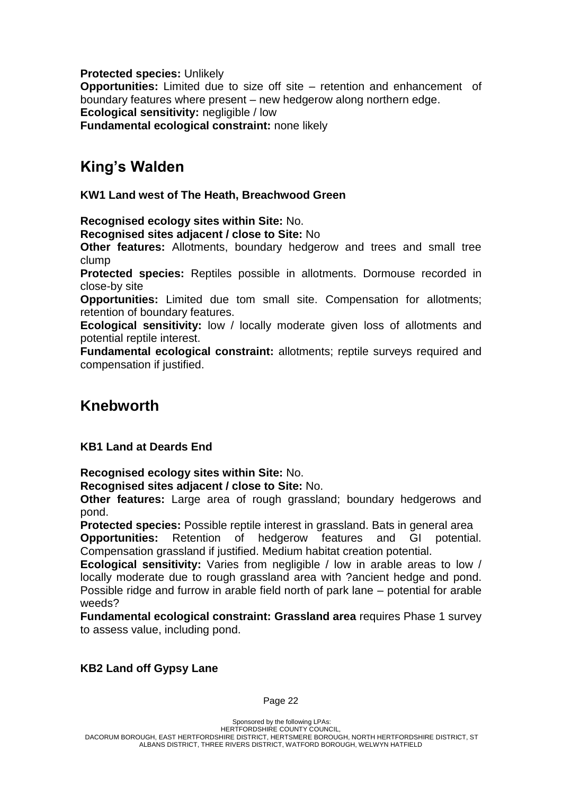**Protected species:** Unlikely

**Opportunities:** Limited due to size off site – retention and enhancement of boundary features where present – new hedgerow along northern edge. **Ecological sensitivity:** negligible / low

**Fundamental ecological constraint:** none likely

## **King's Walden**

**KW1 Land west of The Heath, Breachwood Green**

**Recognised ecology sites within Site:** No.

**Recognised sites adjacent / close to Site:** No

**Other features:** Allotments, boundary hedgerow and trees and small tree clump

**Protected species:** Reptiles possible in allotments. Dormouse recorded in close-by site

**Opportunities:** Limited due tom small site. Compensation for allotments; retention of boundary features.

**Ecological sensitivity:** low / locally moderate given loss of allotments and potential reptile interest.

**Fundamental ecological constraint:** allotments; reptile surveys required and compensation if justified.

## **Knebworth**

## **KB1 Land at Deards End**

**Recognised ecology sites within Site:** No.

**Recognised sites adjacent / close to Site:** No.

**Other features:** Large area of rough grassland; boundary hedgerows and pond.

**Protected species:** Possible reptile interest in grassland. Bats in general area **Opportunities:** Retention of hedgerow features and GI potential. Compensation grassland if justified. Medium habitat creation potential.

**Ecological sensitivity:** Varies from negligible / low in arable areas to low / locally moderate due to rough grassland area with ?ancient hedge and pond. Possible ridge and furrow in arable field north of park lane – potential for arable weeds?

**Fundamental ecological constraint: Grassland area** requires Phase 1 survey to assess value, including pond.

## **KB2 Land off Gypsy Lane**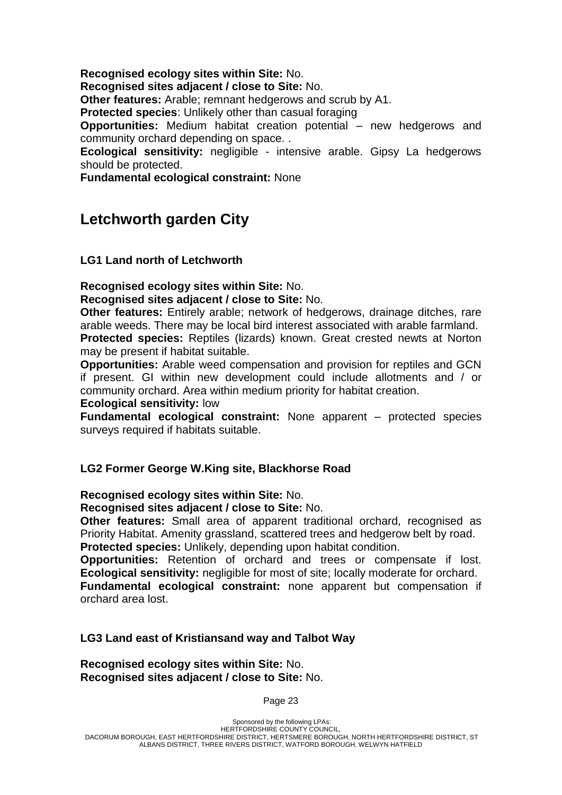**Recognised ecology sites within Site:** No.

**Recognised sites adjacent / close to Site:** No.

**Other features:** Arable; remnant hedgerows and scrub by A1.

**Protected species**: Unlikely other than casual foraging

**Opportunities:** Medium habitat creation potential – new hedgerows and community orchard depending on space. .

**Ecological sensitivity:** negligible - intensive arable. Gipsy La hedgerows should be protected.

**Fundamental ecological constraint:** None

## **Letchworth garden City**

#### **LG1 Land north of Letchworth**

**Recognised ecology sites within Site:** No. **Recognised sites adjacent / close to Site:** No.

**Other features:** Entirely arable; network of hedgerows, drainage ditches, rare arable weeds. There may be local bird interest associated with arable farmland.

**Protected species:** Reptiles (lizards) known. Great crested newts at Norton may be present if habitat suitable.

**Opportunities:** Arable weed compensation and provision for reptiles and GCN if present. GI within new development could include allotments and / or community orchard. Area within medium priority for habitat creation.

#### **Ecological sensitivity:** low

**Fundamental ecological constraint:** None apparent – protected species surveys required if habitats suitable.

#### **LG2 Former George W.King site, Blackhorse Road**

**Recognised ecology sites within Site:** No.

**Recognised sites adjacent / close to Site:** No.

**Other features:** Small area of apparent traditional orchard, recognised as Priority Habitat. Amenity grassland, scattered trees and hedgerow belt by road. **Protected species:** Unlikely, depending upon habitat condition.

**Opportunities:** Retention of orchard and trees or compensate if lost. **Ecological sensitivity:** negligible for most of site; locally moderate for orchard. **Fundamental ecological constraint:** none apparent but compensation if orchard area lost.

#### **LG3 Land east of Kristiansand way and Talbot Way**

**Recognised ecology sites within Site:** No. **Recognised sites adjacent / close to Site:** No.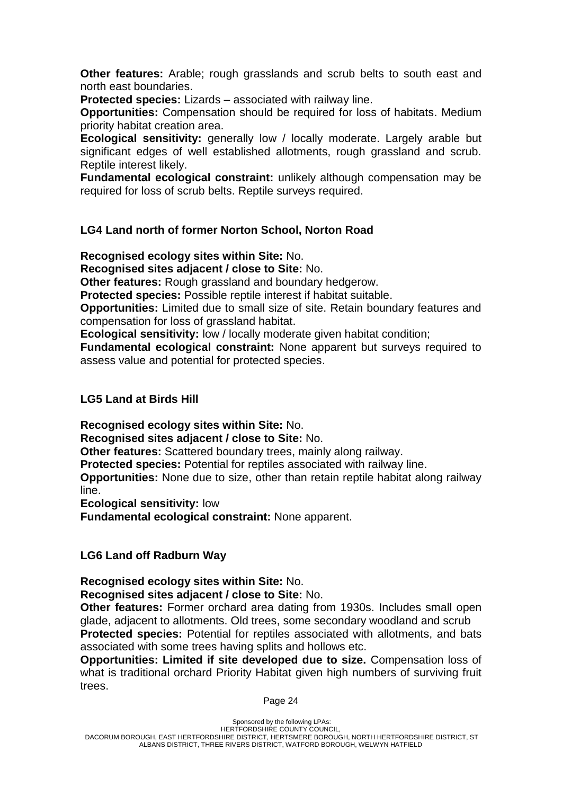**Other features:** Arable; rough grasslands and scrub belts to south east and north east boundaries.

**Protected species:** Lizards – associated with railway line.

**Opportunities:** Compensation should be required for loss of habitats. Medium priority habitat creation area.

**Ecological sensitivity:** generally low / locally moderate. Largely arable but significant edges of well established allotments, rough grassland and scrub. Reptile interest likely.

**Fundamental ecological constraint:** unlikely although compensation may be required for loss of scrub belts. Reptile surveys required.

## **LG4 Land north of former Norton School, Norton Road**

**Recognised ecology sites within Site:** No.

**Recognised sites adjacent / close to Site:** No.

**Other features:** Rough grassland and boundary hedgerow.

**Protected species:** Possible reptile interest if habitat suitable.

**Opportunities:** Limited due to small size of site. Retain boundary features and compensation for loss of grassland habitat.

**Ecological sensitivity:** low / locally moderate given habitat condition;

**Fundamental ecological constraint:** None apparent but surveys required to assess value and potential for protected species.

## **LG5 Land at Birds Hill**

**Recognised ecology sites within Site:** No.

**Recognised sites adjacent / close to Site:** No.

**Other features:** Scattered boundary trees, mainly along railway.

**Protected species:** Potential for reptiles associated with railway line.

**Opportunities:** None due to size, other than retain reptile habitat along railway line.

**Ecological sensitivity:** low

**Fundamental ecological constraint:** None apparent.

## **LG6 Land off Radburn Way**

## **Recognised ecology sites within Site:** No.

**Recognised sites adjacent / close to Site:** No.

**Other features:** Former orchard area dating from 1930s. Includes small open glade, adjacent to allotments. Old trees, some secondary woodland and scrub **Protected species:** Potential for reptiles associated with allotments, and bats associated with some trees having splits and hollows etc.

**Opportunities: Limited if site developed due to size.** Compensation loss of what is traditional orchard Priority Habitat given high numbers of surviving fruit trees.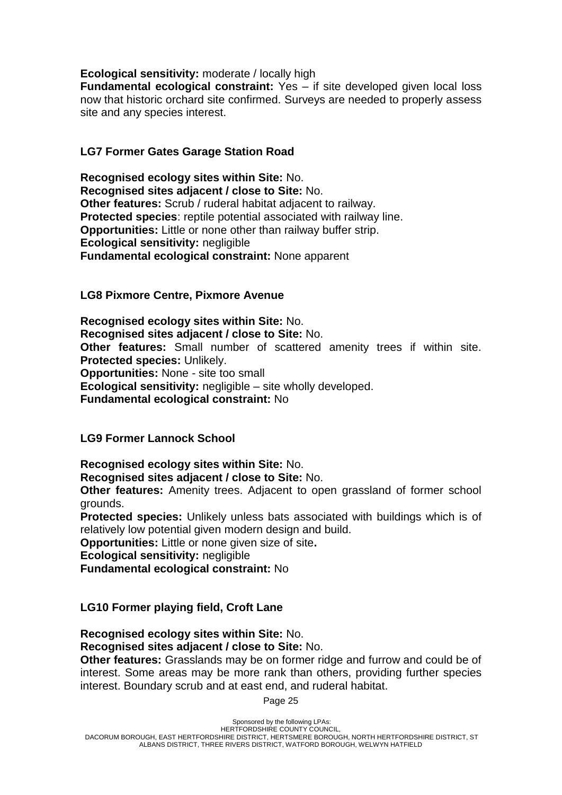### **Ecological sensitivity:** moderate / locally high

**Fundamental ecological constraint:** Yes – if site developed given local loss now that historic orchard site confirmed. Surveys are needed to properly assess site and any species interest.

## **LG7 Former Gates Garage Station Road**

**Recognised ecology sites within Site:** No. **Recognised sites adjacent / close to Site:** No. **Other features:** Scrub / ruderal habitat adjacent to railway. **Protected species**: reptile potential associated with railway line. **Opportunities:** Little or none other than railway buffer strip. **Ecological sensitivity:** negligible **Fundamental ecological constraint:** None apparent

### **LG8 Pixmore Centre, Pixmore Avenue**

**Recognised ecology sites within Site:** No. **Recognised sites adjacent / close to Site:** No. **Other features:** Small number of scattered amenity trees if within site. **Protected species:** Unlikely. **Opportunities:** None - site too small **Ecological sensitivity:** negligible – site wholly developed. **Fundamental ecological constraint:** No

## **LG9 Former Lannock School**

**Recognised ecology sites within Site:** No. **Recognised sites adjacent / close to Site:** No.

**Other features:** Amenity trees. Adjacent to open grassland of former school grounds.

**Protected species:** Unlikely unless bats associated with buildings which is of relatively low potential given modern design and build.

**Opportunities:** Little or none given size of site**.** 

**Ecological sensitivity:** negligible

**Fundamental ecological constraint:** No

## **LG10 Former playing field, Croft Lane**

**Recognised ecology sites within Site:** No. **Recognised sites adjacent / close to Site:** No.

**Other features:** Grasslands may be on former ridge and furrow and could be of interest. Some areas may be more rank than others, providing further species interest. Boundary scrub and at east end, and ruderal habitat.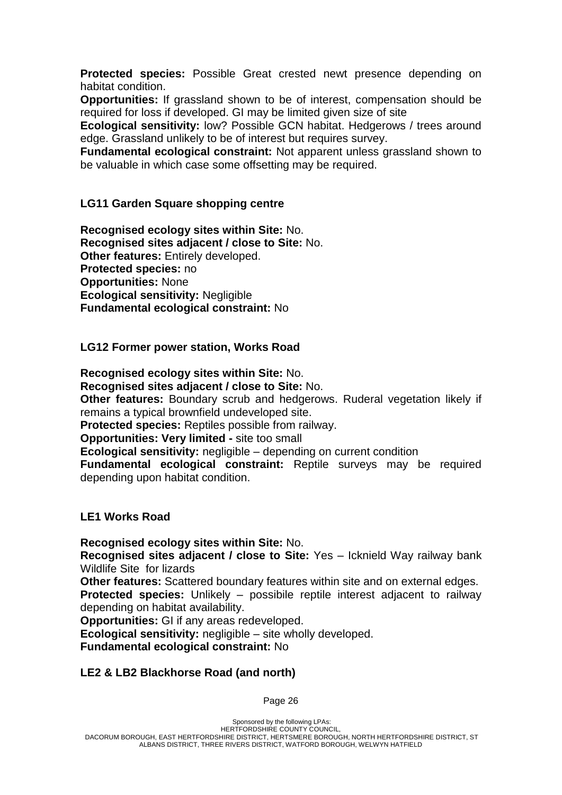**Protected species:** Possible Great crested newt presence depending on habitat condition.

**Opportunities:** If grassland shown to be of interest, compensation should be required for loss if developed. GI may be limited given size of site

**Ecological sensitivity:** low? Possible GCN habitat. Hedgerows / trees around edge. Grassland unlikely to be of interest but requires survey.

**Fundamental ecological constraint:** Not apparent unless grassland shown to be valuable in which case some offsetting may be required.

## **LG11 Garden Square shopping centre**

**Recognised ecology sites within Site:** No. **Recognised sites adjacent / close to Site:** No. **Other features:** Entirely developed. **Protected species:** no **Opportunities:** None **Ecological sensitivity:** Negligible **Fundamental ecological constraint:** No

#### **LG12 Former power station, Works Road**

**Recognised ecology sites within Site:** No.

**Recognised sites adjacent / close to Site:** No.

**Other features:** Boundary scrub and hedgerows. Ruderal vegetation likely if remains a typical brownfield undeveloped site.

**Protected species:** Reptiles possible from railway.

**Opportunities: Very limited -** site too small

**Ecological sensitivity:** negligible – depending on current condition

**Fundamental ecological constraint:** Reptile surveys may be required depending upon habitat condition.

#### **LE1 Works Road**

**Recognised ecology sites within Site:** No. **Recognised sites adjacent / close to Site:** Yes – Icknield Way railway bank Wildlife Site for lizards

**Other features:** Scattered boundary features within site and on external edges.

**Protected species:** Unlikely – possibile reptile interest adjacent to railway depending on habitat availability.

**Opportunities:** GI if any areas redeveloped.

**Ecological sensitivity:** negligible – site wholly developed.

**Fundamental ecological constraint:** No

## **LE2 & LB2 Blackhorse Road (and north)**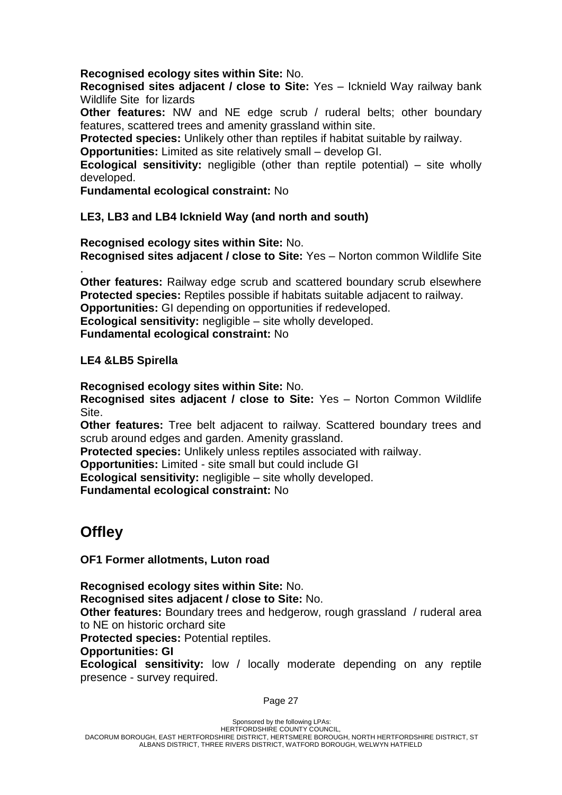### **Recognised ecology sites within Site:** No.

**Recognised sites adjacent / close to Site:** Yes – Icknield Way railway bank Wildlife Site for lizards

**Other features:** NW and NE edge scrub / ruderal belts; other boundary features, scattered trees and amenity grassland within site.

**Protected species:** Unlikely other than reptiles if habitat suitable by railway.

**Opportunities:** Limited as site relatively small – develop GI.

**Ecological sensitivity:** negligible (other than reptile potential) – site wholly developed.

**Fundamental ecological constraint:** No

## **LE3, LB3 and LB4 Icknield Way (and north and south)**

**Recognised ecology sites within Site:** No. **Recognised sites adjacent / close to Site:** Yes – Norton common Wildlife Site

. **Other features:** Railway edge scrub and scattered boundary scrub elsewhere **Protected species:** Reptiles possible if habitats suitable adjacent to railway. **Opportunities:** GI depending on opportunities if redeveloped. **Ecological sensitivity:** negligible – site wholly developed. **Fundamental ecological constraint:** No

**LE4 &LB5 Spirella**

**Recognised ecology sites within Site:** No.

**Recognised sites adjacent / close to Site:** Yes – Norton Common Wildlife Site.

**Other features:** Tree belt adjacent to railway. Scattered boundary trees and scrub around edges and garden. Amenity grassland.

**Protected species:** Unlikely unless reptiles associated with railway.

**Opportunities:** Limited - site small but could include GI

**Ecological sensitivity:** negligible – site wholly developed.

**Fundamental ecological constraint:** No

## **Offley**

**OF1 Former allotments, Luton road**

**Recognised ecology sites within Site:** No. **Recognised sites adjacent / close to Site:** No. **Other features:** Boundary trees and hedgerow, rough grassland / ruderal area to NE on historic orchard site

**Protected species:** Potential reptiles.

#### **Opportunities: GI**

**Ecological sensitivity:** low / locally moderate depending on any reptile presence - survey required.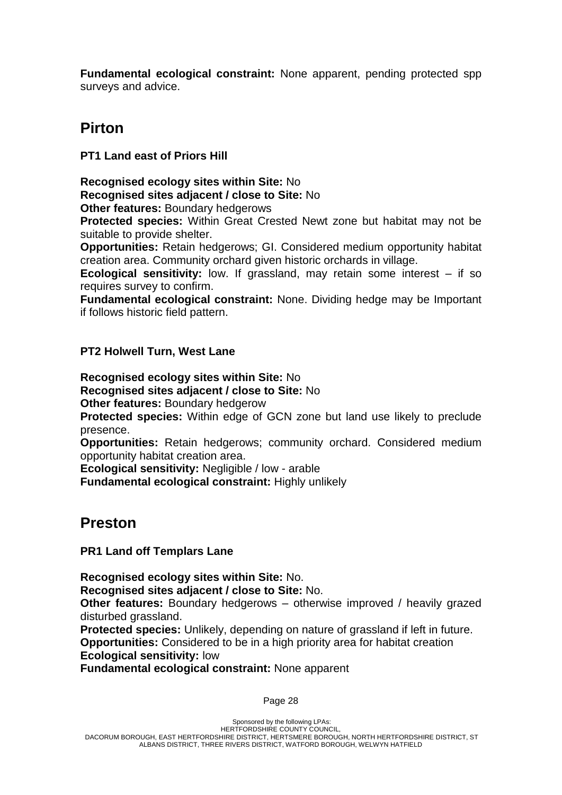**Fundamental ecological constraint:** None apparent, pending protected spp surveys and advice.

## **Pirton**

**PT1 Land east of Priors Hill**

**Recognised ecology sites within Site:** No **Recognised sites adjacent / close to Site:** No

**Other features:** Boundary hedgerows

**Protected species:** Within Great Crested Newt zone but habitat may not be suitable to provide shelter.

**Opportunities:** Retain hedgerows; GI. Considered medium opportunity habitat creation area. Community orchard given historic orchards in village.

**Ecological sensitivity:** low. If grassland, may retain some interest – if so requires survey to confirm.

**Fundamental ecological constraint:** None. Dividing hedge may be Important if follows historic field pattern.

## **PT2 Holwell Turn, West Lane**

**Recognised ecology sites within Site:** No **Recognised sites adjacent / close to Site:** No

**Other features:** Boundary hedgerow

**Protected species:** Within edge of GCN zone but land use likely to preclude presence.

**Opportunities:** Retain hedgerows; community orchard. Considered medium opportunity habitat creation area.

**Ecological sensitivity:** Negligible / low - arable

**Fundamental ecological constraint:** Highly unlikely

## **Preston**

**PR1 Land off Templars Lane**

**Recognised ecology sites within Site:** No. **Recognised sites adjacent / close to Site:** No.

**Other features:** Boundary hedgerows – otherwise improved / heavily grazed disturbed grassland.

**Protected species:** Unlikely, depending on nature of grassland if left in future. **Opportunities:** Considered to be in a high priority area for habitat creation

#### **Ecological sensitivity:** low

**Fundamental ecological constraint:** None apparent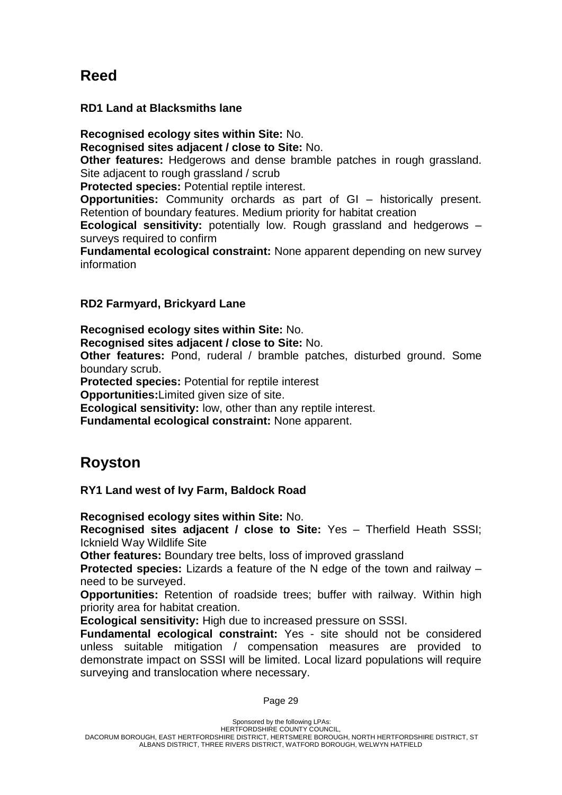## **Reed**

## **RD1 Land at Blacksmiths lane**

**Recognised ecology sites within Site:** No. **Recognised sites adjacent / close to Site:** No.

**Other features:** Hedgerows and dense bramble patches in rough grassland. Site adjacent to rough grassland / scrub

**Protected species:** Potential reptile interest.

**Opportunities:** Community orchards as part of GI – historically present. Retention of boundary features. Medium priority for habitat creation

**Ecological sensitivity:** potentially low. Rough grassland and hedgerows – surveys required to confirm

**Fundamental ecological constraint:** None apparent depending on new survey information

## **RD2 Farmyard, Brickyard Lane**

**Recognised ecology sites within Site:** No.

**Recognised sites adjacent / close to Site:** No.

**Other features:** Pond, ruderal / bramble patches, disturbed ground. Some boundary scrub.

**Protected species:** Potential for reptile interest

**Opportunities:**Limited given size of site.

**Ecological sensitivity:** low, other than any reptile interest.

**Fundamental ecological constraint:** None apparent.

## **Royston**

**RY1 Land west of Ivy Farm, Baldock Road**

**Recognised ecology sites within Site:** No.

**Recognised sites adjacent / close to Site:** Yes – Therfield Heath SSSI; Icknield Way Wildlife Site

**Other features:** Boundary tree belts, loss of improved grassland

**Protected species:** Lizards a feature of the N edge of the town and railway – need to be surveyed.

**Opportunities:** Retention of roadside trees; buffer with railway. Within high priority area for habitat creation.

**Ecological sensitivity:** High due to increased pressure on SSSI.

**Fundamental ecological constraint:** Yes - site should not be considered unless suitable mitigation / compensation measures are provided to demonstrate impact on SSSI will be limited. Local lizard populations will require surveying and translocation where necessary.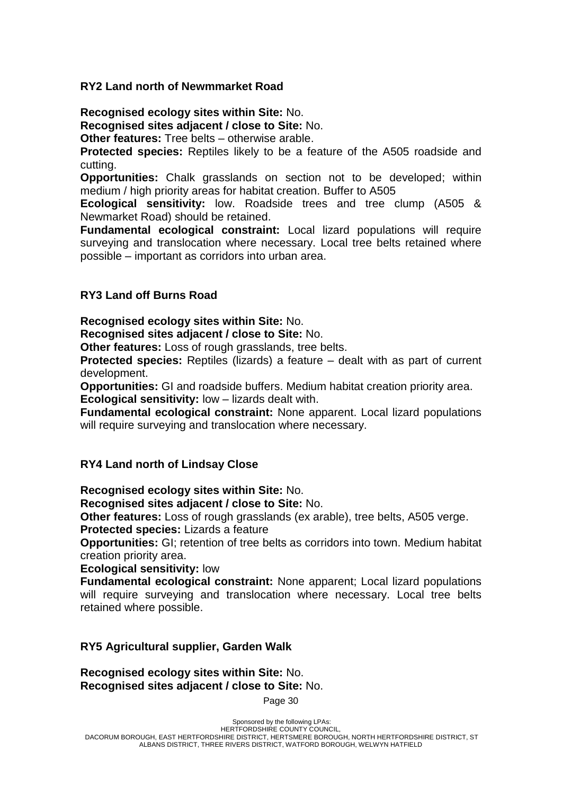### **RY2 Land north of Newmmarket Road**

**Recognised ecology sites within Site:** No. **Recognised sites adjacent / close to Site:** No.

**Other features:** Tree belts – otherwise arable.

**Protected species:** Reptiles likely to be a feature of the A505 roadside and cutting.

**Opportunities:** Chalk grasslands on section not to be developed; within medium / high priority areas for habitat creation. Buffer to A505

**Ecological sensitivity:** low. Roadside trees and tree clump (A505 & Newmarket Road) should be retained.

**Fundamental ecological constraint:** Local lizard populations will require surveying and translocation where necessary. Local tree belts retained where possible – important as corridors into urban area.

### **RY3 Land off Burns Road**

**Recognised ecology sites within Site:** No.

**Recognised sites adjacent / close to Site:** No.

**Other features:** Loss of rough grasslands, tree belts.

**Protected species:** Reptiles (lizards) a feature – dealt with as part of current development.

**Opportunities:** GI and roadside buffers. Medium habitat creation priority area.

**Ecological sensitivity:** low – lizards dealt with.

**Fundamental ecological constraint:** None apparent. Local lizard populations will require surveying and translocation where necessary.

#### **RY4 Land north of Lindsay Close**

**Recognised ecology sites within Site:** No.

**Recognised sites adjacent / close to Site:** No.

**Other features:** Loss of rough grasslands (ex arable), tree belts, A505 verge. **Protected species:** Lizards a feature

**Opportunities:** GI; retention of tree belts as corridors into town. Medium habitat creation priority area.

**Ecological sensitivity:** low

**Fundamental ecological constraint:** None apparent; Local lizard populations will require surveying and translocation where necessary. Local tree belts retained where possible.

#### **RY5 Agricultural supplier, Garden Walk**

**Recognised ecology sites within Site:** No. **Recognised sites adjacent / close to Site:** No.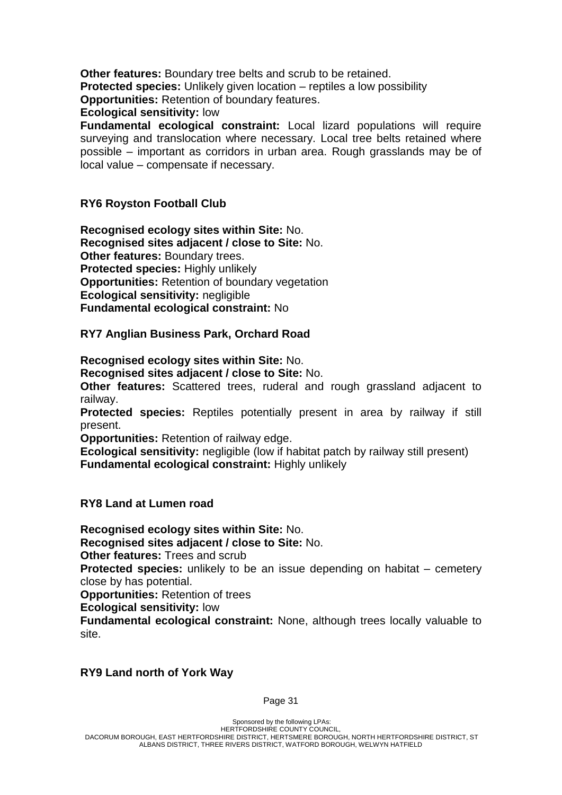**Other features:** Boundary tree belts and scrub to be retained. **Protected species:** Unlikely given location – reptiles a low possibility **Opportunities:** Retention of boundary features.

**Ecological sensitivity:** low

**Fundamental ecological constraint:** Local lizard populations will require surveying and translocation where necessary. Local tree belts retained where possible – important as corridors in urban area. Rough grasslands may be of local value – compensate if necessary.

### **RY6 Royston Football Club**

**Recognised ecology sites within Site:** No. **Recognised sites adjacent / close to Site:** No. **Other features:** Boundary trees. **Protected species:** Highly unlikely **Opportunities:** Retention of boundary vegetation **Ecological sensitivity:** negligible **Fundamental ecological constraint:** No

#### **RY7 Anglian Business Park, Orchard Road**

**Recognised ecology sites within Site:** No.

**Recognised sites adjacent / close to Site:** No.

**Other features:** Scattered trees, ruderal and rough grassland adjacent to railway.

**Protected species:** Reptiles potentially present in area by railway if still present.

**Opportunities:** Retention of railway edge.

**Ecological sensitivity:** negligible (low if habitat patch by railway still present) **Fundamental ecological constraint:** Highly unlikely

**RY8 Land at Lumen road**

**Recognised ecology sites within Site:** No.

**Recognised sites adjacent / close to Site:** No.

**Other features:** Trees and scrub

**Protected species:** unlikely to be an issue depending on habitat – cemetery close by has potential.

**Opportunities:** Retention of trees

**Ecological sensitivity:** low

**Fundamental ecological constraint:** None, although trees locally valuable to site.

## **RY9 Land north of York Way**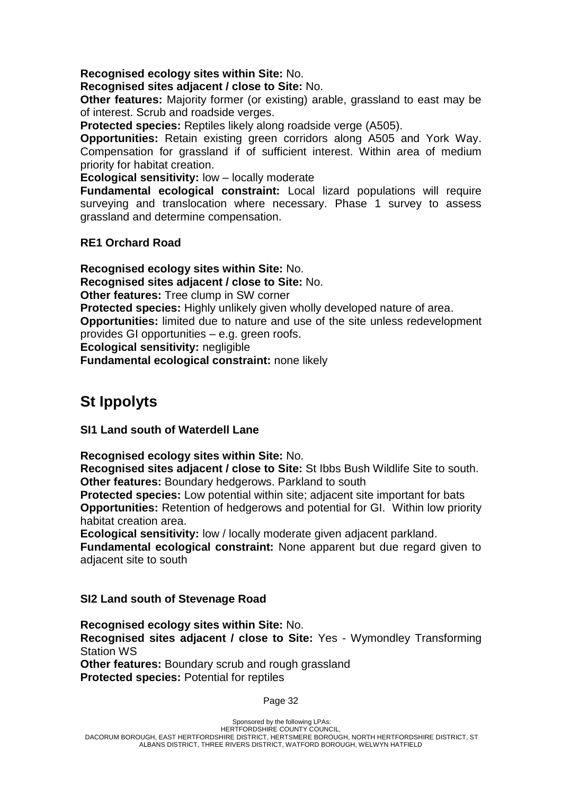### **Recognised ecology sites within Site:** No.

### **Recognised sites adjacent / close to Site:** No.

**Other features:** Majority former (or existing) arable, grassland to east may be of interest. Scrub and roadside verges.

**Protected species:** Reptiles likely along roadside verge (A505).

**Opportunities:** Retain existing green corridors along A505 and York Way. Compensation for grassland if of sufficient interest. Within area of medium priority for habitat creation.

**Ecological sensitivity:** low – locally moderate

**Fundamental ecological constraint:** Local lizard populations will require surveying and translocation where necessary. Phase 1 survey to assess grassland and determine compensation.

## **RE1 Orchard Road**

**Recognised ecology sites within Site:** No.

**Recognised sites adjacent / close to Site:** No.

**Other features:** Tree clump in SW corner

**Protected species:** Highly unlikely given wholly developed nature of area.

**Opportunities:** limited due to nature and use of the site unless redevelopment provides GI opportunities – e.g. green roofs.

**Ecological sensitivity:** negligible

**Fundamental ecological constraint:** none likely

# **St Ippolyts**

**SI1 Land south of Waterdell Lane**

**Recognised ecology sites within Site:** No.

**Recognised sites adjacent / close to Site:** St Ibbs Bush Wildlife Site to south. **Other features:** Boundary hedgerows. Parkland to south

**Protected species:** Low potential within site; adjacent site important for bats **Opportunities:** Retention of hedgerows and potential for GI. Within low priority habitat creation area.

**Ecological sensitivity:** low / locally moderate given adjacent parkland.

**Fundamental ecological constraint:** None apparent but due regard given to adjacent site to south

## **SI2 Land south of Stevenage Road**

**Recognised ecology sites within Site:** No. **Recognised sites adjacent / close to Site:** Yes - Wymondley Transforming Station WS **Other features:** Boundary scrub and rough grassland **Protected species:** Potential for reptiles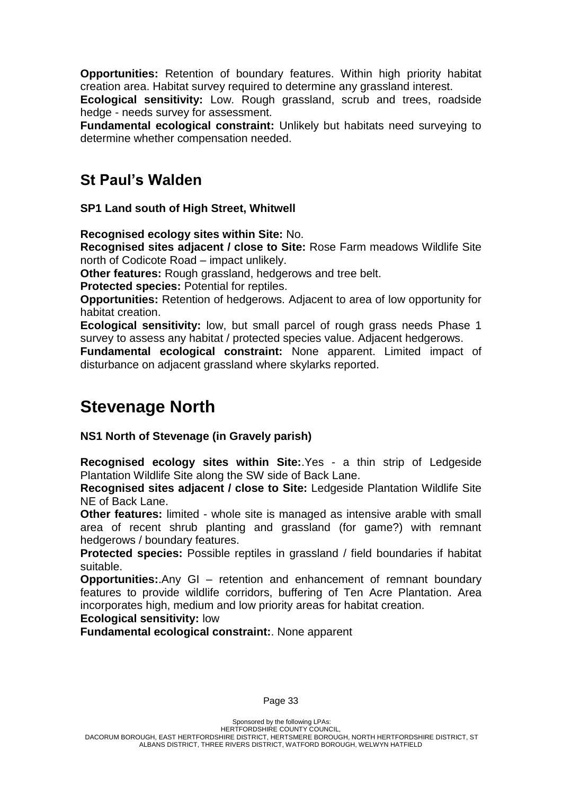**Opportunities:** Retention of boundary features. Within high priority habitat creation area. Habitat survey required to determine any grassland interest.

**Ecological sensitivity:** Low. Rough grassland, scrub and trees, roadside hedge - needs survey for assessment.

**Fundamental ecological constraint:** Unlikely but habitats need surveying to determine whether compensation needed.

## **St Paul's Walden**

**SP1 Land south of High Street, Whitwell**

**Recognised ecology sites within Site:** No.

**Recognised sites adjacent / close to Site:** Rose Farm meadows Wildlife Site north of Codicote Road – impact unlikely.

**Other features:** Rough grassland, hedgerows and tree belt.

**Protected species:** Potential for reptiles.

**Opportunities:** Retention of hedgerows. Adjacent to area of low opportunity for habitat creation.

**Ecological sensitivity:** low, but small parcel of rough grass needs Phase 1 survey to assess any habitat / protected species value. Adjacent hedgerows.

**Fundamental ecological constraint:** None apparent. Limited impact of disturbance on adjacent grassland where skylarks reported.

# **Stevenage North**

**NS1 North of Stevenage (in Gravely parish)**

**Recognised ecology sites within Site:**.Yes - a thin strip of Ledgeside Plantation Wildlife Site along the SW side of Back Lane.

**Recognised sites adjacent / close to Site:** Ledgeside Plantation Wildlife Site NE of Back Lane.

**Other features:** limited - whole site is managed as intensive arable with small area of recent shrub planting and grassland (for game?) with remnant hedgerows / boundary features.

**Protected species:** Possible reptiles in grassland / field boundaries if habitat suitable.

**Opportunities:**.Any GI – retention and enhancement of remnant boundary features to provide wildlife corridors, buffering of Ten Acre Plantation. Area incorporates high, medium and low priority areas for habitat creation.

**Ecological sensitivity:** low

**Fundamental ecological constraint:**. None apparent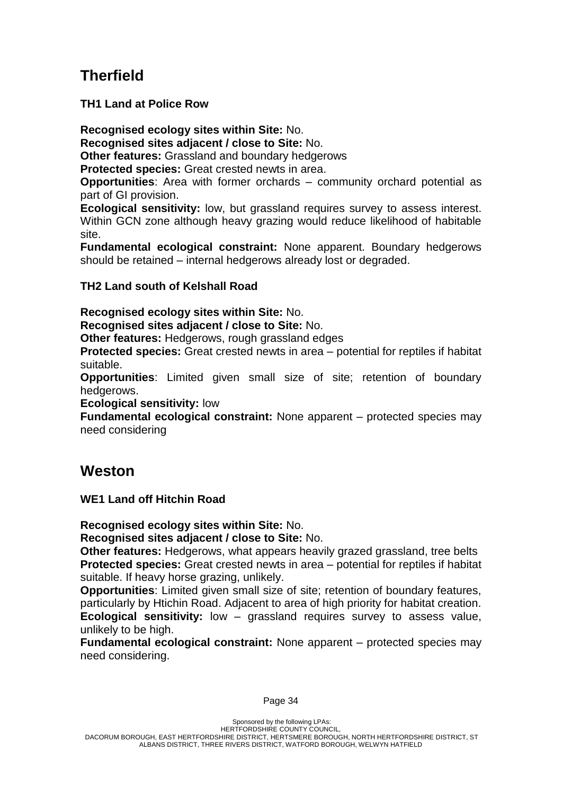# **Therfield**

**TH1 Land at Police Row**

**Recognised ecology sites within Site:** No.

**Recognised sites adjacent / close to Site:** No.

**Other features:** Grassland and boundary hedgerows

**Protected species:** Great crested newts in area.

**Opportunities**: Area with former orchards – community orchard potential as part of GI provision.

**Ecological sensitivity:** low, but grassland requires survey to assess interest. Within GCN zone although heavy grazing would reduce likelihood of habitable site.

**Fundamental ecological constraint:** None apparent. Boundary hedgerows should be retained – internal hedgerows already lost or degraded.

## **TH2 Land south of Kelshall Road**

**Recognised ecology sites within Site:** No. **Recognised sites adjacent / close to Site:** No.

**Other features:** Hedgerows, rough grassland edges

**Protected species:** Great crested newts in area – potential for reptiles if habitat suitable.

**Opportunities**: Limited given small size of site; retention of boundary hedgerows.

**Ecological sensitivity:** low

**Fundamental ecological constraint:** None apparent – protected species may need considering

## **Weston**

**WE1 Land off Hitchin Road**

**Recognised ecology sites within Site:** No.

**Recognised sites adjacent / close to Site:** No.

**Other features:** Hedgerows, what appears heavily grazed grassland, tree belts **Protected species:** Great crested newts in area – potential for reptiles if habitat suitable. If heavy horse grazing, unlikely.

**Opportunities**: Limited given small size of site; retention of boundary features, particularly by Htichin Road. Adjacent to area of high priority for habitat creation. **Ecological sensitivity:** low – grassland requires survey to assess value, unlikely to be high.

**Fundamental ecological constraint:** None apparent – protected species may need considering.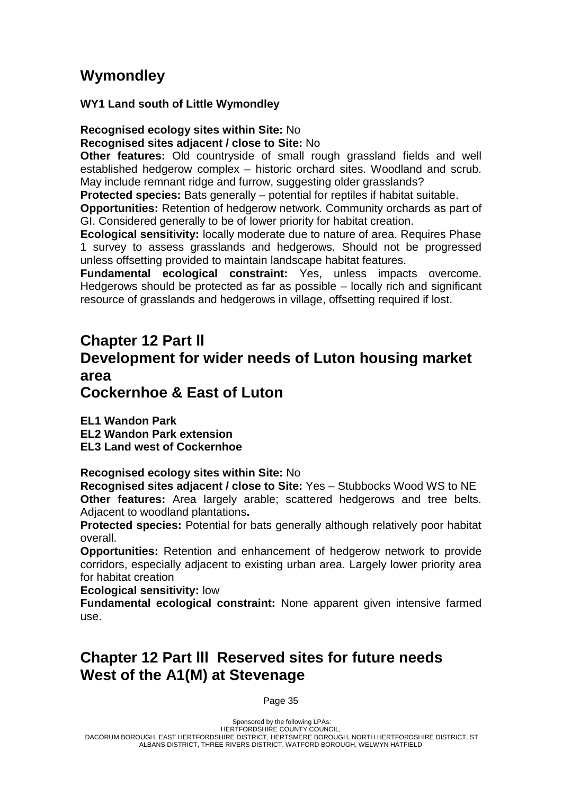# **Wymondley**

**WY1 Land south of Little Wymondley**

**Recognised ecology sites within Site:** No **Recognised sites adjacent / close to Site:** No

**Other features:** Old countryside of small rough grassland fields and well established hedgerow complex – historic orchard sites. Woodland and scrub. May include remnant ridge and furrow, suggesting older grasslands?

**Protected species:** Bats generally – potential for reptiles if habitat suitable.

**Opportunities:** Retention of hedgerow network. Community orchards as part of GI. Considered generally to be of lower priority for habitat creation.

**Ecological sensitivity:** locally moderate due to nature of area. Requires Phase 1 survey to assess grasslands and hedgerows. Should not be progressed unless offsetting provided to maintain landscape habitat features.

**Fundamental ecological constraint:** Yes, unless impacts overcome. Hedgerows should be protected as far as possible – locally rich and significant resource of grasslands and hedgerows in village, offsetting required if lost.

## **Chapter 12 Part ll Development for wider needs of Luton housing market area Cockernhoe & East of Luton**

**EL1 Wandon Park EL2 Wandon Park extension EL3 Land west of Cockernhoe**

**Recognised ecology sites within Site:** No

**Recognised sites adjacent / close to Site:** Yes – Stubbocks Wood WS to NE **Other features:** Area largely arable; scattered hedgerows and tree belts. Adjacent to woodland plantations**.** 

**Protected species:** Potential for bats generally although relatively poor habitat overall.

**Opportunities:** Retention and enhancement of hedgerow network to provide corridors, especially adjacent to existing urban area. Largely lower priority area for habitat creation

**Ecological sensitivity:** low

**Fundamental ecological constraint:** None apparent given intensive farmed use.

## **Chapter 12 Part lll Reserved sites for future needs West of the A1(M) at Stevenage**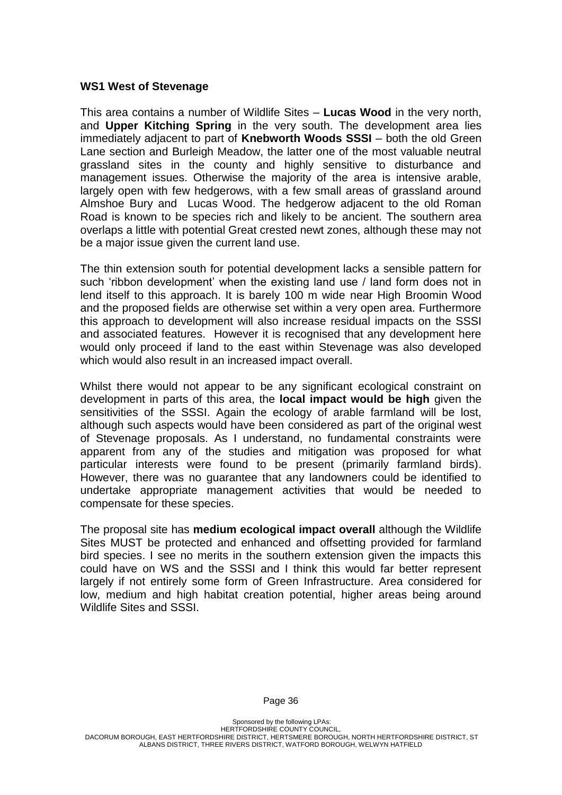#### **WS1 West of Stevenage**

This area contains a number of Wildlife Sites – **Lucas Wood** in the very north, and **Upper Kitching Spring** in the very south. The development area lies immediately adjacent to part of **Knebworth Woods SSSI** – both the old Green Lane section and Burleigh Meadow, the latter one of the most valuable neutral grassland sites in the county and highly sensitive to disturbance and management issues. Otherwise the majority of the area is intensive arable, largely open with few hedgerows, with a few small areas of grassland around Almshoe Bury and Lucas Wood. The hedgerow adjacent to the old Roman Road is known to be species rich and likely to be ancient. The southern area overlaps a little with potential Great crested newt zones, although these may not be a major issue given the current land use.

The thin extension south for potential development lacks a sensible pattern for such 'ribbon development' when the existing land use / land form does not in lend itself to this approach. It is barely 100 m wide near High Broomin Wood and the proposed fields are otherwise set within a very open area. Furthermore this approach to development will also increase residual impacts on the SSSI and associated features. However it is recognised that any development here would only proceed if land to the east within Stevenage was also developed which would also result in an increased impact overall.

Whilst there would not appear to be any significant ecological constraint on development in parts of this area, the **local impact would be high** given the sensitivities of the SSSI. Again the ecology of arable farmland will be lost, although such aspects would have been considered as part of the original west of Stevenage proposals. As I understand, no fundamental constraints were apparent from any of the studies and mitigation was proposed for what particular interests were found to be present (primarily farmland birds). However, there was no guarantee that any landowners could be identified to undertake appropriate management activities that would be needed to compensate for these species.

The proposal site has **medium ecological impact overall** although the Wildlife Sites MUST be protected and enhanced and offsetting provided for farmland bird species. I see no merits in the southern extension given the impacts this could have on WS and the SSSI and I think this would far better represent largely if not entirely some form of Green Infrastructure. Area considered for low, medium and high habitat creation potential, higher areas being around Wildlife Sites and SSSI.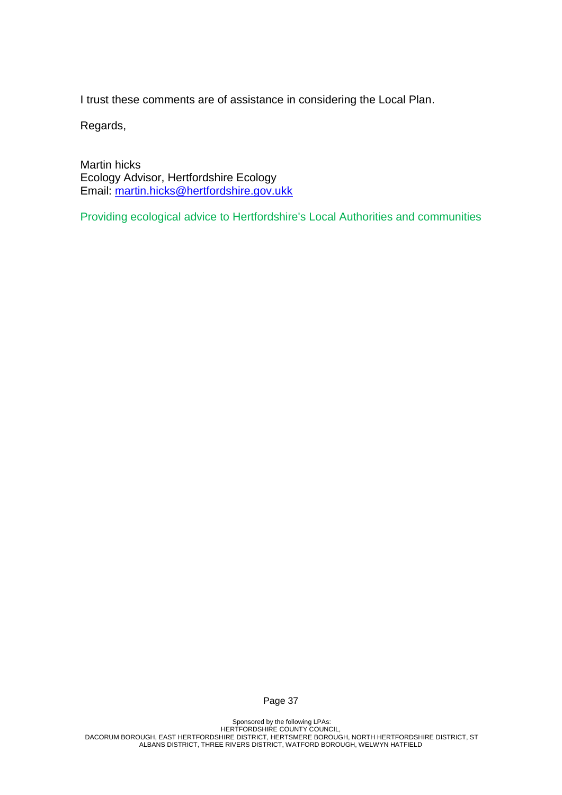I trust these comments are of assistance in considering the Local Plan.

Regards,

Martin hicks Ecology Advisor, Hertfordshire Ecology Email: [martin.hicks@hertfordshire.gov.ukk](mailto:martin.hicks@hertfordshire.gov.ukk)

Providing ecological advice to Hertfordshire's Local Authorities and communities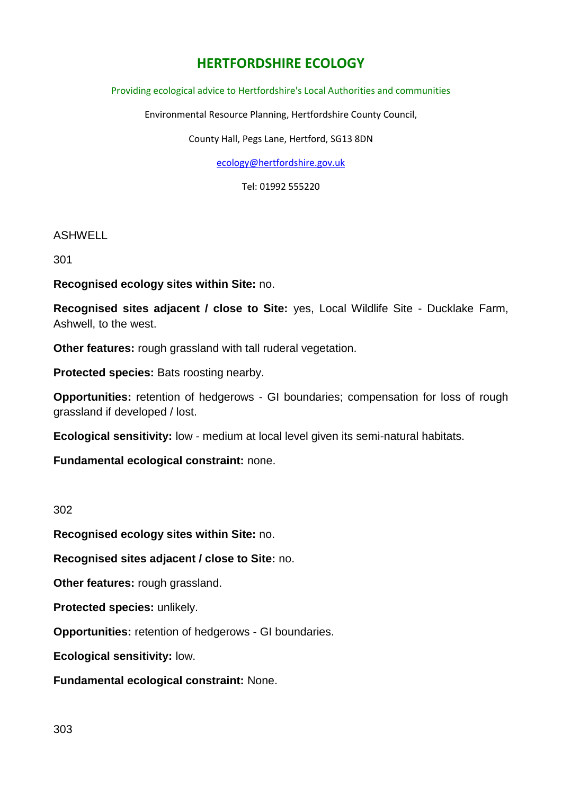## **HERTFORDSHIRE ECOLOGY**

#### Providing ecological advice to Hertfordshire's Local Authorities and communities

Environmental Resource Planning, Hertfordshire County Council,

County Hall, Pegs Lane, Hertford, SG13 8DN

[ecology@hertfordshire.gov.uk](mailto:ecology@hertfordshire.gov.uk)

Tel: 01992 555220

#### ASHWELL

301

**Recognised ecology sites within Site:** no.

**Recognised sites adjacent / close to Site:** yes, Local Wildlife Site - Ducklake Farm, Ashwell, to the west.

**Other features:** rough grassland with tall ruderal vegetation.

**Protected species:** Bats roosting nearby.

**Opportunities:** retention of hedgerows - GI boundaries; compensation for loss of rough grassland if developed / lost.

**Ecological sensitivity:** low - medium at local level given its semi-natural habitats.

**Fundamental ecological constraint:** none.

302

**Recognised ecology sites within Site:** no.

**Recognised sites adjacent / close to Site:** no.

**Other features:** rough grassland.

**Protected species:** unlikely.

**Opportunities:** retention of hedgerows - GI boundaries.

**Ecological sensitivity:** low.

**Fundamental ecological constraint:** None.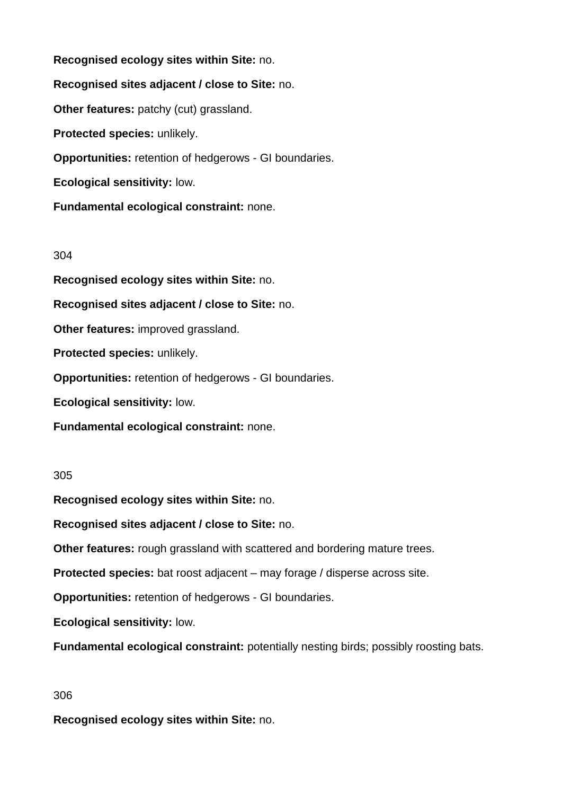**Recognised ecology sites within Site:** no. **Recognised sites adjacent / close to Site:** no. **Other features: patchy (cut) grassland. Protected species:** unlikely. **Opportunities:** retention of hedgerows - GI boundaries. **Ecological sensitivity:** low.

#### 304

**Recognised ecology sites within Site:** no.

**Fundamental ecological constraint:** none.

**Recognised sites adjacent / close to Site:** no.

**Other features:** improved grassland.

**Protected species:** unlikely.

**Opportunities:** retention of hedgerows - GI boundaries.

**Ecological sensitivity:** low.

**Fundamental ecological constraint:** none.

#### 305

**Recognised ecology sites within Site:** no.

**Recognised sites adjacent / close to Site:** no.

**Other features:** rough grassland with scattered and bordering mature trees.

**Protected species:** bat roost adjacent – may forage / disperse across site.

**Opportunities:** retention of hedgerows - GI boundaries.

**Ecological sensitivity:** low.

**Fundamental ecological constraint:** potentially nesting birds; possibly roosting bats.

#### 306

**Recognised ecology sites within Site:** no.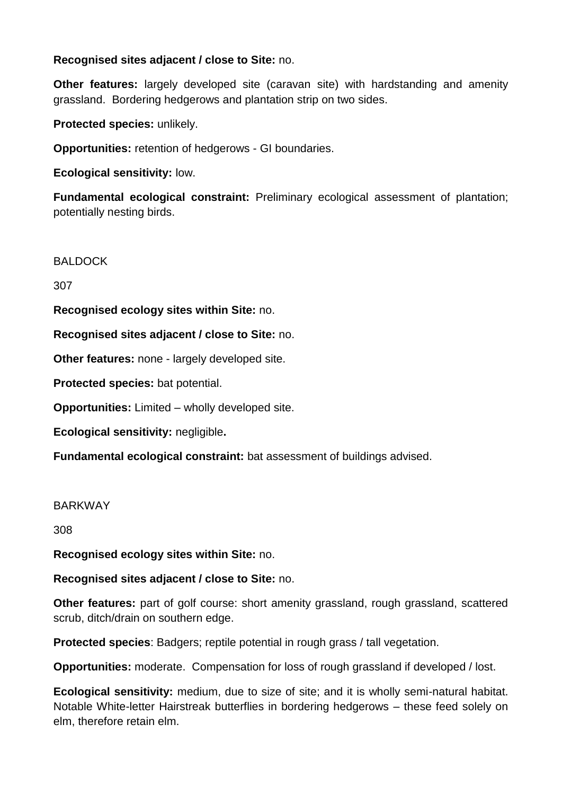## **Recognised sites adjacent / close to Site:** no.

**Other features:** largely developed site (caravan site) with hardstanding and amenity grassland. Bordering hedgerows and plantation strip on two sides.

**Protected species:** unlikely.

**Opportunities:** retention of hedgerows - GI boundaries.

**Ecological sensitivity:** low.

**Fundamental ecological constraint:** Preliminary ecological assessment of plantation; potentially nesting birds.

BALDOCK

307

**Recognised ecology sites within Site:** no.

**Recognised sites adjacent / close to Site:** no.

**Other features: none - largely developed site.** 

**Protected species:** bat potential.

**Opportunities:** Limited – wholly developed site.

**Ecological sensitivity:** negligible**.**

**Fundamental ecological constraint:** bat assessment of buildings advised.

#### BARKWAY

308

**Recognised ecology sites within Site:** no.

**Recognised sites adjacent / close to Site:** no.

**Other features:** part of golf course: short amenity grassland, rough grassland, scattered scrub, ditch/drain on southern edge.

**Protected species**: Badgers; reptile potential in rough grass / tall vegetation.

**Opportunities:** moderate. Compensation for loss of rough grassland if developed / lost.

**Ecological sensitivity:** medium, due to size of site; and it is wholly semi-natural habitat. Notable White-letter Hairstreak butterflies in bordering hedgerows – these feed solely on elm, therefore retain elm.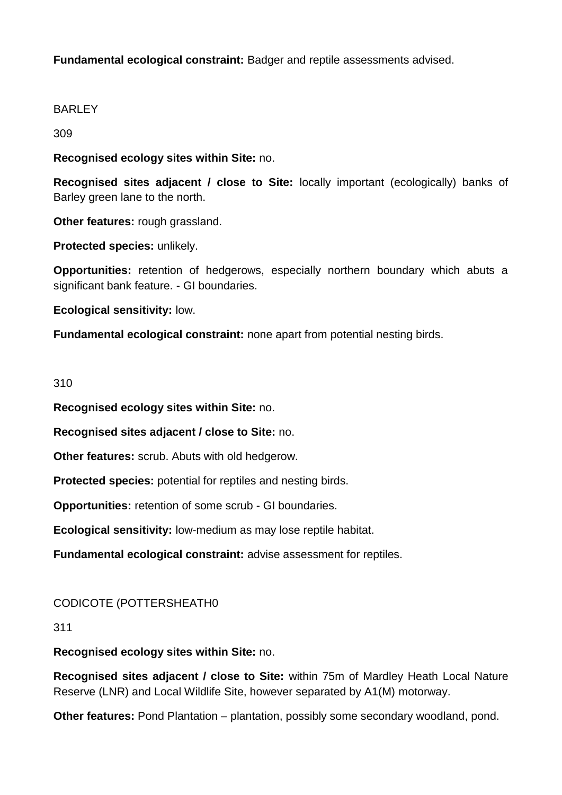## **Fundamental ecological constraint:** Badger and reptile assessments advised.

## BARLEY

309

**Recognised ecology sites within Site:** no.

**Recognised sites adjacent / close to Site:** locally important (ecologically) banks of Barley green lane to the north.

**Other features:** rough grassland.

**Protected species:** unlikely.

**Opportunities:** retention of hedgerows, especially northern boundary which abuts a significant bank feature. - GI boundaries.

**Ecological sensitivity:** low.

**Fundamental ecological constraint:** none apart from potential nesting birds.

### 310

**Recognised ecology sites within Site:** no.

**Recognised sites adjacent / close to Site:** no.

**Other features:** scrub. Abuts with old hedgerow.

**Protected species:** potential for reptiles and nesting birds.

**Opportunities:** retention of some scrub - GI boundaries.

**Ecological sensitivity:** low-medium as may lose reptile habitat.

**Fundamental ecological constraint:** advise assessment for reptiles.

## CODICOTE (POTTERSHEATH0

311

#### **Recognised ecology sites within Site:** no.

**Recognised sites adjacent / close to Site:** within 75m of Mardley Heath Local Nature Reserve (LNR) and Local Wildlife Site, however separated by A1(M) motorway.

**Other features:** Pond Plantation – plantation, possibly some secondary woodland, pond.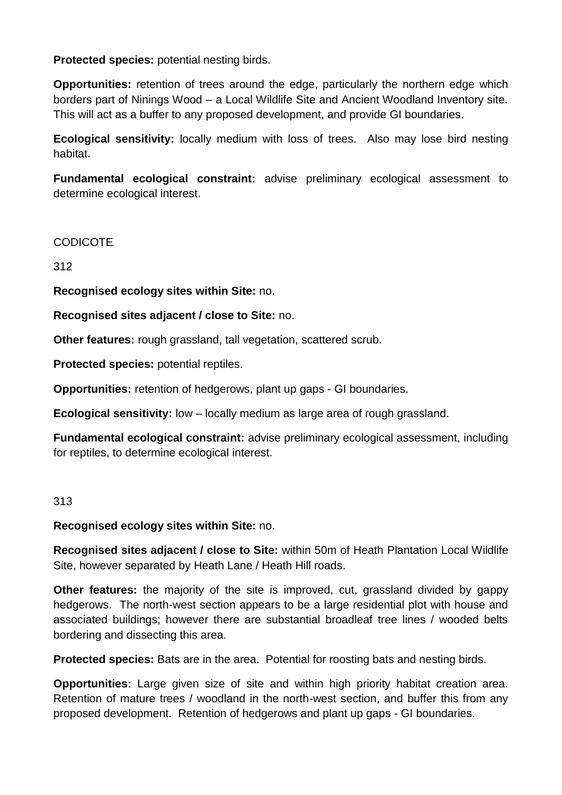**Protected species:** potential nesting birds.

**Opportunities:** retention of trees around the edge, particularly the northern edge which borders part of Ninings Wood – a Local Wildlife Site and Ancient Woodland Inventory site. This will act as a buffer to any proposed development, and provide GI boundaries.

**Ecological sensitivity:** locally medium with loss of trees. Also may lose bird nesting habitat.

**Fundamental ecological constraint:** advise preliminary ecological assessment to determine ecological interest.

## **CODICOTE**

312

**Recognised ecology sites within Site:** no.

**Recognised sites adjacent / close to Site:** no.

**Other features:** rough grassland, tall vegetation, scattered scrub.

**Protected species:** potential reptiles.

**Opportunities:** retention of hedgerows, plant up gaps - GI boundaries.

**Ecological sensitivity:** low – locally medium as large area of rough grassland.

**Fundamental ecological constraint:** advise preliminary ecological assessment, including for reptiles, to determine ecological interest.

#### 313

**Recognised ecology sites within Site:** no.

**Recognised sites adjacent / close to Site:** within 50m of Heath Plantation Local Wildlife Site, however separated by Heath Lane / Heath Hill roads.

**Other features:** the majority of the site is improved, cut, grassland divided by gappy hedgerows. The north-west section appears to be a large residential plot with house and associated buildings; however there are substantial broadleaf tree lines / wooded belts bordering and dissecting this area.

**Protected species:** Bats are in the area. Potential for roosting bats and nesting birds.

**Opportunities:** Large given size of site and within high priority habitat creation area. Retention of mature trees / woodland in the north-west section, and buffer this from any proposed development. Retention of hedgerows and plant up gaps - GI boundaries.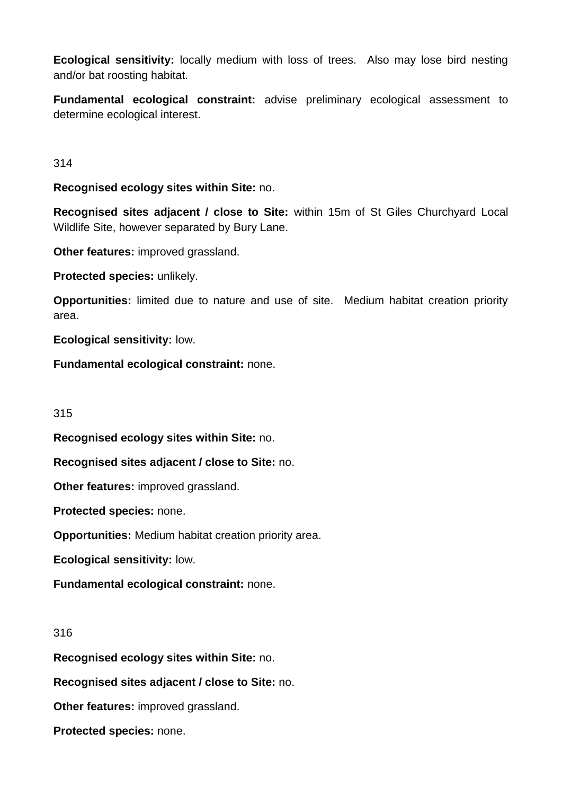**Ecological sensitivity:** locally medium with loss of trees. Also may lose bird nesting and/or bat roosting habitat.

**Fundamental ecological constraint:** advise preliminary ecological assessment to determine ecological interest.

314

**Recognised ecology sites within Site:** no.

**Recognised sites adjacent / close to Site:** within 15m of St Giles Churchyard Local Wildlife Site, however separated by Bury Lane.

**Other features:** improved grassland.

**Protected species:** unlikely.

**Opportunities:** limited due to nature and use of site. Medium habitat creation priority area.

**Ecological sensitivity:** low.

**Fundamental ecological constraint:** none.

315

**Recognised ecology sites within Site:** no.

**Recognised sites adjacent / close to Site:** no.

**Other features:** improved grassland.

**Protected species:** none.

**Opportunities:** Medium habitat creation priority area.

**Ecological sensitivity:** low.

**Fundamental ecological constraint:** none.

316

**Recognised ecology sites within Site:** no.

**Recognised sites adjacent / close to Site:** no.

**Other features:** improved grassland.

**Protected species:** none.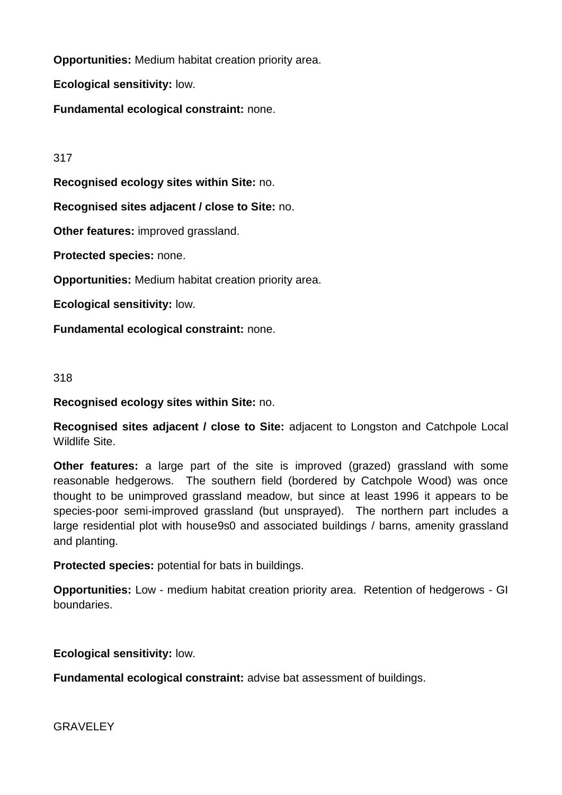**Opportunities:** Medium habitat creation priority area.

**Ecological sensitivity:** low.

**Fundamental ecological constraint:** none.

## 317

**Recognised ecology sites within Site:** no.

**Recognised sites adjacent / close to Site:** no.

**Other features:** improved grassland.

**Protected species:** none.

**Opportunities:** Medium habitat creation priority area.

**Ecological sensitivity:** low.

**Fundamental ecological constraint:** none.

## 318

**Recognised ecology sites within Site:** no.

**Recognised sites adjacent / close to Site:** adjacent to Longston and Catchpole Local Wildlife Site.

**Other features:** a large part of the site is improved (grazed) grassland with some reasonable hedgerows. The southern field (bordered by Catchpole Wood) was once thought to be unimproved grassland meadow, but since at least 1996 it appears to be species-poor semi-improved grassland (but unsprayed). The northern part includes a large residential plot with house9s0 and associated buildings / barns, amenity grassland and planting.

**Protected species:** potential for bats in buildings.

**Opportunities:** Low - medium habitat creation priority area. Retention of hedgerows - GI boundaries.

**Ecological sensitivity:** low.

**Fundamental ecological constraint:** advise bat assessment of buildings.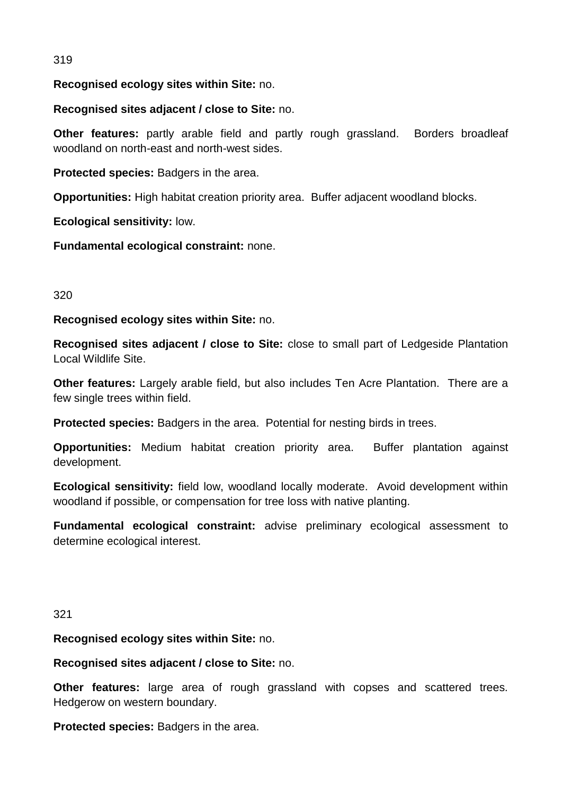## 319

**Recognised ecology sites within Site:** no.

**Recognised sites adjacent / close to Site:** no.

**Other features:** partly arable field and partly rough grassland. Borders broadleaf woodland on north-east and north-west sides.

**Protected species:** Badgers in the area.

**Opportunities:** High habitat creation priority area. Buffer adjacent woodland blocks.

**Ecological sensitivity:** low.

**Fundamental ecological constraint:** none.

### 320

**Recognised ecology sites within Site:** no.

**Recognised sites adjacent / close to Site:** close to small part of Ledgeside Plantation Local Wildlife Site.

**Other features:** Largely arable field, but also includes Ten Acre Plantation. There are a few single trees within field.

**Protected species:** Badgers in the area. Potential for nesting birds in trees.

**Opportunities:** Medium habitat creation priority area. Buffer plantation against development.

**Ecological sensitivity:** field low, woodland locally moderate. Avoid development within woodland if possible, or compensation for tree loss with native planting.

**Fundamental ecological constraint:** advise preliminary ecological assessment to determine ecological interest.

#### 321

**Recognised ecology sites within Site:** no.

**Recognised sites adjacent / close to Site:** no.

**Other features:** large area of rough grassland with copses and scattered trees. Hedgerow on western boundary.

**Protected species:** Badgers in the area.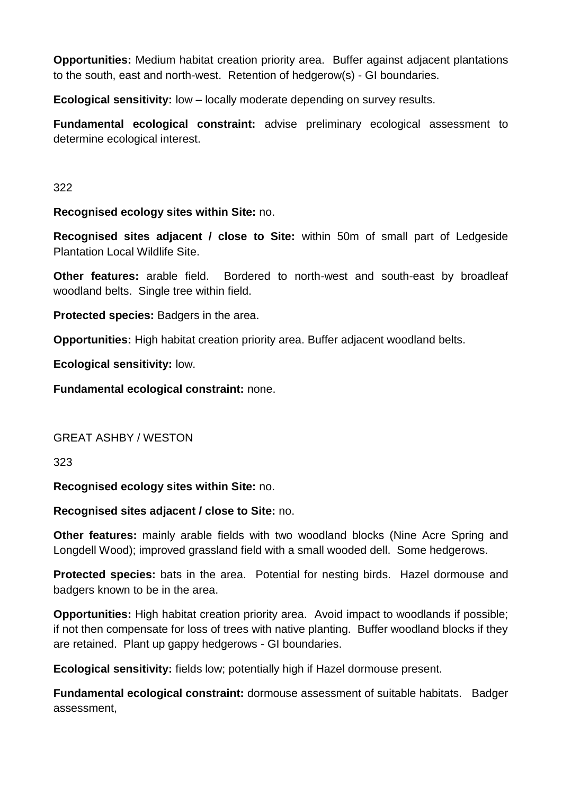**Opportunities:** Medium habitat creation priority area. Buffer against adjacent plantations to the south, east and north-west. Retention of hedgerow(s) - GI boundaries.

**Ecological sensitivity:** low – locally moderate depending on survey results.

**Fundamental ecological constraint:** advise preliminary ecological assessment to determine ecological interest.

### 322

**Recognised ecology sites within Site:** no.

**Recognised sites adjacent / close to Site:** within 50m of small part of Ledgeside Plantation Local Wildlife Site.

**Other features:** arable field. Bordered to north-west and south-east by broadleaf woodland belts. Single tree within field.

**Protected species:** Badgers in the area.

**Opportunities:** High habitat creation priority area. Buffer adjacent woodland belts.

**Ecological sensitivity:** low.

**Fundamental ecological constraint:** none.

## GREAT ASHBY / WESTON

323

**Recognised ecology sites within Site:** no.

**Recognised sites adjacent / close to Site:** no.

**Other features:** mainly arable fields with two woodland blocks (Nine Acre Spring and Longdell Wood); improved grassland field with a small wooded dell. Some hedgerows.

**Protected species:** bats in the area. Potential for nesting birds. Hazel dormouse and badgers known to be in the area.

**Opportunities:** High habitat creation priority area. Avoid impact to woodlands if possible; if not then compensate for loss of trees with native planting. Buffer woodland blocks if they are retained. Plant up gappy hedgerows - GI boundaries.

**Ecological sensitivity:** fields low; potentially high if Hazel dormouse present.

**Fundamental ecological constraint:** dormouse assessment of suitable habitats. Badger assessment,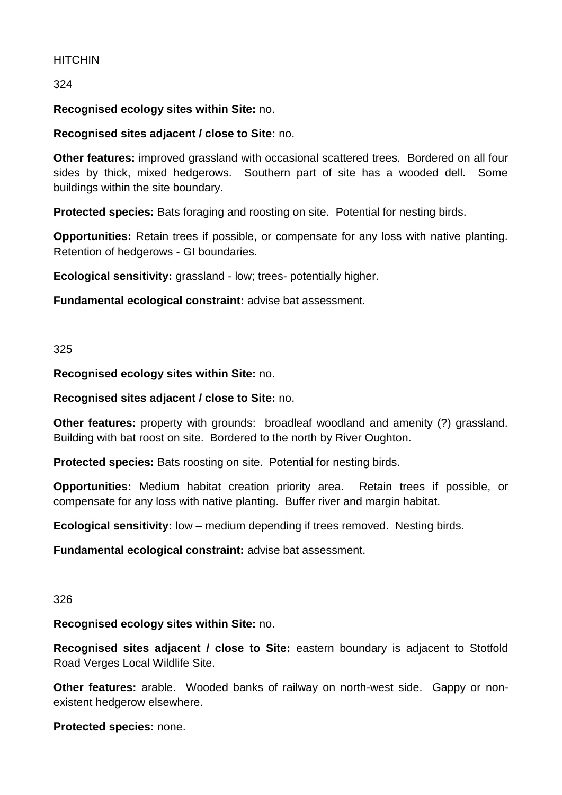## **HITCHIN**

324

## **Recognised ecology sites within Site:** no.

### **Recognised sites adjacent / close to Site:** no.

**Other features:** improved grassland with occasional scattered trees. Bordered on all four sides by thick, mixed hedgerows. Southern part of site has a wooded dell. Some buildings within the site boundary.

**Protected species:** Bats foraging and roosting on site. Potential for nesting birds.

**Opportunities:** Retain trees if possible, or compensate for any loss with native planting. Retention of hedgerows - GI boundaries.

**Ecological sensitivity:** grassland - low; trees- potentially higher.

**Fundamental ecological constraint:** advise bat assessment.

#### 325

**Recognised ecology sites within Site:** no.

**Recognised sites adjacent / close to Site:** no.

**Other features:** property with grounds: broadleaf woodland and amenity (?) grassland. Building with bat roost on site. Bordered to the north by River Oughton.

**Protected species:** Bats roosting on site. Potential for nesting birds.

**Opportunities:** Medium habitat creation priority area. Retain trees if possible, or compensate for any loss with native planting. Buffer river and margin habitat.

**Ecological sensitivity:** low – medium depending if trees removed. Nesting birds.

**Fundamental ecological constraint:** advise bat assessment.

#### 326

**Recognised ecology sites within Site:** no.

**Recognised sites adjacent / close to Site:** eastern boundary is adjacent to Stotfold Road Verges Local Wildlife Site.

**Other features:** arable. Wooded banks of railway on north-west side. Gappy or nonexistent hedgerow elsewhere.

**Protected species:** none.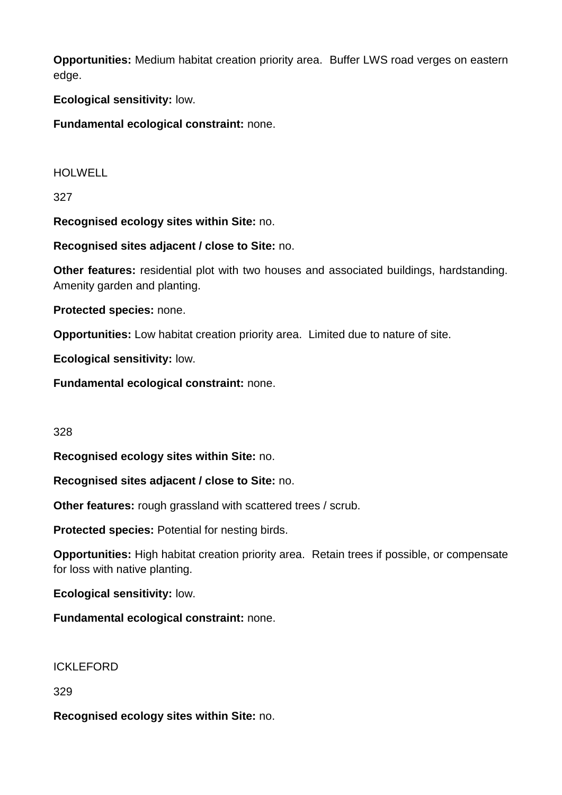**Opportunities:** Medium habitat creation priority area. Buffer LWS road verges on eastern edge.

**Ecological sensitivity:** low.

**Fundamental ecological constraint:** none.

HOLWELL

327

**Recognised ecology sites within Site:** no.

**Recognised sites adjacent / close to Site:** no.

**Other features:** residential plot with two houses and associated buildings, hardstanding. Amenity garden and planting.

**Protected species:** none.

**Opportunities:** Low habitat creation priority area. Limited due to nature of site.

**Ecological sensitivity:** low.

**Fundamental ecological constraint:** none.

328

**Recognised ecology sites within Site:** no.

**Recognised sites adjacent / close to Site:** no.

**Other features:** rough grassland with scattered trees / scrub.

**Protected species:** Potential for nesting birds.

**Opportunities:** High habitat creation priority area. Retain trees if possible, or compensate for loss with native planting.

**Ecological sensitivity:** low.

**Fundamental ecological constraint:** none.

ICKLEFORD

329

**Recognised ecology sites within Site:** no.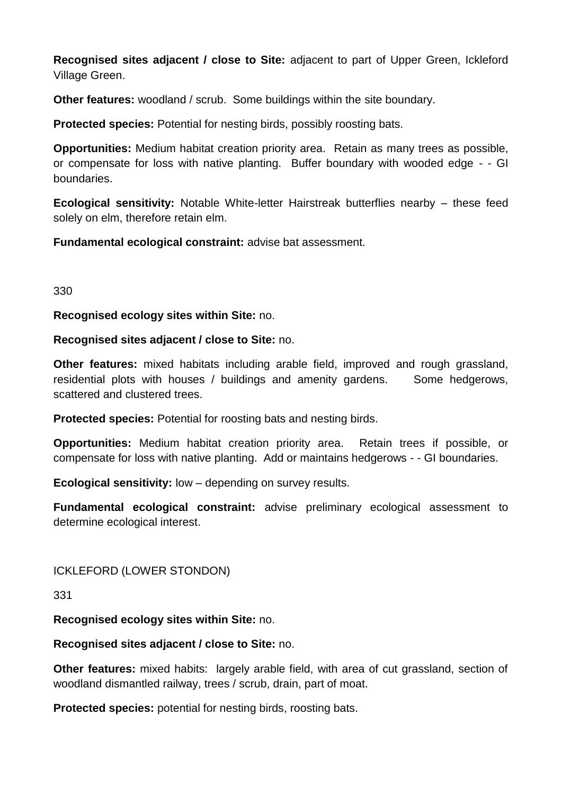**Recognised sites adjacent / close to Site:** adjacent to part of Upper Green, Ickleford Village Green.

**Other features:** woodland / scrub. Some buildings within the site boundary.

**Protected species:** Potential for nesting birds, possibly roosting bats.

**Opportunities:** Medium habitat creation priority area. Retain as many trees as possible, or compensate for loss with native planting. Buffer boundary with wooded edge - - GI boundaries.

**Ecological sensitivity:** Notable White-letter Hairstreak butterflies nearby – these feed solely on elm, therefore retain elm.

**Fundamental ecological constraint:** advise bat assessment.

330

**Recognised ecology sites within Site:** no.

**Recognised sites adjacent / close to Site:** no.

**Other features:** mixed habitats including arable field, improved and rough grassland, residential plots with houses / buildings and amenity gardens. Some hedgerows, scattered and clustered trees.

**Protected species:** Potential for roosting bats and nesting birds.

**Opportunities:** Medium habitat creation priority area. Retain trees if possible, or compensate for loss with native planting. Add or maintains hedgerows - - GI boundaries.

**Ecological sensitivity:** low – depending on survey results.

**Fundamental ecological constraint:** advise preliminary ecological assessment to determine ecological interest.

ICKLEFORD (LOWER STONDON)

331

**Recognised ecology sites within Site:** no.

**Recognised sites adjacent / close to Site:** no.

**Other features:** mixed habits: largely arable field, with area of cut grassland, section of woodland dismantled railway, trees / scrub, drain, part of moat.

**Protected species:** potential for nesting birds, roosting bats.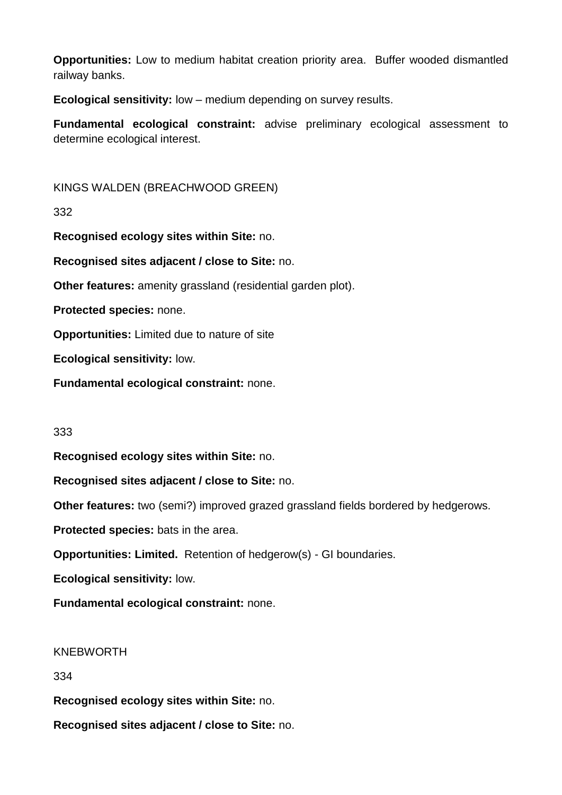**Opportunities:** Low to medium habitat creation priority area. Buffer wooded dismantled railway banks.

**Ecological sensitivity:** low – medium depending on survey results.

**Fundamental ecological constraint:** advise preliminary ecological assessment to determine ecological interest.

KINGS WALDEN (BREACHWOOD GREEN)

332

**Recognised ecology sites within Site:** no.

**Recognised sites adjacent / close to Site:** no.

**Other features:** amenity grassland (residential garden plot).

**Protected species:** none.

**Opportunities:** Limited due to nature of site

**Ecological sensitivity:** low.

**Fundamental ecological constraint:** none.

## 333

**Recognised ecology sites within Site:** no.

**Recognised sites adjacent / close to Site:** no.

**Other features:** two (semi?) improved grazed grassland fields bordered by hedgerows.

**Protected species:** bats in the area.

**Opportunities: Limited.** Retention of hedgerow(s) - GI boundaries.

**Ecological sensitivity:** low.

**Fundamental ecological constraint:** none.

## KNEBWORTH

334

**Recognised ecology sites within Site:** no.

**Recognised sites adjacent / close to Site:** no.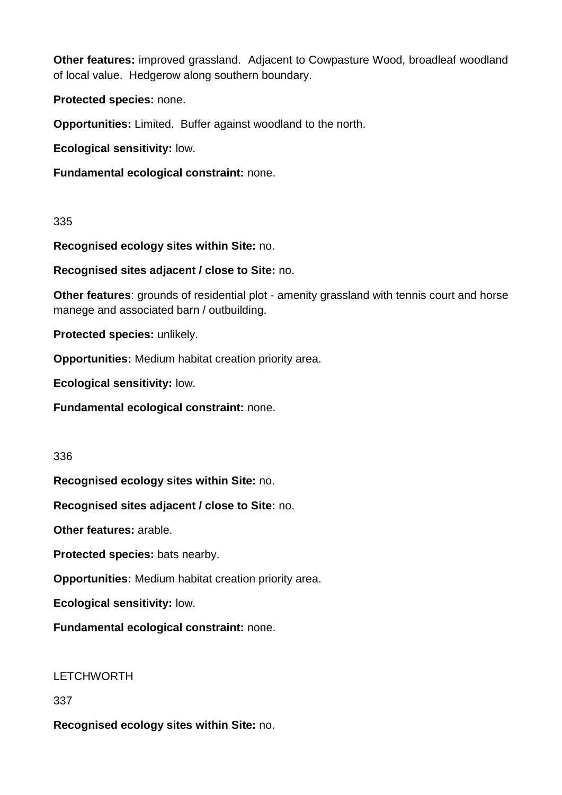**Other features:** improved grassland. Adjacent to Cowpasture Wood, broadleaf woodland of local value. Hedgerow along southern boundary.

**Protected species:** none.

**Opportunities:** Limited. Buffer against woodland to the north.

**Ecological sensitivity:** low.

**Fundamental ecological constraint:** none.

335

**Recognised ecology sites within Site:** no.

**Recognised sites adjacent / close to Site:** no.

**Other features:** grounds of residential plot - amenity grassland with tennis court and horse manege and associated barn / outbuilding.

**Protected species:** unlikely.

**Opportunities:** Medium habitat creation priority area.

**Ecological sensitivity:** low.

**Fundamental ecological constraint:** none.

336

**Recognised ecology sites within Site:** no.

**Recognised sites adjacent / close to Site:** no.

**Other features:** arable.

**Protected species:** bats nearby.

**Opportunities:** Medium habitat creation priority area.

**Ecological sensitivity:** low.

**Fundamental ecological constraint:** none.

LETCHWORTH

337

**Recognised ecology sites within Site:** no.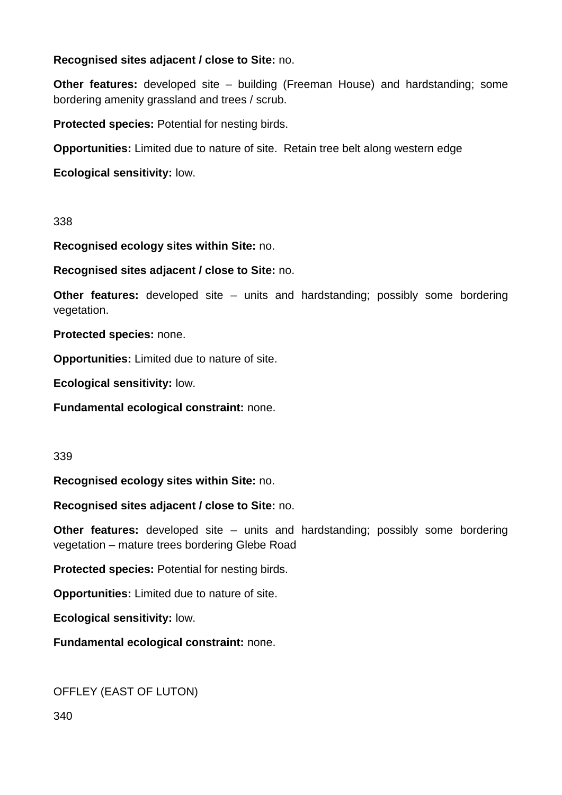## **Recognised sites adjacent / close to Site:** no.

**Other features:** developed site – building (Freeman House) and hardstanding; some bordering amenity grassland and trees / scrub.

**Protected species:** Potential for nesting birds.

**Opportunities:** Limited due to nature of site. Retain tree belt along western edge

**Ecological sensitivity:** low.

338

**Recognised ecology sites within Site:** no.

**Recognised sites adjacent / close to Site:** no.

**Other features:** developed site – units and hardstanding; possibly some bordering vegetation.

**Protected species:** none.

**Opportunities:** Limited due to nature of site.

**Ecological sensitivity:** low.

**Fundamental ecological constraint:** none.

339

**Recognised ecology sites within Site:** no.

**Recognised sites adjacent / close to Site:** no.

**Other features:** developed site – units and hardstanding; possibly some bordering vegetation – mature trees bordering Glebe Road

**Protected species:** Potential for nesting birds.

**Opportunities:** Limited due to nature of site.

**Ecological sensitivity:** low.

**Fundamental ecological constraint:** none.

OFFLEY (EAST OF LUTON)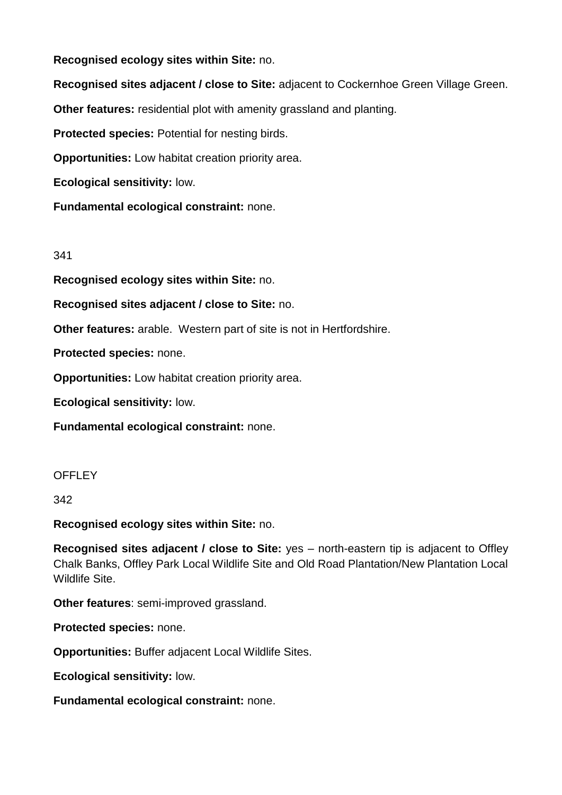**Recognised ecology sites within Site:** no.

**Recognised sites adjacent / close to Site:** adjacent to Cockernhoe Green Village Green.

**Other features:** residential plot with amenity grassland and planting.

**Protected species:** Potential for nesting birds.

**Opportunities:** Low habitat creation priority area.

**Ecological sensitivity:** low.

**Fundamental ecological constraint:** none.

## 341

**Recognised ecology sites within Site:** no.

**Recognised sites adjacent / close to Site:** no.

**Other features:** arable. Western part of site is not in Hertfordshire.

**Protected species:** none.

**Opportunities:** Low habitat creation priority area.

**Ecological sensitivity:** low.

**Fundamental ecological constraint:** none.

## **OFFLEY**

342

**Recognised ecology sites within Site:** no.

**Recognised sites adjacent / close to Site:** yes – north-eastern tip is adjacent to Offley Chalk Banks, Offley Park Local Wildlife Site and Old Road Plantation/New Plantation Local Wildlife Site.

**Other features**: semi-improved grassland.

**Protected species:** none.

**Opportunities:** Buffer adjacent Local Wildlife Sites.

**Ecological sensitivity:** low.

**Fundamental ecological constraint:** none.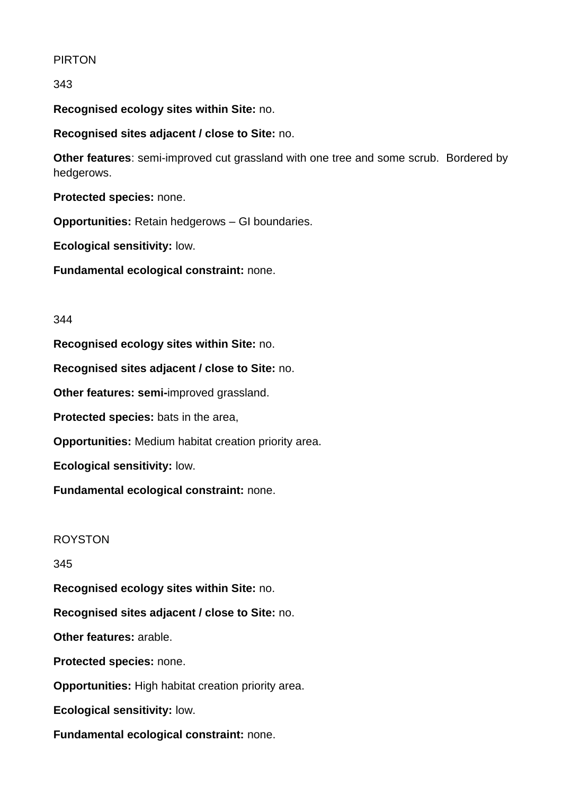## PIRTON

343

**Recognised ecology sites within Site:** no.

**Recognised sites adjacent / close to Site:** no.

**Other features**: semi-improved cut grassland with one tree and some scrub. Bordered by hedgerows.

**Protected species:** none.

**Opportunities:** Retain hedgerows – GI boundaries.

**Ecological sensitivity:** low.

**Fundamental ecological constraint:** none.

#### 344

**Recognised ecology sites within Site:** no.

**Recognised sites adjacent / close to Site:** no.

**Other features: semi-**improved grassland.

**Protected species:** bats in the area,

**Opportunities:** Medium habitat creation priority area.

**Ecological sensitivity:** low.

**Fundamental ecological constraint:** none.

## ROYSTON

345

**Recognised ecology sites within Site:** no.

**Recognised sites adjacent / close to Site:** no.

**Other features:** arable.

**Protected species:** none.

**Opportunities:** High habitat creation priority area.

**Ecological sensitivity:** low.

**Fundamental ecological constraint:** none.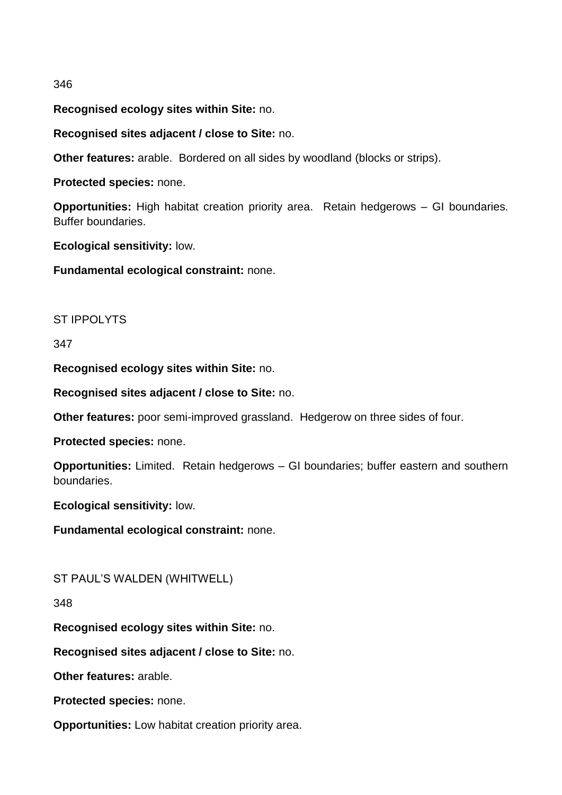#### 346

**Recognised ecology sites within Site:** no.

**Recognised sites adjacent / close to Site:** no.

**Other features:** arable. Bordered on all sides by woodland (blocks or strips).

**Protected species:** none.

**Opportunities:** High habitat creation priority area. Retain hedgerows – GI boundaries. Buffer boundaries.

**Ecological sensitivity:** low.

**Fundamental ecological constraint:** none.

#### ST IPPOLYTS

#### 347

**Recognised ecology sites within Site:** no.

**Recognised sites adjacent / close to Site:** no.

**Other features:** poor semi-improved grassland. Hedgerow on three sides of four.

**Protected species:** none.

**Opportunities:** Limited. Retain hedgerows – GI boundaries; buffer eastern and southern boundaries.

**Ecological sensitivity:** low.

**Fundamental ecological constraint:** none.

## ST PAUL'S WALDEN (WHITWELL)

#### 348

**Recognised ecology sites within Site:** no.

**Recognised sites adjacent / close to Site:** no.

**Other features:** arable.

**Protected species:** none.

**Opportunities:** Low habitat creation priority area.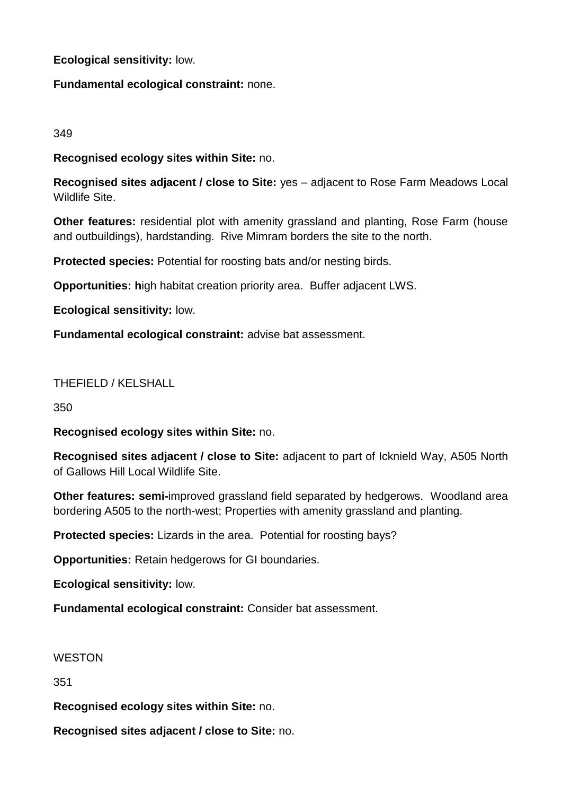## **Ecological sensitivity:** low.

# **Fundamental ecological constraint:** none.

# 349

**Recognised ecology sites within Site:** no.

**Recognised sites adjacent / close to Site:** yes – adjacent to Rose Farm Meadows Local Wildlife Site.

**Other features:** residential plot with amenity grassland and planting, Rose Farm (house and outbuildings), hardstanding. Rive Mimram borders the site to the north.

**Protected species:** Potential for roosting bats and/or nesting birds.

**Opportunities: h**igh habitat creation priority area. Buffer adjacent LWS.

**Ecological sensitivity:** low.

**Fundamental ecological constraint:** advise bat assessment.

# THEFIELD / KELSHALL

350

**Recognised ecology sites within Site:** no.

**Recognised sites adjacent / close to Site:** adjacent to part of Icknield Way, A505 North of Gallows Hill Local Wildlife Site.

**Other features: semi-**improved grassland field separated by hedgerows. Woodland area bordering A505 to the north-west; Properties with amenity grassland and planting.

**Protected species:** Lizards in the area. Potential for roosting bays?

**Opportunities:** Retain hedgerows for GI boundaries.

**Ecological sensitivity:** low.

**Fundamental ecological constraint:** Consider bat assessment.

## **WESTON**

351

**Recognised ecology sites within Site:** no.

**Recognised sites adjacent / close to Site:** no.